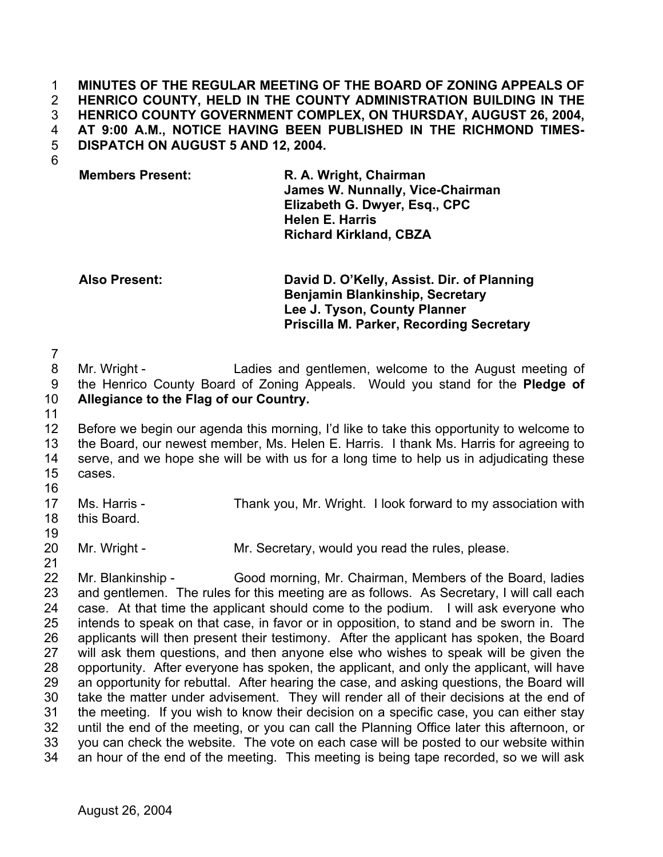## **MINUTES OF THE REGULAR MEETING OF THE BOARD OF ZONING APPEALS OF HENRICO COUNTY, HELD IN THE COUNTY ADMINISTRATION BUILDING IN THE HENRICO COUNTY GOVERNMENT COMPLEX, ON THURSDAY, AUGUST 26, 2004, AT 9:00 A.M., NOTICE HAVING BEEN PUBLISHED IN THE RICHMOND TIMES-DISPATCH ON AUGUST 5 AND 12, 2004.**  1 2 3 4 5

6

## **Members Present: R. A. Wright, Chairman**

**James W. Nunnally, Vice-Chairman Elizabeth G. Dwyer, Esq., CPC Helen E. Harris Richard Kirkland, CBZA** 

**Also Present: David D. O'Kelly, Assist. Dir. of Planning Benjamin Blankinship, Secretary Lee J. Tyson, County Planner Priscilla M. Parker, Recording Secretary**

7 8 9 10 Mr. Wright - Ladies and gentlemen, welcome to the August meeting of the Henrico County Board of Zoning Appeals. Would you stand for the **Pledge of Allegiance to the Flag of our Country.** 

11

12 13 14 15 16 Before we begin our agenda this morning, I'd like to take this opportunity to welcome to the Board, our newest member, Ms. Helen E. Harris. I thank Ms. Harris for agreeing to serve, and we hope she will be with us for a long time to help us in adjudicating these cases.

17 18 Ms. Harris - Thank you, Mr. Wright. I look forward to my association with this Board.

19

20 Mr. Wright - Mr. Secretary, would you read the rules, please.

21 22 23 24 25 26 27 28 29 30 31 32 33 34 Mr. Blankinship - Good morning, Mr. Chairman, Members of the Board, ladies and gentlemen. The rules for this meeting are as follows. As Secretary, I will call each case. At that time the applicant should come to the podium. I will ask everyone who intends to speak on that case, in favor or in opposition, to stand and be sworn in. The applicants will then present their testimony. After the applicant has spoken, the Board will ask them questions, and then anyone else who wishes to speak will be given the opportunity. After everyone has spoken, the applicant, and only the applicant, will have an opportunity for rebuttal. After hearing the case, and asking questions, the Board will take the matter under advisement. They will render all of their decisions at the end of the meeting. If you wish to know their decision on a specific case, you can either stay until the end of the meeting, or you can call the Planning Office later this afternoon, or you can check the website. The vote on each case will be posted to our website within an hour of the end of the meeting. This meeting is being tape recorded, so we will ask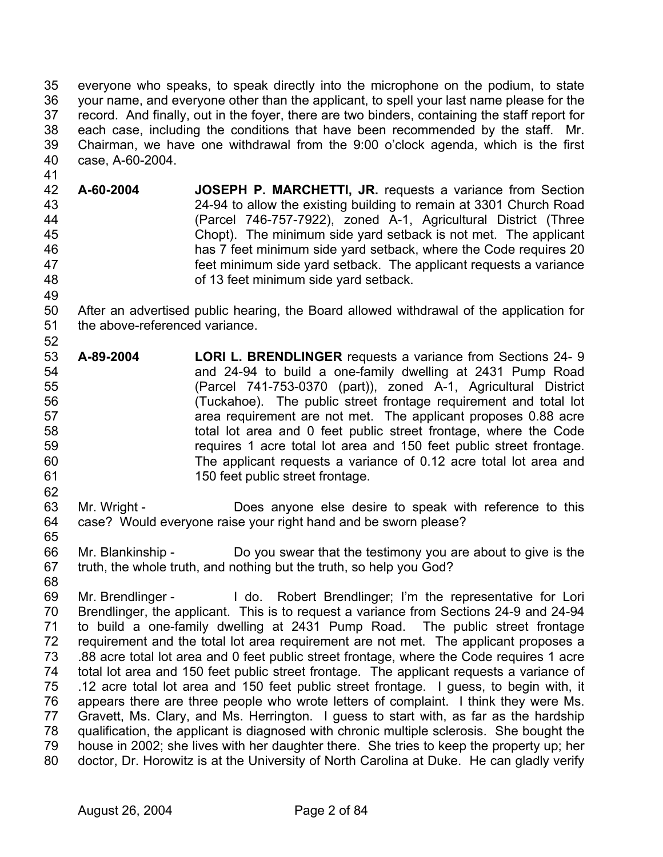35 36 37 38 39 40 everyone who speaks, to speak directly into the microphone on the podium, to state your name, and everyone other than the applicant, to spell your last name please for the record. And finally, out in the foyer, there are two binders, containing the staff report for each case, including the conditions that have been recommended by the staff. Mr. Chairman, we have one withdrawal from the 9:00 o'clock agenda, which is the first case, A-60-2004.

- 42 43 44 45 46 47 48 **A-60-2004 JOSEPH P. MARCHETTI, JR.** requests a variance from Section 24-94 to allow the existing building to remain at 3301 Church Road (Parcel 746-757-7922), zoned A-1, Agricultural District (Three Chopt). The minimum side yard setback is not met. The applicant has 7 feet minimum side yard setback, where the Code requires 20 feet minimum side yard setback. The applicant requests a variance of 13 feet minimum side yard setback.
- 50 51 After an advertised public hearing, the Board allowed withdrawal of the application for the above-referenced variance.
- 53 54 55 56 57 58 59 60 61 **A-89-2004 LORI L. BRENDLINGER** requests a variance from Sections 24- 9 and 24-94 to build a one-family dwelling at 2431 Pump Road (Parcel 741-753-0370 (part)), zoned A-1, Agricultural District (Tuckahoe). The public street frontage requirement and total lot area requirement are not met. The applicant proposes 0.88 acre total lot area and 0 feet public street frontage, where the Code requires 1 acre total lot area and 150 feet public street frontage. The applicant requests a variance of 0.12 acre total lot area and 150 feet public street frontage.
- 63 64 Mr. Wright - **Does anyone else desire to speak with reference to this** case? Would everyone raise your right hand and be sworn please?
- 66 67 Mr. Blankinship - Do you swear that the testimony you are about to give is the truth, the whole truth, and nothing but the truth, so help you God?
- 68

65

62

41

49

52

69 70 71 72 73 74 75 76 77 78 79 80 Mr. Brendlinger - The Loolut Robert Brendlinger; I'm the representative for Lori Brendlinger, the applicant. This is to request a variance from Sections 24-9 and 24-94 to build a one-family dwelling at 2431 Pump Road. The public street frontage requirement and the total lot area requirement are not met. The applicant proposes a .88 acre total lot area and 0 feet public street frontage, where the Code requires 1 acre total lot area and 150 feet public street frontage. The applicant requests a variance of .12 acre total lot area and 150 feet public street frontage. I guess, to begin with, it appears there are three people who wrote letters of complaint. I think they were Ms. Gravett, Ms. Clary, and Ms. Herrington. I guess to start with, as far as the hardship qualification, the applicant is diagnosed with chronic multiple sclerosis. She bought the house in 2002; she lives with her daughter there. She tries to keep the property up; her doctor, Dr. Horowitz is at the University of North Carolina at Duke. He can gladly verify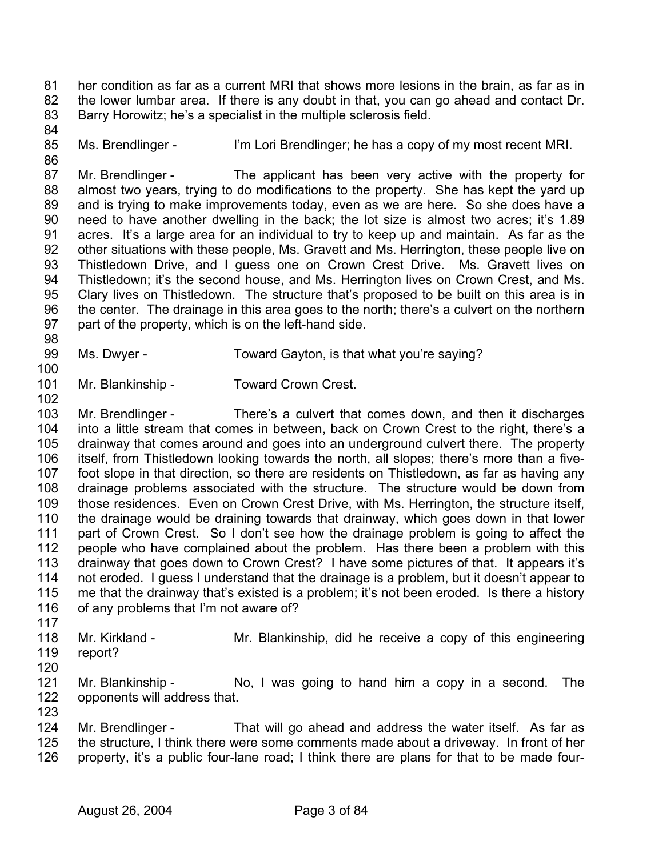81 82 83 her condition as far as a current MRI that shows more lesions in the brain, as far as in the lower lumbar area. If there is any doubt in that, you can go ahead and contact Dr. Barry Horowitz; he's a specialist in the multiple sclerosis field.

85 Ms. Brendlinger - I'm Lori Brendlinger; he has a copy of my most recent MRI.

87 88 89 90 91 92 93 94 95 96 97 Mr. Brendlinger - The applicant has been very active with the property for almost two years, trying to do modifications to the property. She has kept the yard up and is trying to make improvements today, even as we are here. So she does have a need to have another dwelling in the back; the lot size is almost two acres; it's 1.89 acres. It's a large area for an individual to try to keep up and maintain. As far as the other situations with these people, Ms. Gravett and Ms. Herrington, these people live on Thistledown Drive, and I guess one on Crown Crest Drive. Ms. Gravett lives on Thistledown; it's the second house, and Ms. Herrington lives on Crown Crest, and Ms. Clary lives on Thistledown. The structure that's proposed to be built on this area is in the center. The drainage in this area goes to the north; there's a culvert on the northern part of the property, which is on the left-hand side.

99 Ms. Dwyer - Toward Gayton, is that what you're saying?

100

102

98

84

86

101 Mr. Blankinship - Toward Crown Crest.

103 104 105 106 107 108 109 110 111 112 113 114 115 116 117 Mr. Brendlinger - There's a culvert that comes down, and then it discharges into a little stream that comes in between, back on Crown Crest to the right, there's a drainway that comes around and goes into an underground culvert there. The property itself, from Thistledown looking towards the north, all slopes; there's more than a fivefoot slope in that direction, so there are residents on Thistledown, as far as having any drainage problems associated with the structure. The structure would be down from those residences. Even on Crown Crest Drive, with Ms. Herrington, the structure itself, the drainage would be draining towards that drainway, which goes down in that lower part of Crown Crest. So I don't see how the drainage problem is going to affect the people who have complained about the problem. Has there been a problem with this drainway that goes down to Crown Crest? I have some pictures of that. It appears it's not eroded. I guess I understand that the drainage is a problem, but it doesn't appear to me that the drainway that's existed is a problem; it's not been eroded. Is there a history of any problems that I'm not aware of?

118 119 Mr. Kirkland - Mr. Blankinship, did he receive a copy of this engineering report?

120

121 122 123 Mr. Blankinship - No, I was going to hand him a copy in a second. The opponents will address that.

124 125 126 Mr. Brendlinger - That will go ahead and address the water itself. As far as the structure, I think there were some comments made about a driveway. In front of her property, it's a public four-lane road; I think there are plans for that to be made four-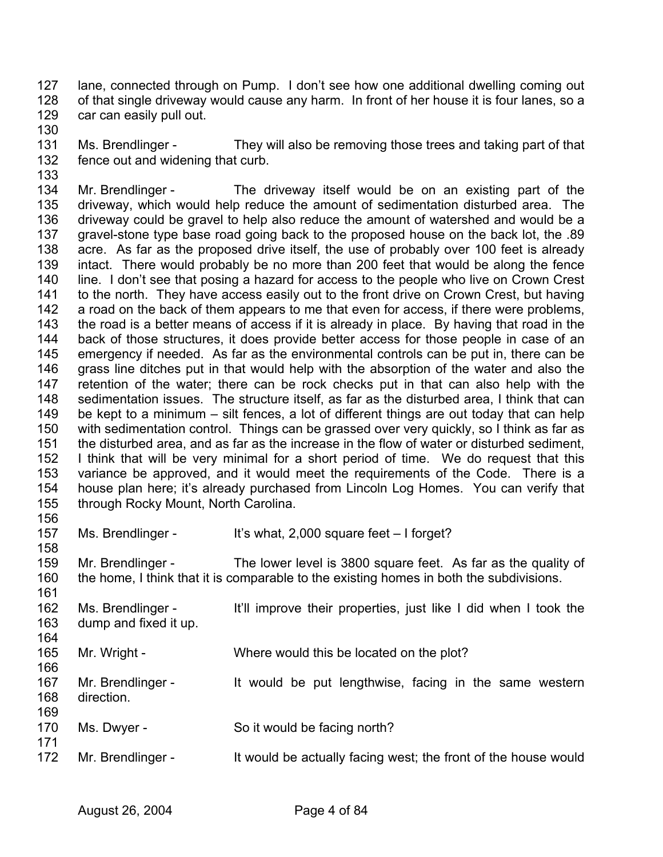127 128 129 lane, connected through on Pump. I don't see how one additional dwelling coming out of that single driveway would cause any harm. In front of her house it is four lanes, so a car can easily pull out.

130

131 132 133 Ms. Brendlinger - They will also be removing those trees and taking part of that fence out and widening that curb.

134 135 136 137 138 139 140 141 142 143 144 145 146 147 148 149 150 151 152 153 154 155 156 Mr. Brendlinger - The driveway itself would be on an existing part of the driveway, which would help reduce the amount of sedimentation disturbed area. The driveway could be gravel to help also reduce the amount of watershed and would be a gravel-stone type base road going back to the proposed house on the back lot, the .89 acre. As far as the proposed drive itself, the use of probably over 100 feet is already intact. There would probably be no more than 200 feet that would be along the fence line. I don't see that posing a hazard for access to the people who live on Crown Crest to the north. They have access easily out to the front drive on Crown Crest, but having a road on the back of them appears to me that even for access, if there were problems, the road is a better means of access if it is already in place. By having that road in the back of those structures, it does provide better access for those people in case of an emergency if needed. As far as the environmental controls can be put in, there can be grass line ditches put in that would help with the absorption of the water and also the retention of the water; there can be rock checks put in that can also help with the sedimentation issues. The structure itself, as far as the disturbed area, I think that can be kept to a minimum – silt fences, a lot of different things are out today that can help with sedimentation control. Things can be grassed over very quickly, so I think as far as the disturbed area, and as far as the increase in the flow of water or disturbed sediment, I think that will be very minimal for a short period of time. We do request that this variance be approved, and it would meet the requirements of the Code. There is a house plan here; it's already purchased from Lincoln Log Homes. You can verify that through Rocky Mount, North Carolina.

157 158 Ms. Brendlinger - It's what, 2,000 square feet – I forget?

159 160 161 Mr. Brendlinger - The lower level is 3800 square feet. As far as the quality of the home, I think that it is comparable to the existing homes in both the subdivisions.

| 162<br>163 | Ms. Brendlinger -<br>dump and fixed it up. | It'll improve their properties, just like I did when I took the |
|------------|--------------------------------------------|-----------------------------------------------------------------|
| 164        |                                            |                                                                 |
| 165        | Mr. Wright -                               | Where would this be located on the plot?                        |
| 166        |                                            |                                                                 |
| 167        | Mr. Brendlinger -                          | It would be put lengthwise, facing in the same western          |
| 168        | direction.                                 |                                                                 |
| 169        |                                            |                                                                 |
| 170        | Ms. Dwyer -                                | So it would be facing north?                                    |
| 171        |                                            |                                                                 |
| 172        | Mr. Brendlinger -                          | It would be actually facing west; the front of the house would  |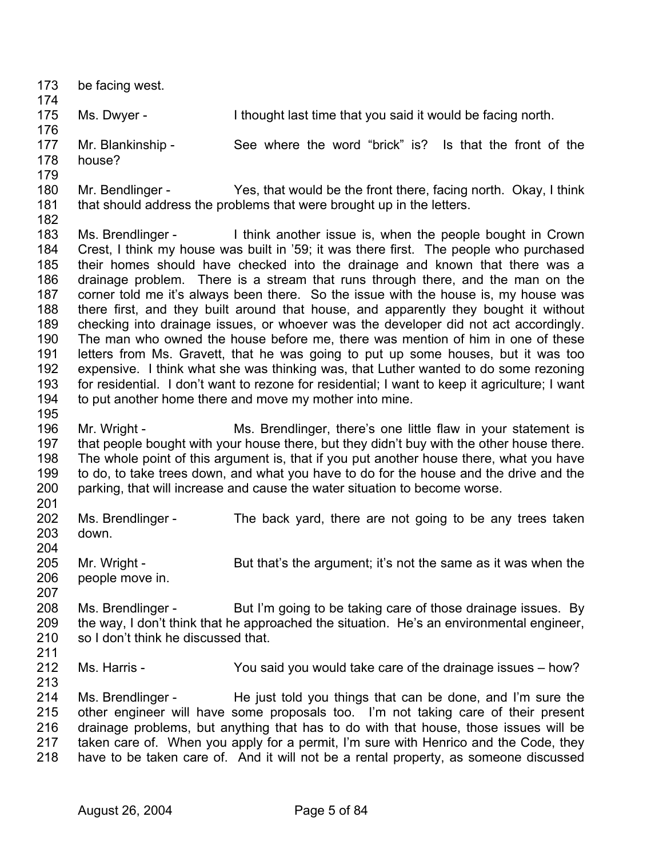| 173<br>174                                                                              | be facing west.                                          |                                                                                                                                                                                                                                                                                                                                                                                                                                                                                                                                                                                                                                                                                                                                                                                                                                                                                                                                                                                                                                              |
|-----------------------------------------------------------------------------------------|----------------------------------------------------------|----------------------------------------------------------------------------------------------------------------------------------------------------------------------------------------------------------------------------------------------------------------------------------------------------------------------------------------------------------------------------------------------------------------------------------------------------------------------------------------------------------------------------------------------------------------------------------------------------------------------------------------------------------------------------------------------------------------------------------------------------------------------------------------------------------------------------------------------------------------------------------------------------------------------------------------------------------------------------------------------------------------------------------------------|
| 175<br>176                                                                              | Ms. Dwyer -                                              | I thought last time that you said it would be facing north.                                                                                                                                                                                                                                                                                                                                                                                                                                                                                                                                                                                                                                                                                                                                                                                                                                                                                                                                                                                  |
| 177<br>178<br>179                                                                       | Mr. Blankinship -<br>house?                              | See where the word "brick" is? Is that the front of the                                                                                                                                                                                                                                                                                                                                                                                                                                                                                                                                                                                                                                                                                                                                                                                                                                                                                                                                                                                      |
| 180<br>181<br>182                                                                       |                                                          | Mr. Bendlinger - Yes, that would be the front there, facing north. Okay, I think<br>that should address the problems that were brought up in the letters.                                                                                                                                                                                                                                                                                                                                                                                                                                                                                                                                                                                                                                                                                                                                                                                                                                                                                    |
| 183<br>184<br>185<br>186<br>187<br>188<br>189<br>190<br>191<br>192<br>193<br>194<br>195 |                                                          | Ms. Brendlinger - I think another issue is, when the people bought in Crown<br>Crest, I think my house was built in '59; it was there first. The people who purchased<br>their homes should have checked into the drainage and known that there was a<br>drainage problem. There is a stream that runs through there, and the man on the<br>corner told me it's always been there. So the issue with the house is, my house was<br>there first, and they built around that house, and apparently they bought it without<br>checking into drainage issues, or whoever was the developer did not act accordingly.<br>The man who owned the house before me, there was mention of him in one of these<br>letters from Ms. Gravett, that he was going to put up some houses, but it was too<br>expensive. I think what she was thinking was, that Luther wanted to do some rezoning<br>for residential. I don't want to rezone for residential; I want to keep it agriculture; I want<br>to put another home there and move my mother into mine. |
| 196<br>197<br>198<br>199<br>200                                                         | Mr. Wright -                                             | Ms. Brendlinger, there's one little flaw in your statement is<br>that people bought with your house there, but they didn't buy with the other house there.<br>The whole point of this argument is, that if you put another house there, what you have<br>to do, to take trees down, and what you have to do for the house and the drive and the<br>parking, that will increase and cause the water situation to become worse.                                                                                                                                                                                                                                                                                                                                                                                                                                                                                                                                                                                                                |
| 201<br>202<br>203<br>204                                                                | Ms. Brendlinger -<br>down.                               | The back yard, there are not going to be any trees taken                                                                                                                                                                                                                                                                                                                                                                                                                                                                                                                                                                                                                                                                                                                                                                                                                                                                                                                                                                                     |
| 205<br>206<br>207                                                                       | Mr. Wright -<br>people move in.                          | But that's the argument; it's not the same as it was when the                                                                                                                                                                                                                                                                                                                                                                                                                                                                                                                                                                                                                                                                                                                                                                                                                                                                                                                                                                                |
| 208<br>209<br>210<br>211                                                                | Ms. Brendlinger -<br>so I don't think he discussed that. | But I'm going to be taking care of those drainage issues. By<br>the way, I don't think that he approached the situation. He's an environmental engineer,                                                                                                                                                                                                                                                                                                                                                                                                                                                                                                                                                                                                                                                                                                                                                                                                                                                                                     |
| 212<br>213                                                                              | Ms. Harris -                                             | You said you would take care of the drainage issues – how?                                                                                                                                                                                                                                                                                                                                                                                                                                                                                                                                                                                                                                                                                                                                                                                                                                                                                                                                                                                   |
| 214<br>215<br>216<br>217<br>218                                                         |                                                          | Ms. Brendlinger - He just told you things that can be done, and I'm sure the<br>other engineer will have some proposals too. I'm not taking care of their present<br>drainage problems, but anything that has to do with that house, those issues will be<br>taken care of. When you apply for a permit, I'm sure with Henrico and the Code, they<br>have to be taken care of. And it will not be a rental property, as someone discussed                                                                                                                                                                                                                                                                                                                                                                                                                                                                                                                                                                                                    |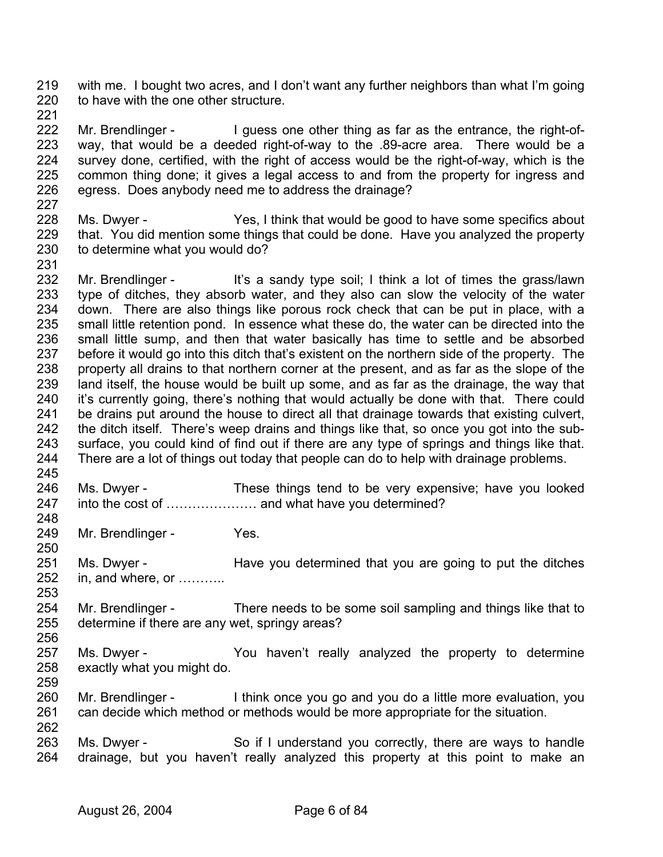219 220 with me. I bought two acres, and I don't want any further neighbors than what I'm going to have with the one other structure.

221

227

231

248

250

256

259

222 223 224 225 226 Mr. Brendlinger - I guess one other thing as far as the entrance, the right-ofway, that would be a deeded right-of-way to the .89-acre area. There would be a survey done, certified, with the right of access would be the right-of-way, which is the common thing done; it gives a legal access to and from the property for ingress and egress. Does anybody need me to address the drainage?

228 229 230 Ms. Dwyer - Yes, I think that would be good to have some specifics about that. You did mention some things that could be done. Have you analyzed the property to determine what you would do?

232 233 234 235 236 237 238 239 240 241 242 243 244 245 Mr. Brendlinger - It's a sandy type soil; I think a lot of times the grass/lawn type of ditches, they absorb water, and they also can slow the velocity of the water down. There are also things like porous rock check that can be put in place, with a small little retention pond. In essence what these do, the water can be directed into the small little sump, and then that water basically has time to settle and be absorbed before it would go into this ditch that's existent on the northern side of the property. The property all drains to that northern corner at the present, and as far as the slope of the land itself, the house would be built up some, and as far as the drainage, the way that it's currently going, there's nothing that would actually be done with that. There could be drains put around the house to direct all that drainage towards that existing culvert, the ditch itself. There's weep drains and things like that, so once you got into the subsurface, you could kind of find out if there are any type of springs and things like that. There are a lot of things out today that people can do to help with drainage problems.

- 246 247 Ms. Dwyer - These things tend to be very expensive; have you looked into the cost of ………………… and what have you determined?
- 249 Mr. Brendlinger - Yes.
- 251 252 253 Ms. Dwyer - **Have you determined that you are going to put the ditches** in, and where, or ………..
- 254 255 Mr. Brendlinger - There needs to be some soil sampling and things like that to determine if there are any wet, springy areas?
- 257 258 Ms. Dwyer - The You haven't really analyzed the property to determine exactly what you might do.
- 260 261 262 Mr. Brendlinger - I think once you go and you do a little more evaluation, you can decide which method or methods would be more appropriate for the situation.
- 263 264 Ms. Dwyer - So if I understand you correctly, there are ways to handle drainage, but you haven't really analyzed this property at this point to make an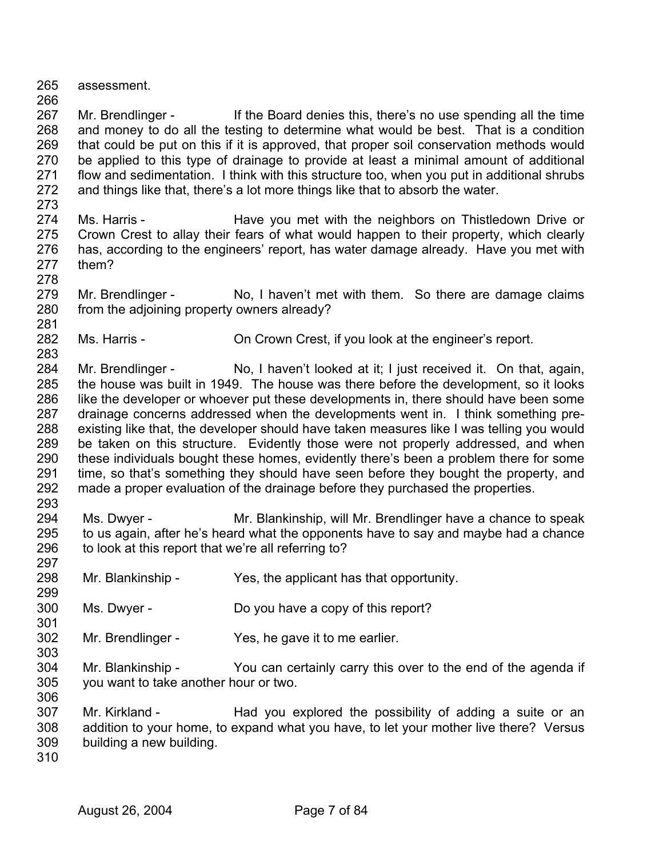265 assessment.

266

273

278

281

283

293

297

299

301

303

267 268 269 270 271 272 Mr. Brendlinger - If the Board denies this, there's no use spending all the time and money to do all the testing to determine what would be best. That is a condition that could be put on this if it is approved, that proper soil conservation methods would be applied to this type of drainage to provide at least a minimal amount of additional flow and sedimentation. I think with this structure too, when you put in additional shrubs and things like that, there's a lot more things like that to absorb the water.

274 275 276 277 Ms. Harris - The Have you met with the neighbors on Thistledown Drive or Crown Crest to allay their fears of what would happen to their property, which clearly has, according to the engineers' report, has water damage already. Have you met with them?

- 279 280 Mr. Brendlinger - No, I haven't met with them. So there are damage claims from the adjoining property owners already?
- 282 Ms. Harris - Child Crown Crest, if you look at the engineer's report.

284 285 286 287 288 289 290 291 292 Mr. Brendlinger - No, I haven't looked at it; I just received it. On that, again, the house was built in 1949. The house was there before the development, so it looks like the developer or whoever put these developments in, there should have been some drainage concerns addressed when the developments went in. I think something preexisting like that, the developer should have taken measures like I was telling you would be taken on this structure. Evidently those were not properly addressed, and when these individuals bought these homes, evidently there's been a problem there for some time, so that's something they should have seen before they bought the property, and made a proper evaluation of the drainage before they purchased the properties.

- 294 295 296 Ms. Dwyer - Mr. Blankinship, will Mr. Brendlinger have a chance to speak to us again, after he's heard what the opponents have to say and maybe had a chance to look at this report that we're all referring to?
- 298 Mr. Blankinship - Yes, the applicant has that opportunity.
- 300 Ms. Dwyer - Do you have a copy of this report?
- 302 Mr. Brendlinger - Yes, he gave it to me earlier.
- 304 305 306 Mr. Blankinship - You can certainly carry this over to the end of the agenda if you want to take another hour or two.
- 307 308 309 Mr. Kirkland - Had you explored the possibility of adding a suite or an addition to your home, to expand what you have, to let your mother live there? Versus building a new building.
- 310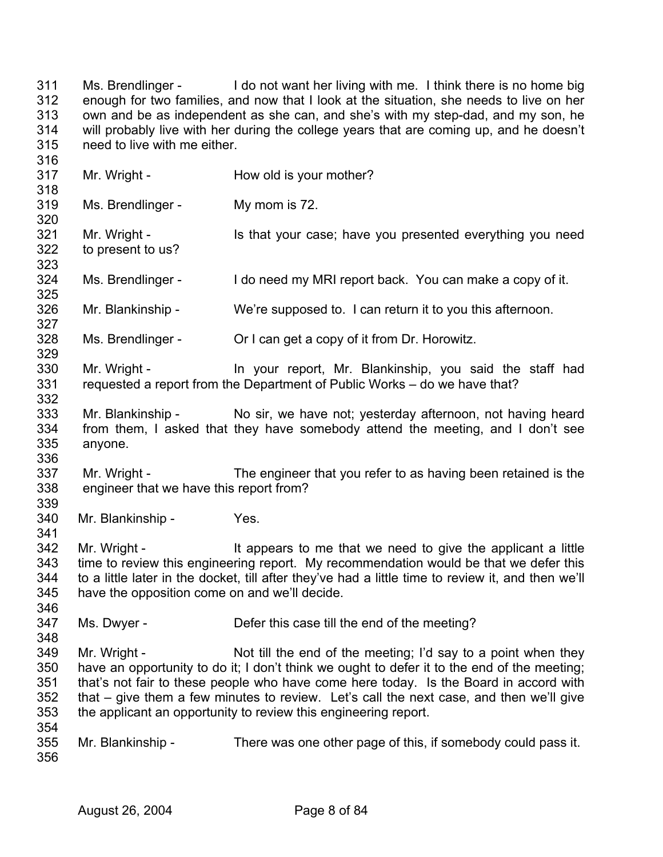311 312 313 314 315 Ms. Brendlinger - I do not want her living with me. I think there is no home big enough for two families, and now that I look at the situation, she needs to live on her own and be as independent as she can, and she's with my step-dad, and my son, he will probably live with her during the college years that are coming up, and he doesn't need to live with me either.

317 318 319 320 321 322 323 324 325 326 327 328 329 330 331 332 333 334 335 336 337 338 339 340 341 342 343 344 345 346 347 348 349 350 351 352 353 354 355 356 Mr. Wright - How old is your mother? Ms. Brendlinger - My mom is 72. Mr. Wright - The Is that your case; have you presented everything you need to present to us? Ms. Brendlinger - I do need my MRI report back. You can make a copy of it. Mr. Blankinship - We're supposed to. I can return it to you this afternoon. Ms. Brendlinger - Or I can get a copy of it from Dr. Horowitz. Mr. Wright - In your report, Mr. Blankinship, you said the staff had requested a report from the Department of Public Works – do we have that? Mr. Blankinship - No sir, we have not; yesterday afternoon, not having heard from them, I asked that they have somebody attend the meeting, and I don't see anyone. Mr. Wright - The engineer that you refer to as having been retained is the engineer that we have this report from? Mr. Blankinship - Yes. Mr. Wright - The It appears to me that we need to give the applicant a little time to review this engineering report. My recommendation would be that we defer this to a little later in the docket, till after they've had a little time to review it, and then we'll have the opposition come on and we'll decide. Ms. Dwyer - Defer this case till the end of the meeting? Mr. Wright - Not till the end of the meeting; I'd say to a point when they have an opportunity to do it; I don't think we ought to defer it to the end of the meeting; that's not fair to these people who have come here today. Is the Board in accord with that – give them a few minutes to review. Let's call the next case, and then we'll give the applicant an opportunity to review this engineering report. Mr. Blankinship - There was one other page of this, if somebody could pass it.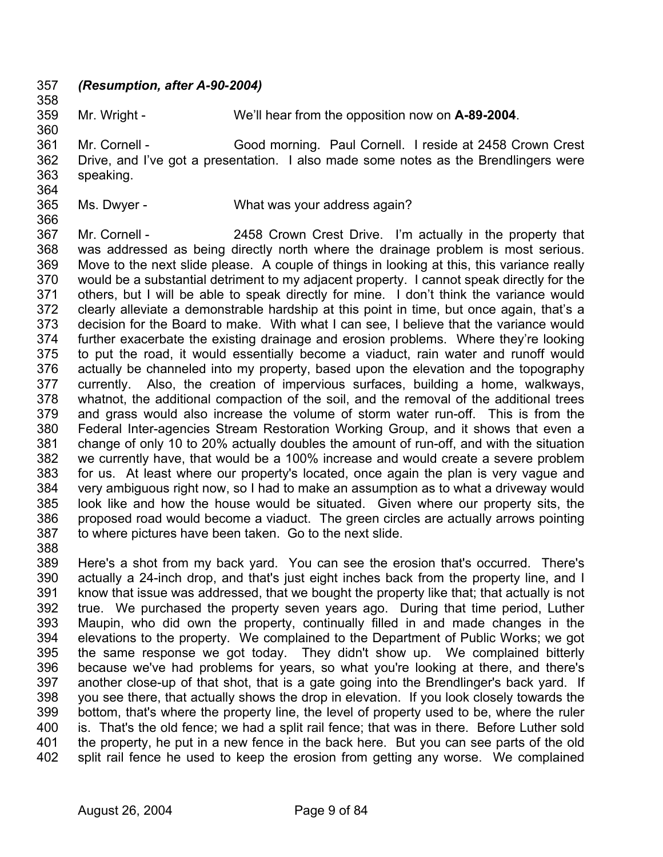357 *(Resumption, after A-90-2004)*  358

359

Mr. Wright - We'll hear from the opposition now on **A-89-2004**.

361 362 363 Mr. Cornell - Good morning. Paul Cornell. I reside at 2458 Crown Crest Drive, and I've got a presentation. I also made some notes as the Brendlingers were speaking.

364

360

- 365
- Ms. Dwyer What was your address again?
- 366

367 368 369 370 371 372 373 374 375 376 377 378 379 380 381 382 383 384 385 386 387 Mr. Cornell - 2458 Crown Crest Drive. I'm actually in the property that was addressed as being directly north where the drainage problem is most serious. Move to the next slide please. A couple of things in looking at this, this variance really would be a substantial detriment to my adjacent property. I cannot speak directly for the others, but I will be able to speak directly for mine. I don't think the variance would clearly alleviate a demonstrable hardship at this point in time, but once again, that's a decision for the Board to make. With what I can see, I believe that the variance would further exacerbate the existing drainage and erosion problems. Where they're looking to put the road, it would essentially become a viaduct, rain water and runoff would actually be channeled into my property, based upon the elevation and the topography currently. Also, the creation of impervious surfaces, building a home, walkways, whatnot, the additional compaction of the soil, and the removal of the additional trees and grass would also increase the volume of storm water run-off. This is from the Federal Inter-agencies Stream Restoration Working Group, and it shows that even a change of only 10 to 20% actually doubles the amount of run-off, and with the situation we currently have, that would be a 100% increase and would create a severe problem for us. At least where our property's located, once again the plan is very vague and very ambiguous right now, so I had to make an assumption as to what a driveway would look like and how the house would be situated. Given where our property sits, the proposed road would become a viaduct. The green circles are actually arrows pointing to where pictures have been taken. Go to the next slide.

388

389 390 391 392 393 394 395 396 397 398 399 400 401 402 Here's a shot from my back yard. You can see the erosion that's occurred. There's actually a 24-inch drop, and that's just eight inches back from the property line, and I know that issue was addressed, that we bought the property like that; that actually is not true. We purchased the property seven years ago. During that time period, Luther Maupin, who did own the property, continually filled in and made changes in the elevations to the property. We complained to the Department of Public Works; we got the same response we got today. They didn't show up. We complained bitterly because we've had problems for years, so what you're looking at there, and there's another close-up of that shot, that is a gate going into the Brendlinger's back yard. If you see there, that actually shows the drop in elevation. If you look closely towards the bottom, that's where the property line, the level of property used to be, where the ruler is. That's the old fence; we had a split rail fence; that was in there. Before Luther sold the property, he put in a new fence in the back here. But you can see parts of the old split rail fence he used to keep the erosion from getting any worse. We complained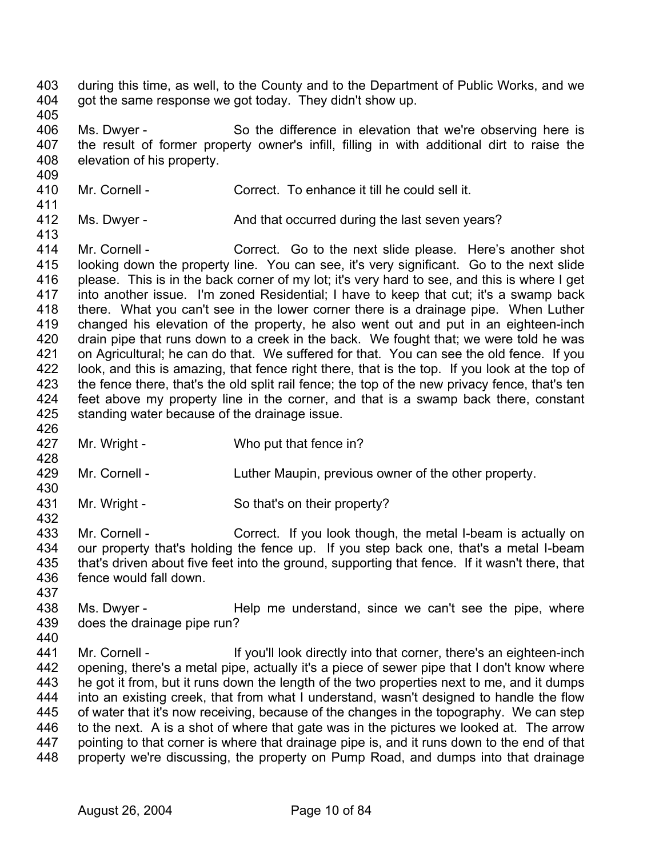- 403 404 during this time, as well, to the County and to the Department of Public Works, and we got the same response we got today. They didn't show up.
- 405

409

406 407 408 Ms. Dwyer - So the difference in elevation that we're observing here is the result of former property owner's infill, filling in with additional dirt to raise the elevation of his property.

410 411 Mr. Cornell - Correct. To enhance it till he could sell it.

412 Ms. Dwyer - And that occurred during the last seven years?

- 413 414 415 416 417 418 419 420 421 422 423 424 425 Mr. Cornell - Correct. Go to the next slide please. Here's another shot looking down the property line. You can see, it's very significant. Go to the next slide please. This is in the back corner of my lot; it's very hard to see, and this is where I get into another issue. I'm zoned Residential; I have to keep that cut; it's a swamp back there. What you can't see in the lower corner there is a drainage pipe. When Luther changed his elevation of the property, he also went out and put in an eighteen-inch drain pipe that runs down to a creek in the back. We fought that; we were told he was on Agricultural; he can do that. We suffered for that. You can see the old fence. If you look, and this is amazing, that fence right there, that is the top. If you look at the top of the fence there, that's the old split rail fence; the top of the new privacy fence, that's ten feet above my property line in the corner, and that is a swamp back there, constant standing water because of the drainage issue.
- 427 Mr. Wright - Who put that fence in?
- 429 Mr. Cornell - Luther Maupin, previous owner of the other property.
- 431 Mr. Wright - So that's on their property?
- 433 434 435 436 Mr. Cornell - Correct. If you look though, the metal I-beam is actually on our property that's holding the fence up. If you step back one, that's a metal I-beam that's driven about five feet into the ground, supporting that fence. If it wasn't there, that fence would fall down.
- 437

426

428

430

- 438 439 440 Ms. Dwyer - Help me understand, since we can't see the pipe, where does the drainage pipe run?
- 441 442 443 444 445 446 447 448 Mr. Cornell - The If you'll look directly into that corner, there's an eighteen-inch opening, there's a metal pipe, actually it's a piece of sewer pipe that I don't know where he got it from, but it runs down the length of the two properties next to me, and it dumps into an existing creek, that from what I understand, wasn't designed to handle the flow of water that it's now receiving, because of the changes in the topography. We can step to the next. A is a shot of where that gate was in the pictures we looked at. The arrow pointing to that corner is where that drainage pipe is, and it runs down to the end of that property we're discussing, the property on Pump Road, and dumps into that drainage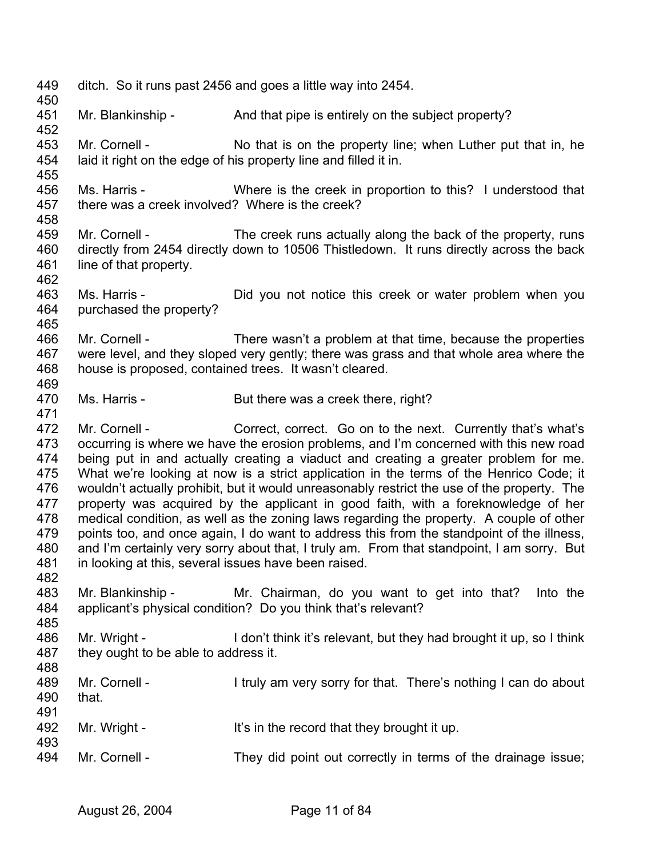449 450 451 452 453 454 455 456 457 458 459 460 461 462 463 464 465 466 467 468 469 470 471 472 473 474 475 476 477 478 479 480 481 482 483 484 485 486 487 488 489 490 491 492 493 494 ditch. So it runs past 2456 and goes a little way into 2454. Mr. Blankinship - And that pipe is entirely on the subject property? Mr. Cornell - No that is on the property line; when Luther put that in, he laid it right on the edge of his property line and filled it in. Ms. Harris - Where is the creek in proportion to this? I understood that there was a creek involved? Where is the creek? Mr. Cornell - The creek runs actually along the back of the property, runs directly from 2454 directly down to 10506 Thistledown. It runs directly across the back line of that property. Ms. Harris - Did you not notice this creek or water problem when you purchased the property? Mr. Cornell - There wasn't a problem at that time, because the properties were level, and they sloped very gently; there was grass and that whole area where the house is proposed, contained trees. It wasn't cleared. Ms. Harris - But there was a creek there, right? Mr. Cornell - Correct, correct. Go on to the next. Currently that's what's occurring is where we have the erosion problems, and I'm concerned with this new road being put in and actually creating a viaduct and creating a greater problem for me. What we're looking at now is a strict application in the terms of the Henrico Code; it wouldn't actually prohibit, but it would unreasonably restrict the use of the property. The property was acquired by the applicant in good faith, with a foreknowledge of her medical condition, as well as the zoning laws regarding the property. A couple of other points too, and once again, I do want to address this from the standpoint of the illness, and I'm certainly very sorry about that, I truly am. From that standpoint, I am sorry. But in looking at this, several issues have been raised. Mr. Blankinship - Mr. Chairman, do you want to get into that? Into the applicant's physical condition? Do you think that's relevant? Mr. Wright - I don't think it's relevant, but they had brought it up, so I think they ought to be able to address it. Mr. Cornell - I truly am very sorry for that. There's nothing I can do about that. Mr. Wright - It's in the record that they brought it up. Mr. Cornell - They did point out correctly in terms of the drainage issue;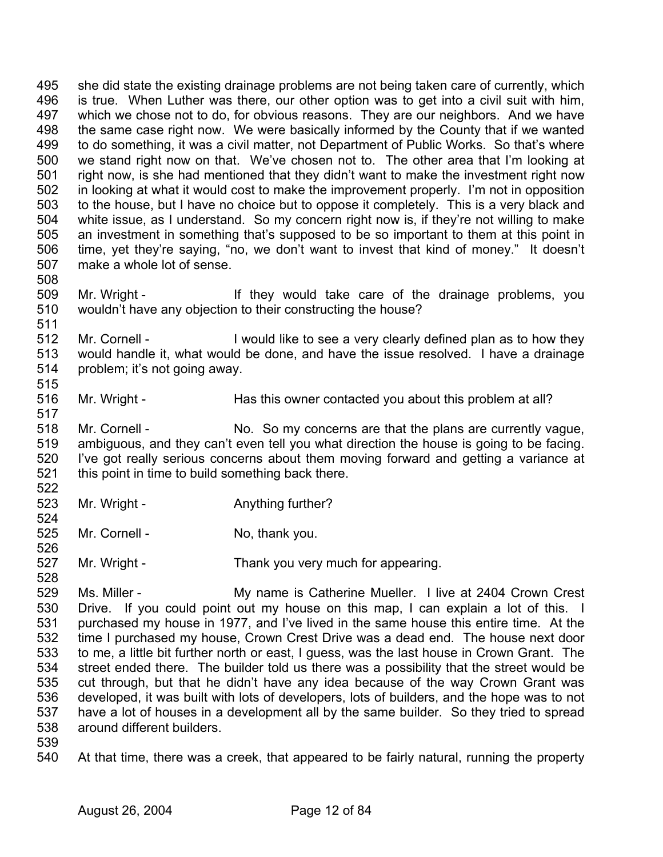495 496 497 498 499 500 501 502 503 504 505 506 507 508 she did state the existing drainage problems are not being taken care of currently, which is true. When Luther was there, our other option was to get into a civil suit with him, which we chose not to do, for obvious reasons. They are our neighbors. And we have the same case right now. We were basically informed by the County that if we wanted to do something, it was a civil matter, not Department of Public Works. So that's where we stand right now on that. We've chosen not to. The other area that I'm looking at right now, is she had mentioned that they didn't want to make the investment right now in looking at what it would cost to make the improvement properly. I'm not in opposition to the house, but I have no choice but to oppose it completely. This is a very black and white issue, as I understand. So my concern right now is, if they're not willing to make an investment in something that's supposed to be so important to them at this point in time, yet they're saying, "no, we don't want to invest that kind of money." It doesn't make a whole lot of sense.

509 510 Mr. Wright - They would take care of the drainage problems, you wouldn't have any objection to their constructing the house?

512 513 514 515 Mr. Cornell - I would like to see a very clearly defined plan as to how they would handle it, what would be done, and have the issue resolved. I have a drainage problem; it's not going away.

516 Mr. Wright - Has this owner contacted you about this problem at all?

518 519 520 521 Mr. Cornell - No. So my concerns are that the plans are currently vaque, ambiguous, and they can't even tell you what direction the house is going to be facing. I've got really serious concerns about them moving forward and getting a variance at this point in time to build something back there.

- 523 Mr. Wright - The Anything further?
- 525 526 Mr. Cornell - No, thank you.
- 527 528 Mr. Wright - Thank you very much for appearing.

529 530 531 532 533 534 535 536 537 538 Ms. Miller - **My name is Catherine Mueller.** I live at 2404 Crown Crest Drive. If you could point out my house on this map, I can explain a lot of this. I purchased my house in 1977, and I've lived in the same house this entire time. At the time I purchased my house, Crown Crest Drive was a dead end. The house next door to me, a little bit further north or east, I guess, was the last house in Crown Grant. The street ended there. The builder told us there was a possibility that the street would be cut through, but that he didn't have any idea because of the way Crown Grant was developed, it was built with lots of developers, lots of builders, and the hope was to not have a lot of houses in a development all by the same builder. So they tried to spread around different builders.

539

511

517

522

524

540 At that time, there was a creek, that appeared to be fairly natural, running the property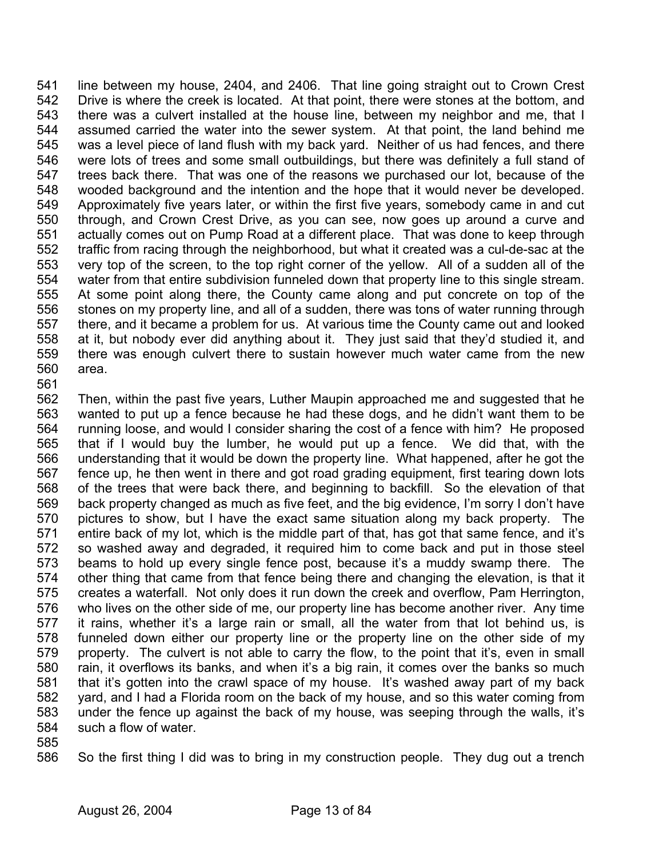541 542 543 544 545 546 547 548 549 550 551 552 553 554 555 556 557 558 559 560 561 line between my house, 2404, and 2406. That line going straight out to Crown Crest Drive is where the creek is located. At that point, there were stones at the bottom, and there was a culvert installed at the house line, between my neighbor and me, that I assumed carried the water into the sewer system. At that point, the land behind me was a level piece of land flush with my back yard. Neither of us had fences, and there were lots of trees and some small outbuildings, but there was definitely a full stand of trees back there. That was one of the reasons we purchased our lot, because of the wooded background and the intention and the hope that it would never be developed. Approximately five years later, or within the first five years, somebody came in and cut through, and Crown Crest Drive, as you can see, now goes up around a curve and actually comes out on Pump Road at a different place. That was done to keep through traffic from racing through the neighborhood, but what it created was a cul-de-sac at the very top of the screen, to the top right corner of the yellow. All of a sudden all of the water from that entire subdivision funneled down that property line to this single stream. At some point along there, the County came along and put concrete on top of the stones on my property line, and all of a sudden, there was tons of water running through there, and it became a problem for us. At various time the County came out and looked at it, but nobody ever did anything about it. They just said that they'd studied it, and there was enough culvert there to sustain however much water came from the new area.

562 563 564 565 566 567 568 569 570 571 572 573 574 575 576 577 578 579 580 581 582 583 584 Then, within the past five years, Luther Maupin approached me and suggested that he wanted to put up a fence because he had these dogs, and he didn't want them to be running loose, and would I consider sharing the cost of a fence with him? He proposed that if I would buy the lumber, he would put up a fence. We did that, with the understanding that it would be down the property line. What happened, after he got the fence up, he then went in there and got road grading equipment, first tearing down lots of the trees that were back there, and beginning to backfill. So the elevation of that back property changed as much as five feet, and the big evidence, I'm sorry I don't have pictures to show, but I have the exact same situation along my back property. The entire back of my lot, which is the middle part of that, has got that same fence, and it's so washed away and degraded, it required him to come back and put in those steel beams to hold up every single fence post, because it's a muddy swamp there. The other thing that came from that fence being there and changing the elevation, is that it creates a waterfall. Not only does it run down the creek and overflow, Pam Herrington, who lives on the other side of me, our property line has become another river. Any time it rains, whether it's a large rain or small, all the water from that lot behind us, is funneled down either our property line or the property line on the other side of my property. The culvert is not able to carry the flow, to the point that it's, even in small rain, it overflows its banks, and when it's a big rain, it comes over the banks so much that it's gotten into the crawl space of my house. It's washed away part of my back yard, and I had a Florida room on the back of my house, and so this water coming from under the fence up against the back of my house, was seeping through the walls, it's such a flow of water.

585

586 So the first thing I did was to bring in my construction people. They dug out a trench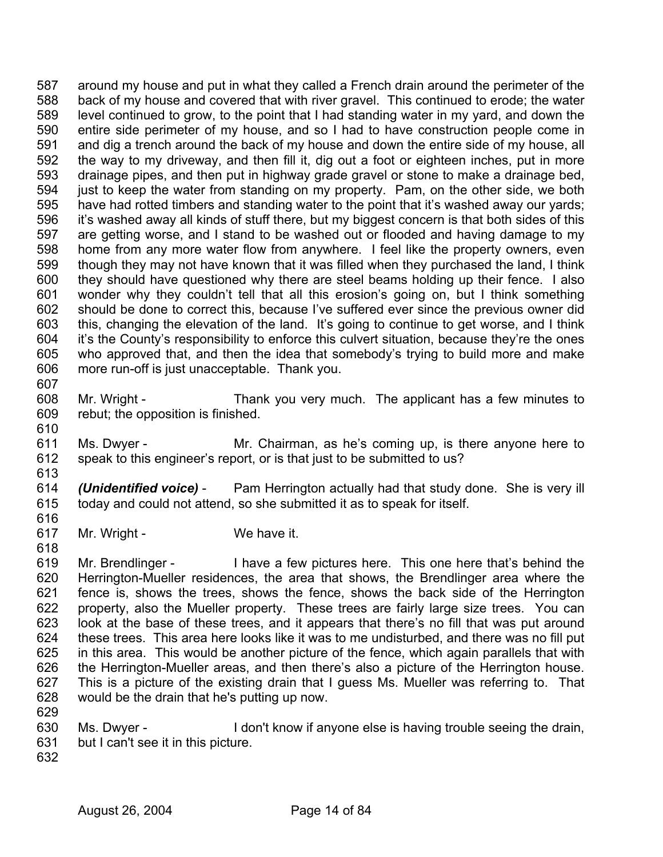587 588 589 590 591 592 593 594 595 596 597 598 599 600 601 602 603 604 605 606 607 around my house and put in what they called a French drain around the perimeter of the back of my house and covered that with river gravel. This continued to erode; the water level continued to grow, to the point that I had standing water in my yard, and down the entire side perimeter of my house, and so I had to have construction people come in and dig a trench around the back of my house and down the entire side of my house, all the way to my driveway, and then fill it, dig out a foot or eighteen inches, put in more drainage pipes, and then put in highway grade gravel or stone to make a drainage bed, just to keep the water from standing on my property. Pam, on the other side, we both have had rotted timbers and standing water to the point that it's washed away our yards; it's washed away all kinds of stuff there, but my biggest concern is that both sides of this are getting worse, and I stand to be washed out or flooded and having damage to my home from any more water flow from anywhere. I feel like the property owners, even though they may not have known that it was filled when they purchased the land, I think they should have questioned why there are steel beams holding up their fence. I also wonder why they couldn't tell that all this erosion's going on, but I think something should be done to correct this, because I've suffered ever since the previous owner did this, changing the elevation of the land. It's going to continue to get worse, and I think it's the County's responsibility to enforce this culvert situation, because they're the ones who approved that, and then the idea that somebody's trying to build more and make more run-off is just unacceptable. Thank you.

- 608 609 Mr. Wright - Thank you very much. The applicant has a few minutes to rebut; the opposition is finished.
- 611 612 613 Ms. Dwyer - Mr. Chairman, as he's coming up, is there anyone here to speak to this engineer's report, or is that just to be submitted to us?
- 614 615 616 *(Unidentified voice)* - Pam Herrington actually had that study done. She is very ill today and could not attend, so she submitted it as to speak for itself.
- 617 Mr. Wright - We have it.
- 619 620 621 622 623 624 625 626 627 628 629 Mr. Brendlinger - I have a few pictures here. This one here that's behind the Herrington-Mueller residences, the area that shows, the Brendlinger area where the fence is, shows the trees, shows the fence, shows the back side of the Herrington property, also the Mueller property. These trees are fairly large size trees. You can look at the base of these trees, and it appears that there's no fill that was put around these trees. This area here looks like it was to me undisturbed, and there was no fill put in this area. This would be another picture of the fence, which again parallels that with the Herrington-Mueller areas, and then there's also a picture of the Herrington house. This is a picture of the existing drain that I guess Ms. Mueller was referring to. That would be the drain that he's putting up now.
- 630 Ms. Dwyer - I don't know if anyone else is having trouble seeing the drain,
- 631 but I can't see it in this picture.
- 632

610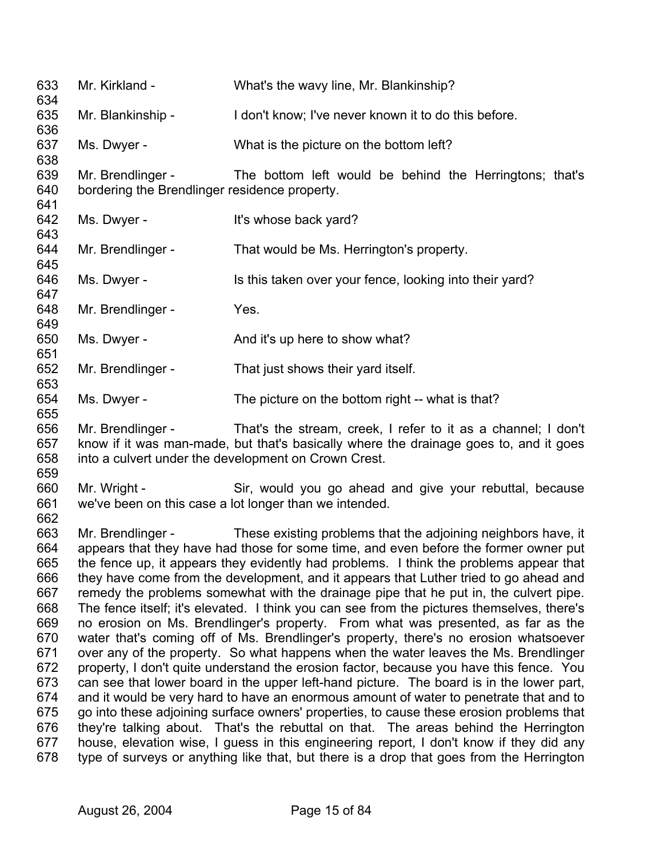633 634 635 636 637 638 639 640 641 642 643 644 645 646 647 648 649 650 651 652 653 654 655 656 657 658 659 660 661 662 663 664 665 666 667 668 669 670 671 672 673 674 675 676 677 678 Mr. Kirkland - What's the wavy line, Mr. Blankinship? Mr. Blankinship - I don't know; I've never known it to do this before. Ms. Dwyer - What is the picture on the bottom left? Mr. Brendlinger - The bottom left would be behind the Herringtons; that's bordering the Brendlinger residence property. Ms. Dwyer - The Music School is whose back yard? Mr. Brendlinger - That would be Ms. Herrington's property. Ms. Dwyer - Is this taken over your fence, looking into their yard? Mr. Brendlinger - Yes. Ms. Dwyer - And it's up here to show what? Mr. Brendlinger - That just shows their yard itself. Ms. Dwyer - The picture on the bottom right -- what is that? Mr. Brendlinger - That's the stream, creek, I refer to it as a channel; I don't know if it was man-made, but that's basically where the drainage goes to, and it goes into a culvert under the development on Crown Crest. Mr. Wright - Sir, would you go ahead and give your rebuttal, because we've been on this case a lot longer than we intended. Mr. Brendlinger - These existing problems that the adjoining neighbors have, it appears that they have had those for some time, and even before the former owner put the fence up, it appears they evidently had problems. I think the problems appear that they have come from the development, and it appears that Luther tried to go ahead and remedy the problems somewhat with the drainage pipe that he put in, the culvert pipe. The fence itself; it's elevated. I think you can see from the pictures themselves, there's no erosion on Ms. Brendlinger's property. From what was presented, as far as the water that's coming off of Ms. Brendlinger's property, there's no erosion whatsoever over any of the property. So what happens when the water leaves the Ms. Brendlinger property, I don't quite understand the erosion factor, because you have this fence. You can see that lower board in the upper left-hand picture. The board is in the lower part, and it would be very hard to have an enormous amount of water to penetrate that and to go into these adjoining surface owners' properties, to cause these erosion problems that they're talking about. That's the rebuttal on that. The areas behind the Herrington house, elevation wise, I guess in this engineering report, I don't know if they did any type of surveys or anything like that, but there is a drop that goes from the Herrington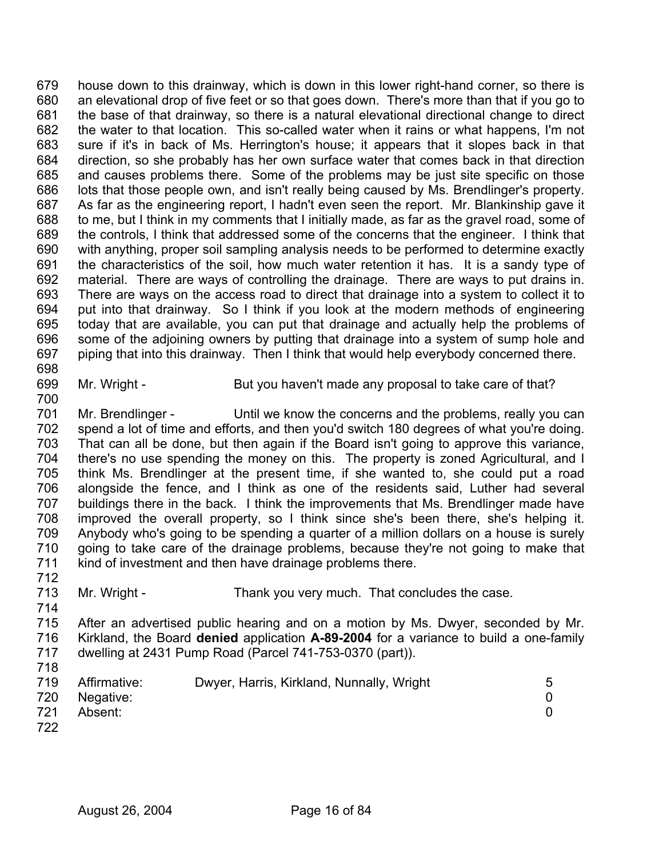679 680 681 682 683 684 685 686 687 688 689 690 691 692 693 694 695 696 697 house down to this drainway, which is down in this lower right-hand corner, so there is an elevational drop of five feet or so that goes down. There's more than that if you go to the base of that drainway, so there is a natural elevational directional change to direct the water to that location. This so-called water when it rains or what happens, I'm not sure if it's in back of Ms. Herrington's house; it appears that it slopes back in that direction, so she probably has her own surface water that comes back in that direction and causes problems there. Some of the problems may be just site specific on those lots that those people own, and isn't really being caused by Ms. Brendlinger's property. As far as the engineering report, I hadn't even seen the report. Mr. Blankinship gave it to me, but I think in my comments that I initially made, as far as the gravel road, some of the controls, I think that addressed some of the concerns that the engineer. I think that with anything, proper soil sampling analysis needs to be performed to determine exactly the characteristics of the soil, how much water retention it has. It is a sandy type of material. There are ways of controlling the drainage. There are ways to put drains in. There are ways on the access road to direct that drainage into a system to collect it to put into that drainway. So I think if you look at the modern methods of engineering today that are available, you can put that drainage and actually help the problems of some of the adjoining owners by putting that drainage into a system of sump hole and piping that into this drainway. Then I think that would help everybody concerned there.

698

699 700

Mr. Wright - But you haven't made any proposal to take care of that?

701 702 703 704 705 706 707 708 709 710 711 712 Mr. Brendlinger - Until we know the concerns and the problems, really you can spend a lot of time and efforts, and then you'd switch 180 degrees of what you're doing. That can all be done, but then again if the Board isn't going to approve this variance, there's no use spending the money on this. The property is zoned Agricultural, and I think Ms. Brendlinger at the present time, if she wanted to, she could put a road alongside the fence, and I think as one of the residents said, Luther had several buildings there in the back. I think the improvements that Ms. Brendlinger made have improved the overall property, so I think since she's been there, she's helping it. Anybody who's going to be spending a quarter of a million dollars on a house is surely going to take care of the drainage problems, because they're not going to make that kind of investment and then have drainage problems there.

713 Mr. Wright - Thank you very much. That concludes the case.

- 715 716 717 After an advertised public hearing and on a motion by Ms. Dwyer, seconded by Mr. Kirkland, the Board **denied** application **A-89-2004** for a variance to build a one-family dwelling at 2431 Pump Road (Parcel 741-753-0370 (part)).
- 718

| 719 | Affirmative: | Dwyer, Harris, Kirkland, Nunnally, Wright |  |
|-----|--------------|-------------------------------------------|--|
| 720 | Negative:    |                                           |  |
| 721 | Absent:      |                                           |  |

- 721
- 722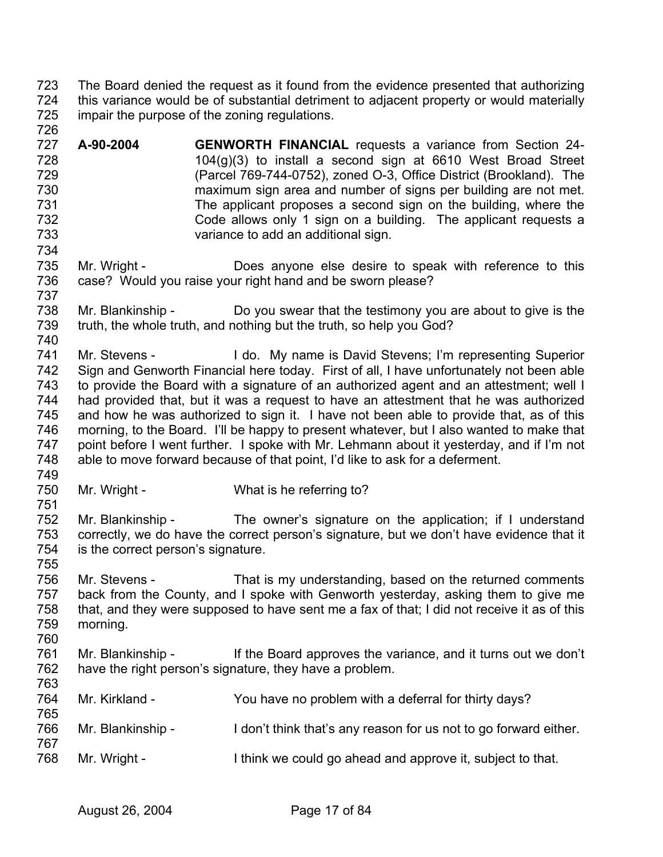723 724 725 726 The Board denied the request as it found from the evidence presented that authorizing this variance would be of substantial detriment to adjacent property or would materially impair the purpose of the zoning regulations.

- 727 728 729 730 731 732 733 734 **A-90-2004 GENWORTH FINANCIAL** requests a variance from Section 24- 104(g)(3) to install a second sign at 6610 West Broad Street (Parcel 769-744-0752), zoned O-3, Office District (Brookland). The maximum sign area and number of signs per building are not met. The applicant proposes a second sign on the building, where the Code allows only 1 sign on a building. The applicant requests a variance to add an additional sign.
- 735 736 737 Mr. Wright - **Does anyone else desire to speak with reference to this** case? Would you raise your right hand and be sworn please?
- 738 739 740 Mr. Blankinship - Do you swear that the testimony you are about to give is the truth, the whole truth, and nothing but the truth, so help you God?
- 741 742 743 744 745 746 747 748 Mr. Stevens - I do. My name is David Stevens; I'm representing Superior Sign and Genworth Financial here today. First of all, I have unfortunately not been able to provide the Board with a signature of an authorized agent and an attestment; well I had provided that, but it was a request to have an attestment that he was authorized and how he was authorized to sign it. I have not been able to provide that, as of this morning, to the Board. I'll be happy to present whatever, but I also wanted to make that point before I went further. I spoke with Mr. Lehmann about it yesterday, and if I'm not able to move forward because of that point, I'd like to ask for a deferment.
- 749

751

755

- 750 Mr. Wright - What is he referring to?
- 752 753 754 Mr. Blankinship - The owner's signature on the application; if I understand correctly, we do have the correct person's signature, but we don't have evidence that it is the correct person's signature.
- 756 757 758 759 Mr. Stevens - That is my understanding, based on the returned comments back from the County, and I spoke with Genworth yesterday, asking them to give me that, and they were supposed to have sent me a fax of that; I did not receive it as of this morning.
- 761 762 763 Mr. Blankinship - If the Board approves the variance, and it turns out we don't have the right person's signature, they have a problem.

| 764<br>765 | Mr. Kirkland -    | You have no problem with a deferral for thirty days?             |
|------------|-------------------|------------------------------------------------------------------|
| 766<br>767 | Mr. Blankinship - | I don't think that's any reason for us not to go forward either. |
| 768        | Mr. Wright -      | I think we could go ahead and approve it, subject to that.       |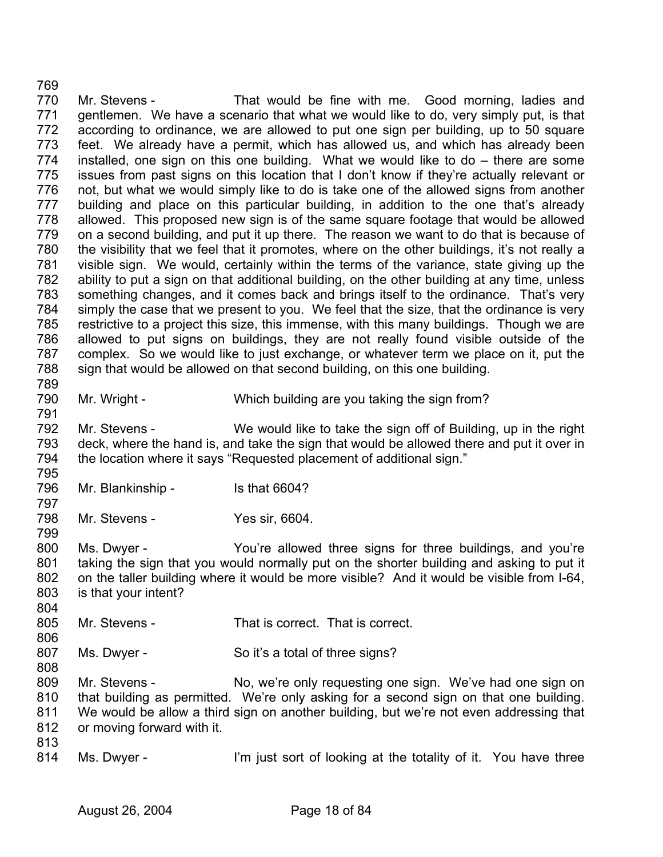770 771 772 773 774 775 776 777 778 779 780 781 782 783 784 785 786 787 788 789 790 791 792 793 794 795 796 797 798 799 800 801 802 803 804 805 806 807 808 809 810 811 812 813 814 Mr. Stevens - That would be fine with me. Good morning, ladies and gentlemen. We have a scenario that what we would like to do, very simply put, is that according to ordinance, we are allowed to put one sign per building, up to 50 square feet. We already have a permit, which has allowed us, and which has already been installed, one sign on this one building. What we would like to do – there are some issues from past signs on this location that I don't know if they're actually relevant or not, but what we would simply like to do is take one of the allowed signs from another building and place on this particular building, in addition to the one that's already allowed. This proposed new sign is of the same square footage that would be allowed on a second building, and put it up there. The reason we want to do that is because of the visibility that we feel that it promotes, where on the other buildings, it's not really a visible sign. We would, certainly within the terms of the variance, state giving up the ability to put a sign on that additional building, on the other building at any time, unless something changes, and it comes back and brings itself to the ordinance. That's very simply the case that we present to you. We feel that the size, that the ordinance is very restrictive to a project this size, this immense, with this many buildings. Though we are allowed to put signs on buildings, they are not really found visible outside of the complex. So we would like to just exchange, or whatever term we place on it, put the sign that would be allowed on that second building, on this one building. Mr. Wright - Which building are you taking the sign from? Mr. Stevens - We would like to take the sign off of Building, up in the right deck, where the hand is, and take the sign that would be allowed there and put it over in the location where it says "Requested placement of additional sign." Mr. Blankinship - Is that 6604? Mr. Stevens - Yes sir, 6604. Ms. Dwyer - You're allowed three signs for three buildings, and you're taking the sign that you would normally put on the shorter building and asking to put it on the taller building where it would be more visible? And it would be visible from I-64, is that your intent? Mr. Stevens - That is correct. That is correct. Ms. Dwyer - So it's a total of three signs? Mr. Stevens - No, we're only requesting one sign. We've had one sign on that building as permitted. We're only asking for a second sign on that one building. We would be allow a third sign on another building, but we're not even addressing that or moving forward with it. Ms. Dwyer - I'm just sort of looking at the totality of it. You have three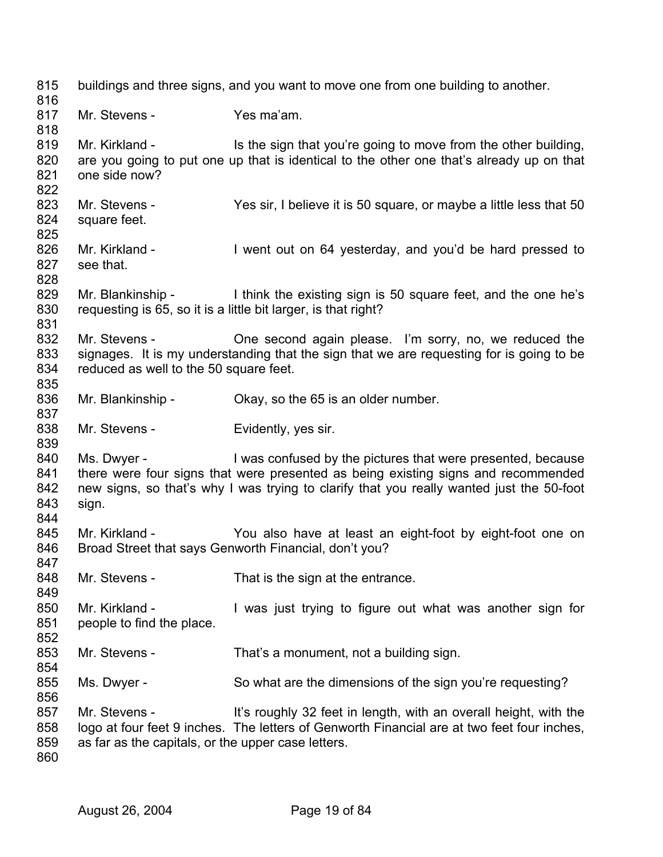815 816 817 818 819 820 821 822 823 824 825 826 827 828 829 830 831 832 833 834 835 836 837 838 839 840 841 842 843 844 845 846 847 848 849 850 851 852 853 854 855 856 857 858 859 860 buildings and three signs, and you want to move one from one building to another. Mr. Stevens - Yes ma'am. Mr. Kirkland - Is the sign that you're going to move from the other building, are you going to put one up that is identical to the other one that's already up on that one side now? Mr. Stevens - Yes sir, I believe it is 50 square, or maybe a little less that 50 square feet. Mr. Kirkland - I went out on 64 yesterday, and you'd be hard pressed to see that. Mr. Blankinship - I think the existing sign is 50 square feet, and the one he's requesting is 65, so it is a little bit larger, is that right? Mr. Stevens - Che second again please. I'm sorry, no, we reduced the signages. It is my understanding that the sign that we are requesting for is going to be reduced as well to the 50 square feet. Mr. Blankinship - Chay, so the 65 is an older number. Mr. Stevens - Evidently, yes sir. Ms. Dwyer - I was confused by the pictures that were presented, because there were four signs that were presented as being existing signs and recommended new signs, so that's why I was trying to clarify that you really wanted just the 50-foot sign. Mr. Kirkland - You also have at least an eight-foot by eight-foot one on Broad Street that says Genworth Financial, don't you? Mr. Stevens - That is the sign at the entrance. Mr. Kirkland - I was just trying to figure out what was another sign for people to find the place. Mr. Stevens - That's a monument, not a building sign. Ms. Dwyer - So what are the dimensions of the sign you're requesting? Mr. Stevens - It's roughly 32 feet in length, with an overall height, with the logo at four feet 9 inches. The letters of Genworth Financial are at two feet four inches, as far as the capitals, or the upper case letters.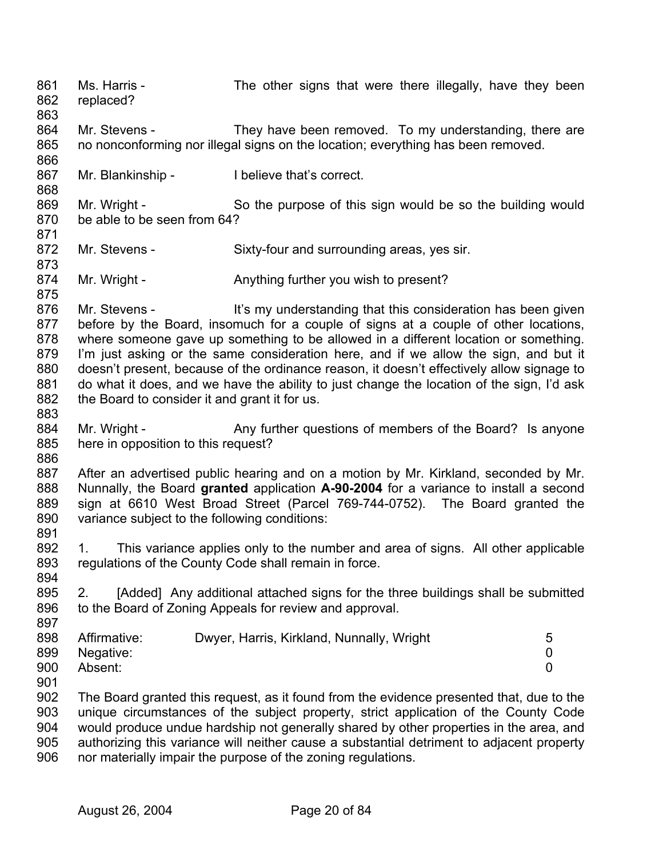861 862 863 864 865 866 867 868 869 870 871 872 873 874 875 876 877 878 879 880 881 882 883 884 885 886 887 888 889 890 891 892 893 894 895 896 897 898 899 900 901 902 903 904 905 906 Ms. Harris - The other signs that were there illegally, have they been replaced? Mr. Stevens - They have been removed. To my understanding, there are no nonconforming nor illegal signs on the location; everything has been removed. Mr. Blankinship - I believe that's correct. Mr. Wright - So the purpose of this sign would be so the building would be able to be seen from 64? Mr. Stevens - Sixty-four and surrounding areas, yes sir. Mr. Wright - Anything further you wish to present? Mr. Stevens - It's my understanding that this consideration has been given before by the Board, insomuch for a couple of signs at a couple of other locations, where someone gave up something to be allowed in a different location or something. I'm just asking or the same consideration here, and if we allow the sign, and but it doesn't present, because of the ordinance reason, it doesn't effectively allow signage to do what it does, and we have the ability to just change the location of the sign, I'd ask the Board to consider it and grant it for us. Mr. Wright - Any further questions of members of the Board? Is anyone here in opposition to this request? After an advertised public hearing and on a motion by Mr. Kirkland, seconded by Mr. Nunnally, the Board **granted** application **A-90-2004** for a variance to install a second sign at 6610 West Broad Street (Parcel 769-744-0752). The Board granted the variance subject to the following conditions: 1. This variance applies only to the number and area of signs. All other applicable regulations of the County Code shall remain in force. 2. [Added] Any additional attached signs for the three buildings shall be submitted to the Board of Zoning Appeals for review and approval. Affirmative: Dwyer, Harris, Kirkland, Nunnally, Wright 5 Negative: 0 Absent: 0 The Board granted this request, as it found from the evidence presented that, due to the unique circumstances of the subject property, strict application of the County Code would produce undue hardship not generally shared by other properties in the area, and authorizing this variance will neither cause a substantial detriment to adjacent property nor materially impair the purpose of the zoning regulations.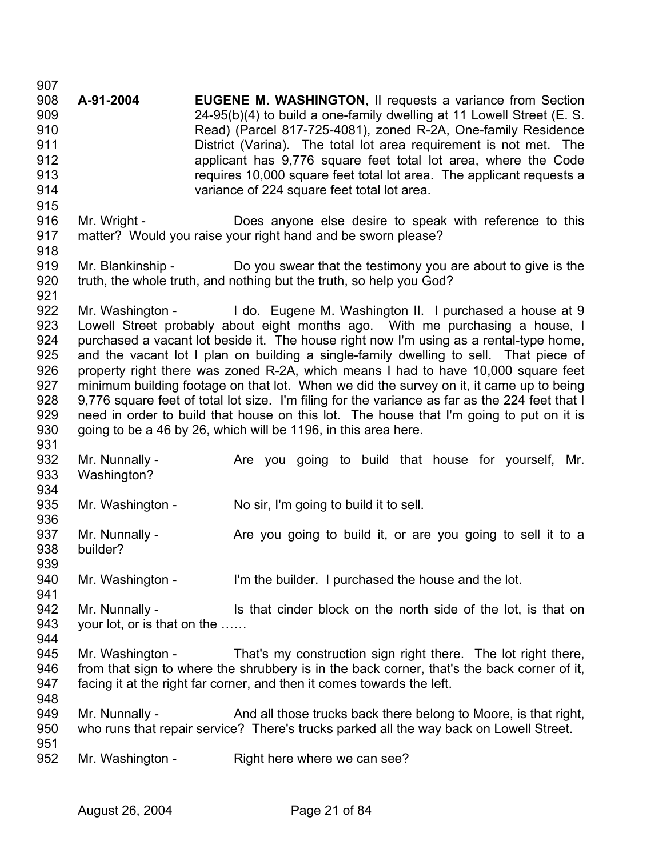907 908 909 910 911 912 913 914 915 916 917 918 919 920 921 922 923 924 925 926 927 928 929 930 931 932 933 934 935 936 937 938 939 940 941 942 943 944 945 946 947 948 949 950 951 952 **A-91-2004 EUGENE M. WASHINGTON**, II requests a variance from Section 24-95(b)(4) to build a one-family dwelling at 11 Lowell Street (E. S. Read) (Parcel 817-725-4081), zoned R-2A, One-family Residence District (Varina). The total lot area requirement is not met. The applicant has 9,776 square feet total lot area, where the Code requires 10,000 square feet total lot area. The applicant requests a variance of 224 square feet total lot area. Mr. Wright - **Does anyone else desire to speak with reference to this** matter? Would you raise your right hand and be sworn please? Mr. Blankinship - Do you swear that the testimony you are about to give is the truth, the whole truth, and nothing but the truth, so help you God? Mr. Washington - I do. Eugene M. Washington II. I purchased a house at 9 Lowell Street probably about eight months ago. With me purchasing a house, I purchased a vacant lot beside it. The house right now I'm using as a rental-type home, and the vacant lot I plan on building a single-family dwelling to sell. That piece of property right there was zoned R-2A, which means I had to have 10,000 square feet minimum building footage on that lot. When we did the survey on it, it came up to being 9,776 square feet of total lot size. I'm filing for the variance as far as the 224 feet that I need in order to build that house on this lot. The house that I'm going to put on it is going to be a 46 by 26, which will be 1196, in this area here. Mr. Nunnally - Are you going to build that house for yourself, Mr. Washington? Mr. Washington - No sir, I'm going to build it to sell. Mr. Nunnally - Are you going to build it, or are you going to sell it to a builder? Mr. Washington - I'm the builder. I purchased the house and the lot. Mr. Nunnally - The list that cinder block on the north side of the lot, is that on your lot, or is that on the …… Mr. Washington - That's my construction sign right there. The lot right there, from that sign to where the shrubbery is in the back corner, that's the back corner of it, facing it at the right far corner, and then it comes towards the left. Mr. Nunnally - And all those trucks back there belong to Moore, is that right, who runs that repair service? There's trucks parked all the way back on Lowell Street. Mr. Washington - Right here where we can see?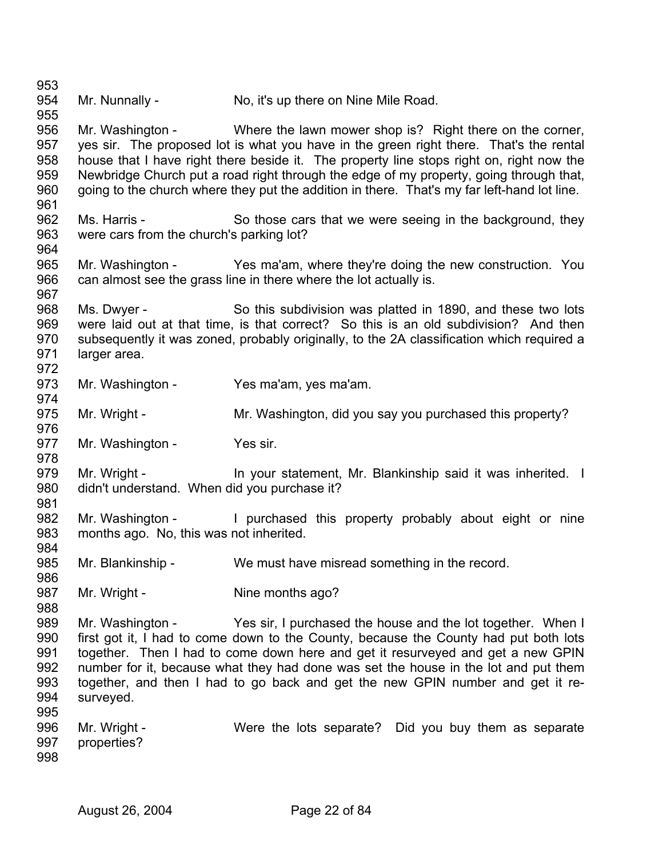953 954 955 956 957 958 959 960 961 962 963 964 965 966 967 968 969 970 971 972 973 974 975 976 977 978 979 980 981 982 983 984 985 986 987 988 989 990 991 992 993 994 995 996 997 998 Mr. Nunnally - No, it's up there on Nine Mile Road. Mr. Washington - Where the lawn mower shop is? Right there on the corner, yes sir. The proposed lot is what you have in the green right there. That's the rental house that I have right there beside it. The property line stops right on, right now the Newbridge Church put a road right through the edge of my property, going through that, going to the church where they put the addition in there. That's my far left-hand lot line. Ms. Harris - So those cars that we were seeing in the background, they were cars from the church's parking lot? Mr. Washington - Yes ma'am, where they're doing the new construction. You can almost see the grass line in there where the lot actually is. Ms. Dwyer - So this subdivision was platted in 1890, and these two lots were laid out at that time, is that correct? So this is an old subdivision? And then subsequently it was zoned, probably originally, to the 2A classification which required a larger area. Mr. Washington - Yes ma'am, yes ma'am. Mr. Wright - Mr. Washington, did you say you purchased this property? Mr. Washington - Yes sir. Mr. Wright - In your statement, Mr. Blankinship said it was inherited. I didn't understand. When did you purchase it? Mr. Washington - I purchased this property probably about eight or nine months ago. No, this was not inherited. Mr. Blankinship - We must have misread something in the record. Mr. Wright - Nine months ago? Mr. Washington - Yes sir, I purchased the house and the lot together. When I first got it, I had to come down to the County, because the County had put both lots together. Then I had to come down here and get it resurveyed and get a new GPIN number for it, because what they had done was set the house in the lot and put them together, and then I had to go back and get the new GPIN number and get it resurveyed. Mr. Wright - Were the lots separate? Did you buy them as separate properties?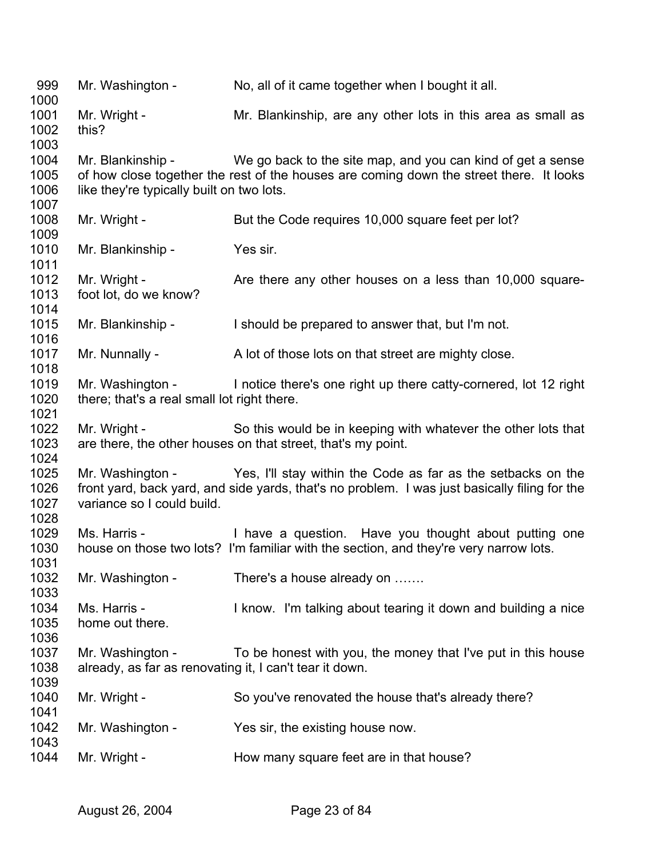Mr. Washington - No, all of it came together when I bought it all. Mr. Wright - Mr. Blankinship, are any other lots in this area as small as this? Mr. Blankinship - We go back to the site map, and you can kind of get a sense of how close together the rest of the houses are coming down the street there. It looks like they're typically built on two lots. Mr. Wright - But the Code requires 10,000 square feet per lot? Mr. Blankinship - Yes sir. Mr. Wright - Are there any other houses on a less than 10,000 squarefoot lot, do we know? Mr. Blankinship - The Should be prepared to answer that, but I'm not. Mr. Nunnally - A lot of those lots on that street are mighty close. Mr. Washington - I notice there's one right up there catty-cornered, lot 12 right there; that's a real small lot right there. Mr. Wright - So this would be in keeping with whatever the other lots that are there, the other houses on that street, that's my point. Mr. Washington - Yes, I'll stay within the Code as far as the setbacks on the front yard, back yard, and side yards, that's no problem. I was just basically filing for the variance so I could build. Ms. Harris - Thave a question. Have you thought about putting one house on those two lots? I'm familiar with the section, and they're very narrow lots. Mr. Washington - There's a house already on ....... Ms. Harris - I know. I'm talking about tearing it down and building a nice home out there. Mr. Washington - To be honest with you, the money that I've put in this house already, as far as renovating it, I can't tear it down. Mr. Wright - So you've renovated the house that's already there? Mr. Washington - Yes sir, the existing house now. Mr. Wright - The How many square feet are in that house?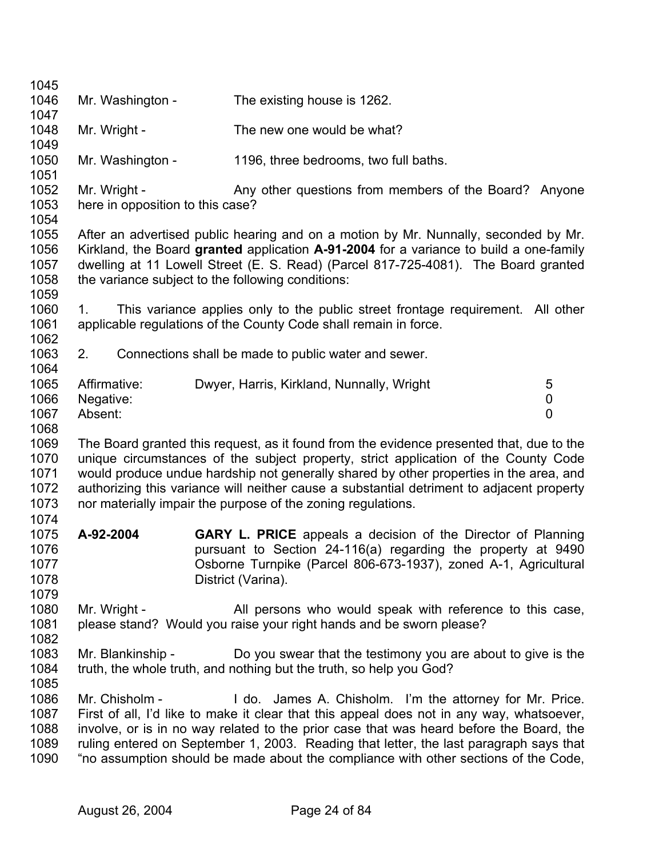| 1045 |                                  |                                                                                           |                |
|------|----------------------------------|-------------------------------------------------------------------------------------------|----------------|
| 1046 | Mr. Washington -                 | The existing house is 1262.                                                               |                |
| 1047 |                                  |                                                                                           |                |
| 1048 | Mr. Wright -                     | The new one would be what?                                                                |                |
| 1049 |                                  |                                                                                           |                |
| 1050 | Mr. Washington -                 | 1196, three bedrooms, two full baths.                                                     |                |
| 1051 |                                  |                                                                                           |                |
| 1052 | Mr. Wright -                     | Any other questions from members of the Board? Anyone                                     |                |
| 1053 | here in opposition to this case? |                                                                                           |                |
| 1054 |                                  |                                                                                           |                |
| 1055 |                                  | After an advertised public hearing and on a motion by Mr. Nunnally, seconded by Mr.       |                |
| 1056 |                                  | Kirkland, the Board granted application A-91-2004 for a variance to build a one-family    |                |
| 1057 |                                  | dwelling at 11 Lowell Street (E. S. Read) (Parcel 817-725-4081). The Board granted        |                |
| 1058 |                                  | the variance subject to the following conditions:                                         |                |
| 1059 |                                  |                                                                                           |                |
| 1060 | 1.                               | This variance applies only to the public street frontage requirement. All other           |                |
| 1061 |                                  | applicable regulations of the County Code shall remain in force.                          |                |
| 1062 |                                  |                                                                                           |                |
| 1063 | 2.                               | Connections shall be made to public water and sewer.                                      |                |
| 1064 |                                  |                                                                                           |                |
| 1065 | Affirmative:                     | Dwyer, Harris, Kirkland, Nunnally, Wright                                                 | 5              |
| 1066 | Negative:                        |                                                                                           | 0              |
| 1067 | Absent:                          |                                                                                           | $\overline{0}$ |
| 1068 |                                  |                                                                                           |                |
| 1069 |                                  | The Board granted this request, as it found from the evidence presented that, due to the  |                |
| 1070 |                                  | unique circumstances of the subject property, strict application of the County Code       |                |
| 1071 |                                  | would produce undue hardship not generally shared by other properties in the area, and    |                |
| 1072 |                                  | authorizing this variance will neither cause a substantial detriment to adjacent property |                |
| 1073 |                                  | nor materially impair the purpose of the zoning regulations.                              |                |
| 1074 |                                  |                                                                                           |                |
| 1075 | A-92-2004                        | <b>GARY L. PRICE</b> appeals a decision of the Director of Planning                       |                |
| 1076 |                                  | pursuant to Section 24-116(a) regarding the property at 9490                              |                |
| 1077 |                                  | Osborne Turnpike (Parcel 806-673-1937), zoned A-1, Agricultural                           |                |
| 1078 |                                  | District (Varina).                                                                        |                |
| 1079 |                                  |                                                                                           |                |
| 1080 | Mr. Wright -                     | All persons who would speak with reference to this case,                                  |                |
| 1081 |                                  | please stand? Would you raise your right hands and be sworn please?                       |                |
| 1082 |                                  |                                                                                           |                |
| 1083 | Mr. Blankinship -                | Do you swear that the testimony you are about to give is the                              |                |
| 1084 |                                  | truth, the whole truth, and nothing but the truth, so help you God?                       |                |
| 1085 |                                  |                                                                                           |                |
| 1086 | Mr. Chisholm -                   | I do. James A. Chisholm. I'm the attorney for Mr. Price.                                  |                |
| 1087 |                                  | First of all, I'd like to make it clear that this appeal does not in any way, whatsoever, |                |
| 1088 |                                  | involve, or is in no way related to the prior case that was heard before the Board, the   |                |
| 1089 |                                  |                                                                                           |                |
|      |                                  | ruling entered on September 1, 2003. Reading that letter, the last paragraph says that    |                |
| 1090 |                                  | "no assumption should be made about the compliance with other sections of the Code,       |                |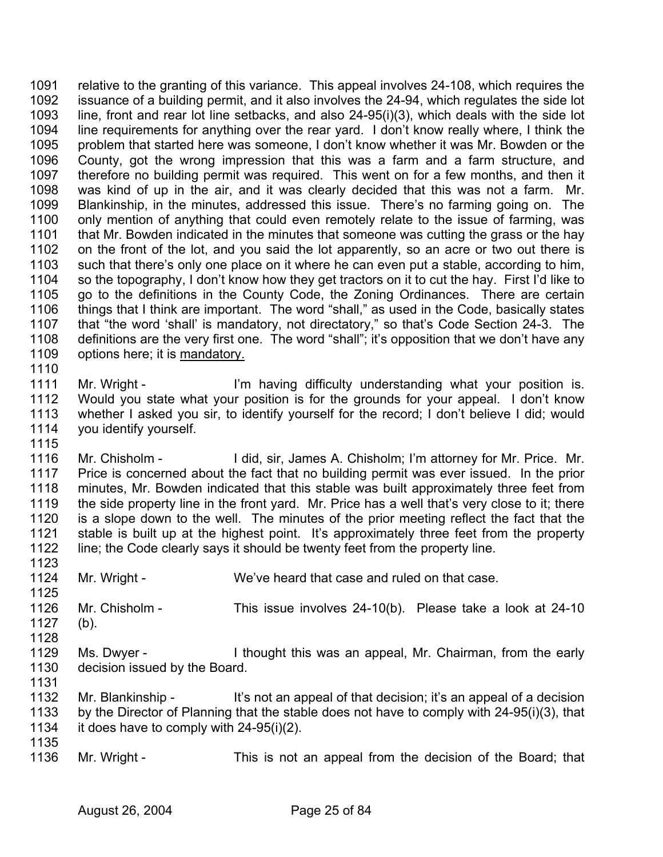relative to the granting of this variance. This appeal involves 24-108, which requires the issuance of a building permit, and it also involves the 24-94, which regulates the side lot line, front and rear lot line setbacks, and also 24-95(i)(3), which deals with the side lot line requirements for anything over the rear yard. I don't know really where, I think the problem that started here was someone, I don't know whether it was Mr. Bowden or the County, got the wrong impression that this was a farm and a farm structure, and therefore no building permit was required. This went on for a few months, and then it was kind of up in the air, and it was clearly decided that this was not a farm. Mr. Blankinship, in the minutes, addressed this issue. There's no farming going on. The only mention of anything that could even remotely relate to the issue of farming, was that Mr. Bowden indicated in the minutes that someone was cutting the grass or the hay on the front of the lot, and you said the lot apparently, so an acre or two out there is such that there's only one place on it where he can even put a stable, according to him, so the topography, I don't know how they get tractors on it to cut the hay. First I'd like to go to the definitions in the County Code, the Zoning Ordinances. There are certain things that I think are important. The word "shall," as used in the Code, basically states that "the word 'shall' is mandatory, not directatory," so that's Code Section 24-3. The definitions are the very first one. The word "shall"; it's opposition that we don't have any 1109 options here; it is mandatory. 1091 1092 1093 1094 1095 1096 1097 1098 1099 1100 1101 1102 1103 1104 1105 1106 1107 1108 1110

1111 1112 1113 1114 1115 Mr. Wright - I'm having difficulty understanding what your position is. Would you state what your position is for the grounds for your appeal. I don't know whether I asked you sir, to identify yourself for the record; I don't believe I did; would you identify yourself.

1116 1117 1118 1119 1120 1121 1122 Mr. Chisholm - I did, sir, James A. Chisholm; I'm attorney for Mr. Price. Mr. Price is concerned about the fact that no building permit was ever issued. In the prior minutes, Mr. Bowden indicated that this stable was built approximately three feet from the side property line in the front yard. Mr. Price has a well that's very close to it; there is a slope down to the well. The minutes of the prior meeting reflect the fact that the stable is built up at the highest point. It's approximately three feet from the property line; the Code clearly says it should be twenty feet from the property line.

- 1124 1125 1126 1127 1128 Mr. Wright - We've heard that case and ruled on that case. Mr. Chisholm - This issue involves 24-10(b). Please take a look at 24-10 (b).
- 1129 1130 1131 Ms. Dwyer - I thought this was an appeal, Mr. Chairman, from the early decision issued by the Board.
- 1132 1133 1134 Mr. Blankinship - It's not an appeal of that decision; it's an appeal of a decision by the Director of Planning that the stable does not have to comply with 24-95(i)(3), that it does have to comply with 24-95(i)(2).
- 1135 1136

1123

Mr. Wright - This is not an appeal from the decision of the Board; that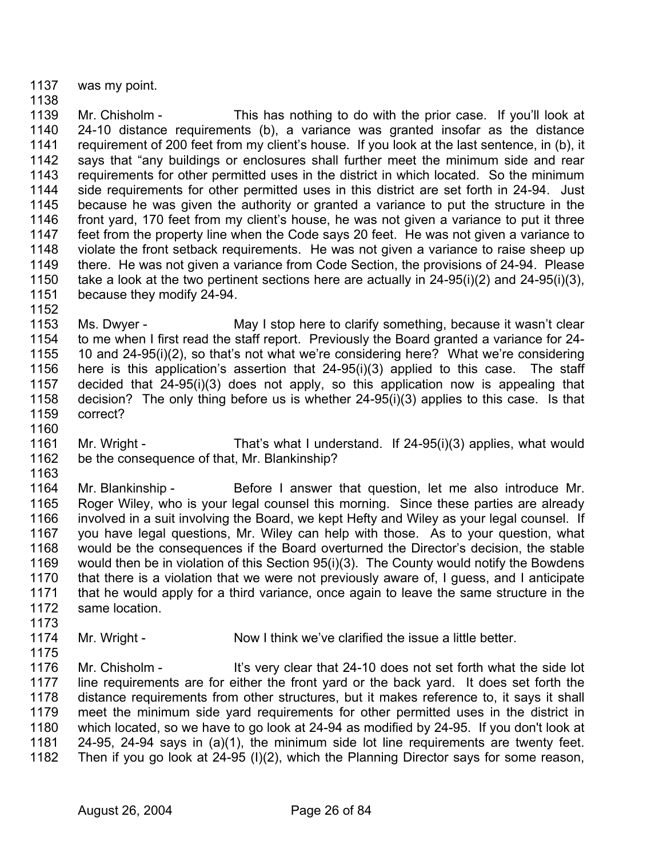1137 was my point.

1138

1139 1140 1141 1142 1143 1144 1145 1146 1147 1148 1149 1150 1151 Mr. Chisholm - This has nothing to do with the prior case. If you'll look at 24-10 distance requirements (b), a variance was granted insofar as the distance requirement of 200 feet from my client's house. If you look at the last sentence, in (b), it says that "any buildings or enclosures shall further meet the minimum side and rear requirements for other permitted uses in the district in which located. So the minimum side requirements for other permitted uses in this district are set forth in 24-94. Just because he was given the authority or granted a variance to put the structure in the front yard, 170 feet from my client's house, he was not given a variance to put it three feet from the property line when the Code says 20 feet. He was not given a variance to violate the front setback requirements. He was not given a variance to raise sheep up there. He was not given a variance from Code Section, the provisions of 24-94. Please take a look at the two pertinent sections here are actually in 24-95(i)(2) and 24-95(i)(3), because they modify 24-94.

1153 1154 1155 1156 1157 1158 1159 Ms. Dwyer - May I stop here to clarify something, because it wasn't clear to me when I first read the staff report. Previously the Board granted a variance for 24- 10 and 24-95(i)(2), so that's not what we're considering here? What we're considering here is this application's assertion that 24-95(i)(3) applied to this case. The staff decided that 24-95(i)(3) does not apply, so this application now is appealing that decision? The only thing before us is whether 24-95(i)(3) applies to this case. Is that correct?

- 1161 1162 Mr. Wright - That's what I understand. If 24-95(i)(3) applies, what would be the consequence of that, Mr. Blankinship?
- 1163

1160

1152

1164 1165 1166 1167 1168 1169 1170 1171 1172 1173 Mr. Blankinship - Before I answer that question, let me also introduce Mr. Roger Wiley, who is your legal counsel this morning. Since these parties are already involved in a suit involving the Board, we kept Hefty and Wiley as your legal counsel. If you have legal questions, Mr. Wiley can help with those. As to your question, what would be the consequences if the Board overturned the Director's decision, the stable would then be in violation of this Section 95(i)(3). The County would notify the Bowdens that there is a violation that we were not previously aware of, I guess, and I anticipate that he would apply for a third variance, once again to leave the same structure in the same location.

- 1174 Mr. Wright - Now I think we've clarified the issue a little better.
- 1175 1176 1177 1178 1179 1180 1181 1182 Mr. Chisholm - It's very clear that 24-10 does not set forth what the side lot line requirements are for either the front yard or the back yard. It does set forth the distance requirements from other structures, but it makes reference to, it says it shall meet the minimum side yard requirements for other permitted uses in the district in which located, so we have to go look at 24-94 as modified by 24-95. If you don't look at 24-95, 24-94 says in (a)(1), the minimum side lot line requirements are twenty feet. Then if you go look at 24-95 (I)(2), which the Planning Director says for some reason,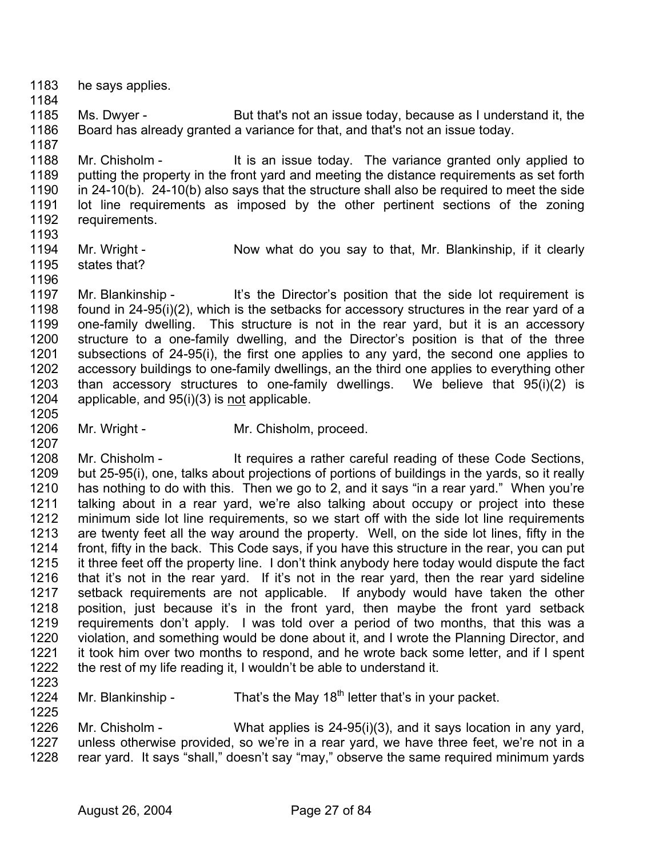- 1183 1184 he says applies.
- 1185 1186 Ms. Dwyer - But that's not an issue today, because as I understand it, the Board has already granted a variance for that, and that's not an issue today.
- 1188 1189 1190 1191 1192 Mr. Chisholm - It is an issue today. The variance granted only applied to putting the property in the front yard and meeting the distance requirements as set forth in 24-10(b). 24-10(b) also says that the structure shall also be required to meet the side lot line requirements as imposed by the other pertinent sections of the zoning requirements.
- 1193

1187

- 1194 states that?
- Mr. Wright Now what do you say to that, Mr. Blankinship, if it clearly
- 1195 1196

1205

1207

1223

1225

- 1197 1198 1199 1200 1201 1202 1203 Mr. Blankinship - It's the Director's position that the side lot requirement is found in 24-95(i)(2), which is the setbacks for accessory structures in the rear yard of a one-family dwelling. This structure is not in the rear yard, but it is an accessory structure to a one-family dwelling, and the Director's position is that of the three subsections of 24-95(i), the first one applies to any yard, the second one applies to accessory buildings to one-family dwellings, an the third one applies to everything other than accessory structures to one-family dwellings. We believe that 95(i)(2) is 1204 applicable, and 95(i)(3) is not applicable.
- 1206 Mr. Wright - Mr. Chisholm, proceed.

1208 1209 1210 1211 1212 1213 1214 1215 1216 1217 1218 1219 1220 1221 1222 Mr. Chisholm - It requires a rather careful reading of these Code Sections, but 25-95(i), one, talks about projections of portions of buildings in the yards, so it really has nothing to do with this. Then we go to 2, and it says "in a rear yard." When you're talking about in a rear yard, we're also talking about occupy or project into these minimum side lot line requirements, so we start off with the side lot line requirements are twenty feet all the way around the property. Well, on the side lot lines, fifty in the front, fifty in the back. This Code says, if you have this structure in the rear, you can put it three feet off the property line. I don't think anybody here today would dispute the fact that it's not in the rear yard. If it's not in the rear yard, then the rear yard sideline setback requirements are not applicable. If anybody would have taken the other position, just because it's in the front yard, then maybe the front yard setback requirements don't apply. I was told over a period of two months, that this was a violation, and something would be done about it, and I wrote the Planning Director, and it took him over two months to respond, and he wrote back some letter, and if I spent the rest of my life reading it, I wouldn't be able to understand it.

- 1224 Mr. Blankinship - That's the May  $18<sup>th</sup>$  letter that's in your packet.
- 1226 1227 1228 Mr. Chisholm - What applies is 24-95(i)(3), and it says location in any yard, unless otherwise provided, so we're in a rear yard, we have three feet, we're not in a rear yard. It says "shall," doesn't say "may," observe the same required minimum yards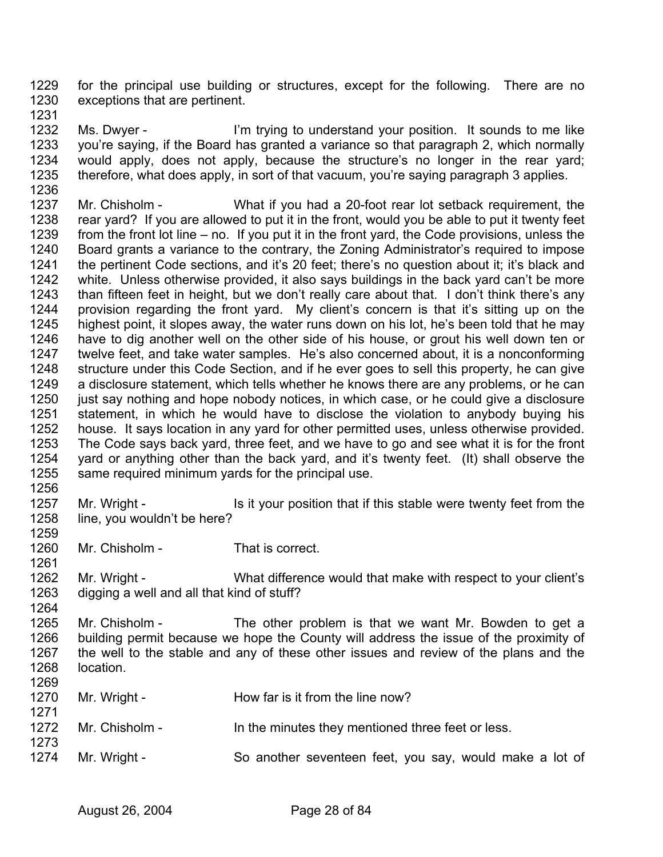1229 1230 for the principal use building or structures, except for the following. There are no exceptions that are pertinent.

1231

1256

1259

1261

1264

1271

1273

1232 1233 1234 1235 1236 Ms. Dwyer - I'm trying to understand your position. It sounds to me like you're saying, if the Board has granted a variance so that paragraph 2, which normally would apply, does not apply, because the structure's no longer in the rear yard; therefore, what does apply, in sort of that vacuum, you're saying paragraph 3 applies.

- 1237 1238 1239 1240 1241 1242 1243 1244 1245 1246 1247 1248 1249 1250 1251 1252 1253 1254 1255 Mr. Chisholm - What if you had a 20-foot rear lot setback requirement, the rear yard? If you are allowed to put it in the front, would you be able to put it twenty feet from the front lot line – no. If you put it in the front yard, the Code provisions, unless the Board grants a variance to the contrary, the Zoning Administrator's required to impose the pertinent Code sections, and it's 20 feet; there's no question about it; it's black and white. Unless otherwise provided, it also says buildings in the back yard can't be more than fifteen feet in height, but we don't really care about that. I don't think there's any provision regarding the front yard. My client's concern is that it's sitting up on the highest point, it slopes away, the water runs down on his lot, he's been told that he may have to dig another well on the other side of his house, or grout his well down ten or twelve feet, and take water samples. He's also concerned about, it is a nonconforming structure under this Code Section, and if he ever goes to sell this property, he can give a disclosure statement, which tells whether he knows there are any problems, or he can just say nothing and hope nobody notices, in which case, or he could give a disclosure statement, in which he would have to disclose the violation to anybody buying his house. It says location in any yard for other permitted uses, unless otherwise provided. The Code says back yard, three feet, and we have to go and see what it is for the front yard or anything other than the back yard, and it's twenty feet. (It) shall observe the same required minimum yards for the principal use.
- 1257 1258 Mr. Wright - Is it your position that if this stable were twenty feet from the line, you wouldn't be here?
- 1260 Mr. Chisholm - That is correct.
- 1262 1263 Mr. Wright - What difference would that make with respect to your client's digging a well and all that kind of stuff?
- 1265 1266 1267 1268 1269 Mr. Chisholm - The other problem is that we want Mr. Bowden to get a building permit because we hope the County will address the issue of the proximity of the well to the stable and any of these other issues and review of the plans and the location.
- 1270 Mr. Wright - How far is it from the line now?
- 1272 Mr. Chisholm - In the minutes they mentioned three feet or less.
- 1274 Mr. Wright - So another seventeen feet, you say, would make a lot of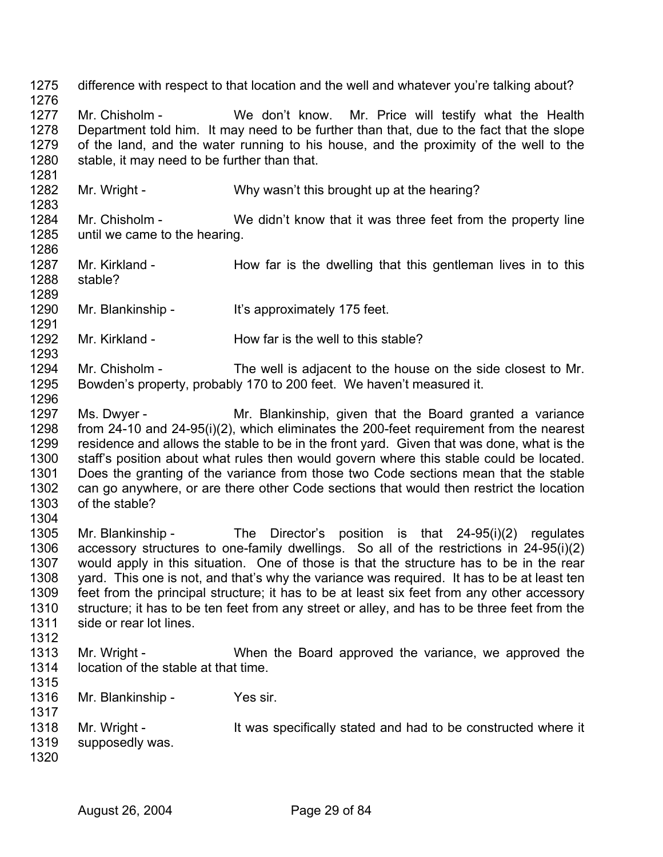1275 1276 1277 1278 1279 1280 1281 1282 1283 1284 1285 1286 1287 1288 1289 1290 1291 1292 1293 1294 1295 1296 1297 1298 1299 1300 1301 1302 1303 1304 1305 1306 1307 1308 1309 1310 1311 1312 1313 1314 1315 1316 1317 1318 1319 1320 difference with respect to that location and the well and whatever you're talking about? Mr. Chisholm - We don't know. Mr. Price will testify what the Health Department told him. It may need to be further than that, due to the fact that the slope of the land, and the water running to his house, and the proximity of the well to the stable, it may need to be further than that. Mr. Wright - Why wasn't this brought up at the hearing? Mr. Chisholm - We didn't know that it was three feet from the property line until we came to the hearing. Mr. Kirkland - How far is the dwelling that this gentleman lives in to this stable? Mr. Blankinship - It's approximately 175 feet. Mr. Kirkland - How far is the well to this stable? Mr. Chisholm - The well is adjacent to the house on the side closest to Mr. Bowden's property, probably 170 to 200 feet. We haven't measured it. Ms. Dwyer - Mr. Blankinship, given that the Board granted a variance from 24-10 and 24-95(i)(2), which eliminates the 200-feet requirement from the nearest residence and allows the stable to be in the front yard. Given that was done, what is the staff's position about what rules then would govern where this stable could be located. Does the granting of the variance from those two Code sections mean that the stable can go anywhere, or are there other Code sections that would then restrict the location of the stable? Mr. Blankinship - The Director's position is that 24-95(i)(2) regulates accessory structures to one-family dwellings. So all of the restrictions in 24-95(i)(2) would apply in this situation. One of those is that the structure has to be in the rear yard. This one is not, and that's why the variance was required. It has to be at least ten feet from the principal structure; it has to be at least six feet from any other accessory structure; it has to be ten feet from any street or alley, and has to be three feet from the side or rear lot lines. Mr. Wright - When the Board approved the variance, we approved the location of the stable at that time. Mr. Blankinship - Yes sir. Mr. Wright - The Must Specifically stated and had to be constructed where it supposedly was.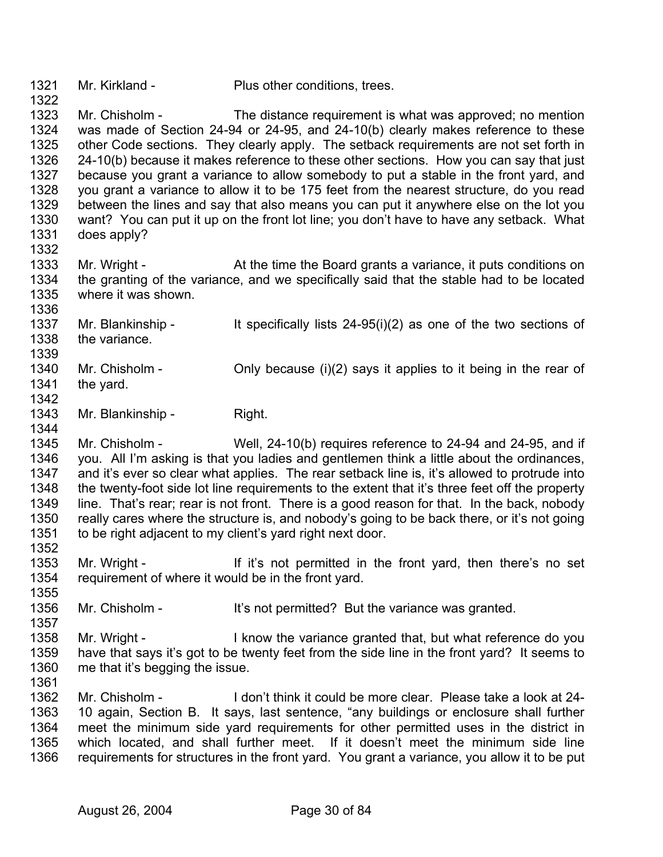1321 Mr. Kirkland - Plus other conditions, trees.

1323 1324 1325 1326 1327 1328 1329 1330 1331 Mr. Chisholm - The distance requirement is what was approved; no mention was made of Section 24-94 or 24-95, and 24-10(b) clearly makes reference to these other Code sections. They clearly apply. The setback requirements are not set forth in 24-10(b) because it makes reference to these other sections. How you can say that just because you grant a variance to allow somebody to put a stable in the front yard, and you grant a variance to allow it to be 175 feet from the nearest structure, do you read between the lines and say that also means you can put it anywhere else on the lot you want? You can put it up on the front lot line; you don't have to have any setback. What does apply?

1333 1334 1335 Mr. Wright - At the time the Board grants a variance, it puts conditions on the granting of the variance, and we specifically said that the stable had to be located where it was shown

1336 1337 1338 1339 Mr. Blankinship - It specifically lists 24-95(i)(2) as one of the two sections of the variance.

- 1340 1341 1342 Mr. Chisholm - Chisholm - Only because  $(i)(2)$  says it applies to it being in the rear of the yard.
- 1343 1344 Mr. Blankinship - Right.

1322

1332

1357

1361

1345 1346 1347 1348 1349 1350 1351 1352 Mr. Chisholm - Well, 24-10(b) requires reference to 24-94 and 24-95, and if you. All I'm asking is that you ladies and gentlemen think a little about the ordinances, and it's ever so clear what applies. The rear setback line is, it's allowed to protrude into the twenty-foot side lot line requirements to the extent that it's three feet off the property line. That's rear; rear is not front. There is a good reason for that. In the back, nobody really cares where the structure is, and nobody's going to be back there, or it's not going to be right adjacent to my client's yard right next door.

- 1353 1354 1355 Mr. Wright - If it's not permitted in the front yard, then there's no set requirement of where it would be in the front yard.
- 1356 Mr. Chisholm - It's not permitted? But the variance was granted.
- 1358 1359 1360 Mr. Wright - I know the variance granted that, but what reference do you have that says it's got to be twenty feet from the side line in the front yard? It seems to me that it's begging the issue.
- 1362 1363 1364 1365 1366 Mr. Chisholm - I don't think it could be more clear. Please take a look at 24- 10 again, Section B. It says, last sentence, "any buildings or enclosure shall further meet the minimum side yard requirements for other permitted uses in the district in which located, and shall further meet. If it doesn't meet the minimum side line requirements for structures in the front yard. You grant a variance, you allow it to be put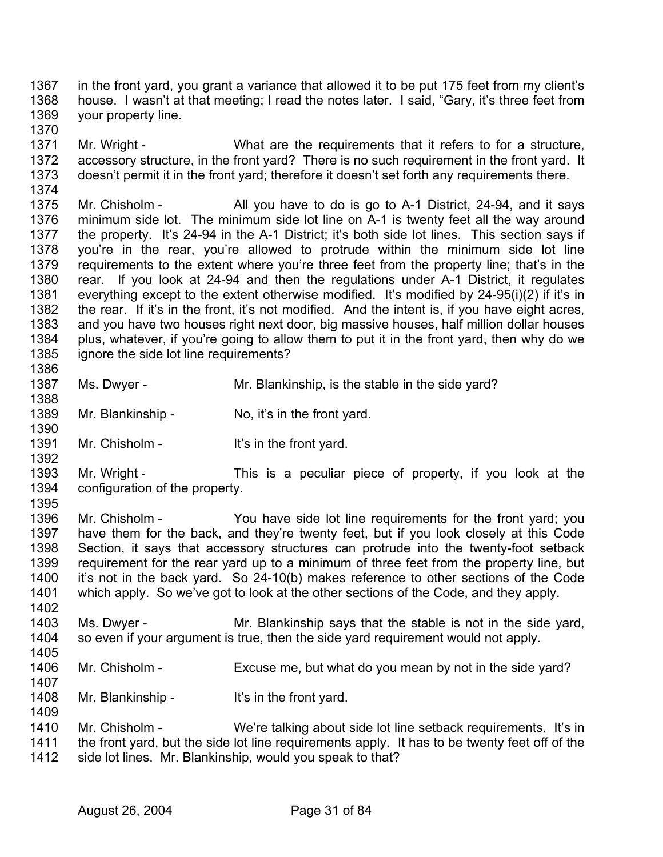1367 1368 1369 in the front yard, you grant a variance that allowed it to be put 175 feet from my client's house. I wasn't at that meeting; I read the notes later. I said, "Gary, it's three feet from your property line.

1371 1372 1373 1374 Mr. Wright - What are the requirements that it refers to for a structure, accessory structure, in the front yard? There is no such requirement in the front yard. It doesn't permit it in the front yard; therefore it doesn't set forth any requirements there.

1375 1376 1377 1378 1379 1380 1381 1382 1383 1384 1385 Mr. Chisholm - All you have to do is go to A-1 District, 24-94, and it says minimum side lot. The minimum side lot line on A-1 is twenty feet all the way around the property. It's 24-94 in the A-1 District; it's both side lot lines. This section says if you're in the rear, you're allowed to protrude within the minimum side lot line requirements to the extent where you're three feet from the property line; that's in the rear. If you look at 24-94 and then the regulations under A-1 District, it regulates everything except to the extent otherwise modified. It's modified by 24-95(i)(2) if it's in the rear. If it's in the front, it's not modified. And the intent is, if you have eight acres, and you have two houses right next door, big massive houses, half million dollar houses plus, whatever, if you're going to allow them to put it in the front yard, then why do we ignore the side lot line requirements?

- 1387 Ms. Dwyer - Mr. Blankinship, is the stable in the side yard?
- 1389 Mr. Blankinship - No, it's in the front yard.
- 1391 Mr. Chisholm - It's in the front yard.
- 1393 1394 1395 Mr. Wright - This is a peculiar piece of property, if you look at the configuration of the property.
- 1396 1397 1398 1399 1400 1401 Mr. Chisholm - You have side lot line requirements for the front vard; you have them for the back, and they're twenty feet, but if you look closely at this Code Section, it says that accessory structures can protrude into the twenty-foot setback requirement for the rear yard up to a minimum of three feet from the property line, but it's not in the back yard. So 24-10(b) makes reference to other sections of the Code which apply. So we've got to look at the other sections of the Code, and they apply.
- 1402 1403 1404 Ms. Dwyer - Mr. Blankinship says that the stable is not in the side yard, so even if your argument is true, then the side yard requirement would not apply.
- 1405

1407

1409

1370

1386

1388

1390

- 1406 Mr. Chisholm - Excuse me, but what do you mean by not in the side yard?
- 1408 Mr. Blankinship - It's in the front yard.
- 1410 1411 1412 Mr. Chisholm - We're talking about side lot line setback requirements. It's in the front yard, but the side lot line requirements apply. It has to be twenty feet off of the side lot lines. Mr. Blankinship, would you speak to that?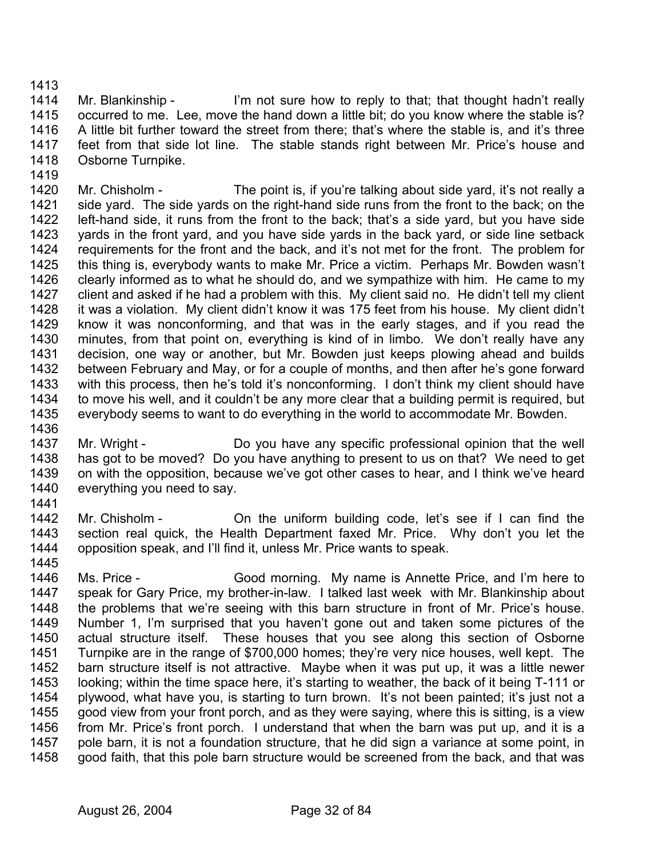1413

1419

1414 1415 1416 1417 1418 Mr. Blankinship - I'm not sure how to reply to that; that thought hadn't really occurred to me. Lee, move the hand down a little bit; do you know where the stable is? A little bit further toward the street from there; that's where the stable is, and it's three feet from that side lot line. The stable stands right between Mr. Price's house and Osborne Turnpike.

1420 1421 1422 1423 1424 1425 1426 1427 1428 1429 1430 1431 1432 1433 1434 1435 1436 Mr. Chisholm - The point is, if you're talking about side yard, it's not really a side yard. The side yards on the right-hand side runs from the front to the back; on the left-hand side, it runs from the front to the back; that's a side yard, but you have side yards in the front yard, and you have side yards in the back yard, or side line setback requirements for the front and the back, and it's not met for the front. The problem for this thing is, everybody wants to make Mr. Price a victim. Perhaps Mr. Bowden wasn't clearly informed as to what he should do, and we sympathize with him. He came to my client and asked if he had a problem with this. My client said no. He didn't tell my client it was a violation. My client didn't know it was 175 feet from his house. My client didn't know it was nonconforming, and that was in the early stages, and if you read the minutes, from that point on, everything is kind of in limbo. We don't really have any decision, one way or another, but Mr. Bowden just keeps plowing ahead and builds between February and May, or for a couple of months, and then after he's gone forward with this process, then he's told it's nonconforming. I don't think my client should have to move his well, and it couldn't be any more clear that a building permit is required, but everybody seems to want to do everything in the world to accommodate Mr. Bowden.

1437 1438 1439 1440 Mr. Wright - Do you have any specific professional opinion that the well has got to be moved? Do you have anything to present to us on that? We need to get on with the opposition, because we've got other cases to hear, and I think we've heard everything you need to say.

1441

1442 1443 1444 Mr. Chisholm - Chisholm - On the uniform building code, let's see if I can find the section real quick, the Health Department faxed Mr. Price. Why don't you let the opposition speak, and I'll find it, unless Mr. Price wants to speak.

1445

1446 1447 1448 1449 1450 1451 1452 1453 1454 1455 1456 1457 1458 Ms. Price - Good morning. My name is Annette Price, and I'm here to speak for Gary Price, my brother-in-law. I talked last week with Mr. Blankinship about the problems that we're seeing with this barn structure in front of Mr. Price's house. Number 1, I'm surprised that you haven't gone out and taken some pictures of the actual structure itself. These houses that you see along this section of Osborne Turnpike are in the range of \$700,000 homes; they're very nice houses, well kept. The barn structure itself is not attractive. Maybe when it was put up, it was a little newer looking; within the time space here, it's starting to weather, the back of it being T-111 or plywood, what have you, is starting to turn brown. It's not been painted; it's just not a good view from your front porch, and as they were saying, where this is sitting, is a view from Mr. Price's front porch. I understand that when the barn was put up, and it is a pole barn, it is not a foundation structure, that he did sign a variance at some point, in good faith, that this pole barn structure would be screened from the back, and that was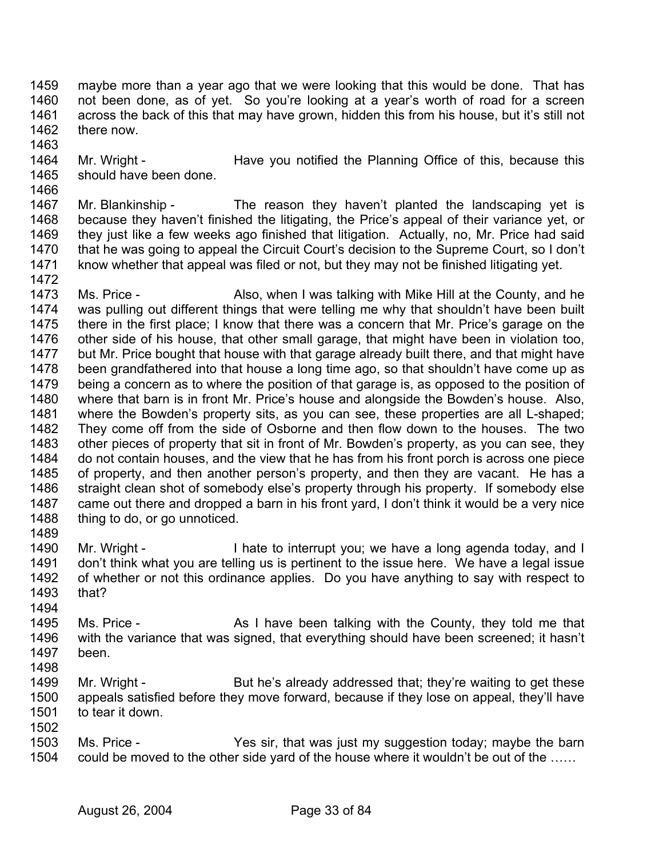1459 1460 1461 1462 maybe more than a year ago that we were looking that this would be done. That has not been done, as of yet. So you're looking at a year's worth of road for a screen across the back of this that may have grown, hidden this from his house, but it's still not there now.

- 1463
- 1464 1465 Mr. Wright - Have you notified the Planning Office of this, because this should have been done.
- 1466

1467 1468 1469 1470 1471 Mr. Blankinship - The reason they haven't planted the landscaping yet is because they haven't finished the litigating, the Price's appeal of their variance yet, or they just like a few weeks ago finished that litigation. Actually, no, Mr. Price had said that he was going to appeal the Circuit Court's decision to the Supreme Court, so I don't know whether that appeal was filed or not, but they may not be finished litigating yet.

1472 1473 1474 1475 1476 1477 1478 1479 1480 1481 1482 1483 1484 1485 1486 1487 1488 1489 Ms. Price - Also, when I was talking with Mike Hill at the County, and he was pulling out different things that were telling me why that shouldn't have been built there in the first place; I know that there was a concern that Mr. Price's garage on the other side of his house, that other small garage, that might have been in violation too, but Mr. Price bought that house with that garage already built there, and that might have been grandfathered into that house a long time ago, so that shouldn't have come up as being a concern as to where the position of that garage is, as opposed to the position of where that barn is in front Mr. Price's house and alongside the Bowden's house. Also, where the Bowden's property sits, as you can see, these properties are all L-shaped; They come off from the side of Osborne and then flow down to the houses. The two other pieces of property that sit in front of Mr. Bowden's property, as you can see, they do not contain houses, and the view that he has from his front porch is across one piece of property, and then another person's property, and then they are vacant. He has a straight clean shot of somebody else's property through his property. If somebody else came out there and dropped a barn in his front yard, I don't think it would be a very nice thing to do, or go unnoticed.

- 1490 1491 1492 1493 1494 Mr. Wright - I hate to interrupt you; we have a long agenda today, and I don't think what you are telling us is pertinent to the issue here. We have a legal issue of whether or not this ordinance applies. Do you have anything to say with respect to that?
- 1495 1496 1497 1498 Ms. Price - As I have been talking with the County, they told me that with the variance that was signed, that everything should have been screened; it hasn't been.
- 1499 1500 1501 1502 Mr. Wright - But he's already addressed that; they're waiting to get these appeals satisfied before they move forward, because if they lose on appeal, they'll have to tear it down.
- 1503 1504 Ms. Price - Yes sir, that was just my suggestion today; maybe the barn could be moved to the other side yard of the house where it wouldn't be out of the ……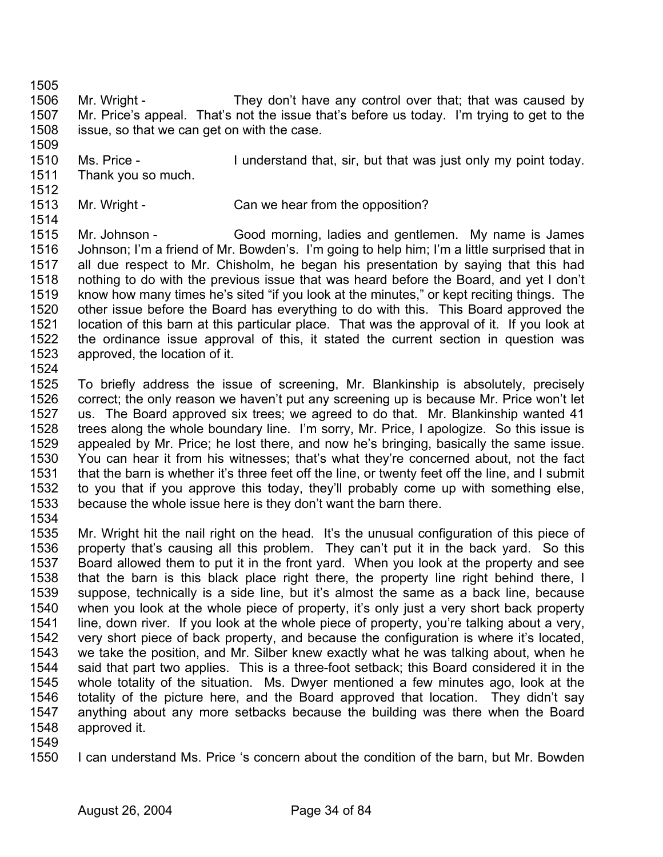1505

1506 1507 1508 1509 Mr. Wright - They don't have any control over that; that was caused by Mr. Price's appeal. That's not the issue that's before us today. I'm trying to get to the issue, so that we can get on with the case.

- 1510 1511 Ms. Price - I understand that, sir, but that was just only my point today. Thank you so much.
- 1512
- 1513
- 1514

Mr. Wright - Can we hear from the opposition?

- 1515 1516 1517 1518 1519 1520 1521 1522 1523 Mr. Johnson - Good morning, ladies and gentlemen. My name is James Johnson; I'm a friend of Mr. Bowden's. I'm going to help him; I'm a little surprised that in all due respect to Mr. Chisholm, he began his presentation by saying that this had nothing to do with the previous issue that was heard before the Board, and yet I don't know how many times he's sited "if you look at the minutes," or kept reciting things. The other issue before the Board has everything to do with this. This Board approved the location of this barn at this particular place. That was the approval of it. If you look at the ordinance issue approval of this, it stated the current section in question was approved, the location of it.
- 1524

1525 1526 1527 1528 1529 1530 1531 1532 1533 To briefly address the issue of screening, Mr. Blankinship is absolutely, precisely correct; the only reason we haven't put any screening up is because Mr. Price won't let us. The Board approved six trees; we agreed to do that. Mr. Blankinship wanted 41 trees along the whole boundary line. I'm sorry, Mr. Price, I apologize. So this issue is appealed by Mr. Price; he lost there, and now he's bringing, basically the same issue. You can hear it from his witnesses; that's what they're concerned about, not the fact that the barn is whether it's three feet off the line, or twenty feet off the line, and I submit to you that if you approve this today, they'll probably come up with something else, because the whole issue here is they don't want the barn there.

- 1534
- 1535 1536 1537 1538 1539 1540 1541 1542 1543 1544 1545 1546 1547 1548 Mr. Wright hit the nail right on the head. It's the unusual configuration of this piece of property that's causing all this problem. They can't put it in the back yard. So this Board allowed them to put it in the front yard. When you look at the property and see that the barn is this black place right there, the property line right behind there, I suppose, technically is a side line, but it's almost the same as a back line, because when you look at the whole piece of property, it's only just a very short back property line, down river. If you look at the whole piece of property, you're talking about a very, very short piece of back property, and because the configuration is where it's located, we take the position, and Mr. Silber knew exactly what he was talking about, when he said that part two applies. This is a three-foot setback; this Board considered it in the whole totality of the situation. Ms. Dwyer mentioned a few minutes ago, look at the totality of the picture here, and the Board approved that location. They didn't say anything about any more setbacks because the building was there when the Board approved it.
- 1549
- 1550 I can understand Ms. Price 's concern about the condition of the barn, but Mr. Bowden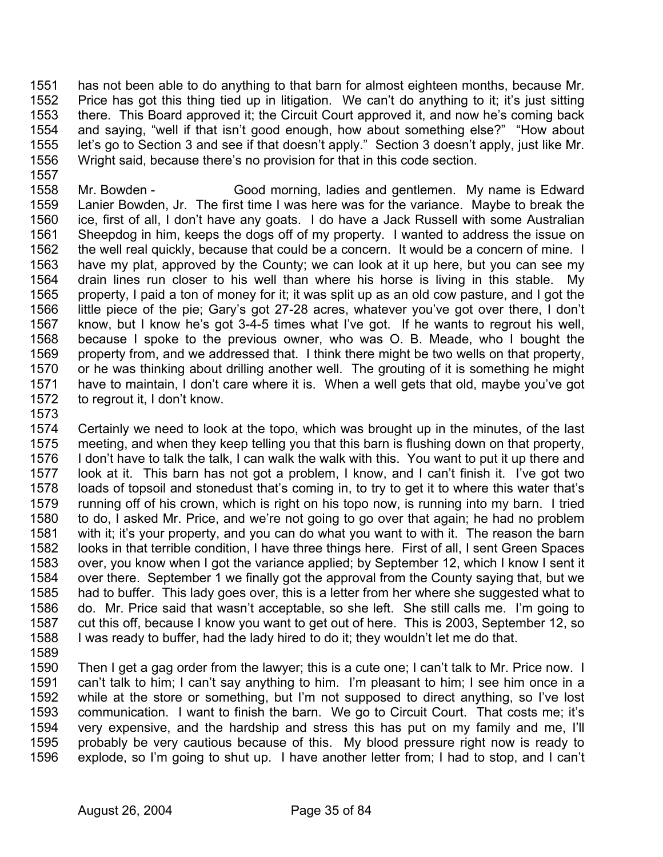1551 1552 1553 1554 1555 1556 1557 has not been able to do anything to that barn for almost eighteen months, because Mr. Price has got this thing tied up in litigation. We can't do anything to it; it's just sitting there. This Board approved it; the Circuit Court approved it, and now he's coming back and saying, "well if that isn't good enough, how about something else?" "How about let's go to Section 3 and see if that doesn't apply." Section 3 doesn't apply, just like Mr. Wright said, because there's no provision for that in this code section.

1558 1559 1560 1561 1562 1563 1564 1565 1566 1567 1568 1569 1570 1571 1572 Mr. Bowden - Good morning, ladies and gentlemen. My name is Edward Lanier Bowden, Jr. The first time I was here was for the variance. Maybe to break the ice, first of all, I don't have any goats. I do have a Jack Russell with some Australian Sheepdog in him, keeps the dogs off of my property. I wanted to address the issue on the well real quickly, because that could be a concern. It would be a concern of mine. I have my plat, approved by the County; we can look at it up here, but you can see my drain lines run closer to his well than where his horse is living in this stable. My property, I paid a ton of money for it; it was split up as an old cow pasture, and I got the little piece of the pie; Gary's got 27-28 acres, whatever you've got over there, I don't know, but I know he's got 3-4-5 times what I've got. If he wants to regrout his well, because I spoke to the previous owner, who was O. B. Meade, who I bought the property from, and we addressed that. I think there might be two wells on that property, or he was thinking about drilling another well. The grouting of it is something he might have to maintain, I don't care where it is. When a well gets that old, maybe you've got to regrout it, I don't know.

1573

1574 1575 1576 1577 1578 1579 1580 1581 1582 1583 1584 1585 1586 1587 1588 Certainly we need to look at the topo, which was brought up in the minutes, of the last meeting, and when they keep telling you that this barn is flushing down on that property, I don't have to talk the talk, I can walk the walk with this. You want to put it up there and look at it. This barn has not got a problem, I know, and I can't finish it. I've got two loads of topsoil and stonedust that's coming in, to try to get it to where this water that's running off of his crown, which is right on his topo now, is running into my barn. I tried to do, I asked Mr. Price, and we're not going to go over that again; he had no problem with it; it's your property, and you can do what you want to with it. The reason the barn looks in that terrible condition, I have three things here. First of all, I sent Green Spaces over, you know when I got the variance applied; by September 12, which I know I sent it over there. September 1 we finally got the approval from the County saying that, but we had to buffer. This lady goes over, this is a letter from her where she suggested what to do. Mr. Price said that wasn't acceptable, so she left. She still calls me. I'm going to cut this off, because I know you want to get out of here. This is 2003, September 12, so I was ready to buffer, had the lady hired to do it; they wouldn't let me do that.

1589

1590 1591 1592 1593 1594 1595 1596 Then I get a gag order from the lawyer; this is a cute one; I can't talk to Mr. Price now. I can't talk to him; I can't say anything to him. I'm pleasant to him; I see him once in a while at the store or something, but I'm not supposed to direct anything, so I've lost communication. I want to finish the barn. We go to Circuit Court. That costs me; it's very expensive, and the hardship and stress this has put on my family and me, I'll probably be very cautious because of this. My blood pressure right now is ready to explode, so I'm going to shut up. I have another letter from; I had to stop, and I can't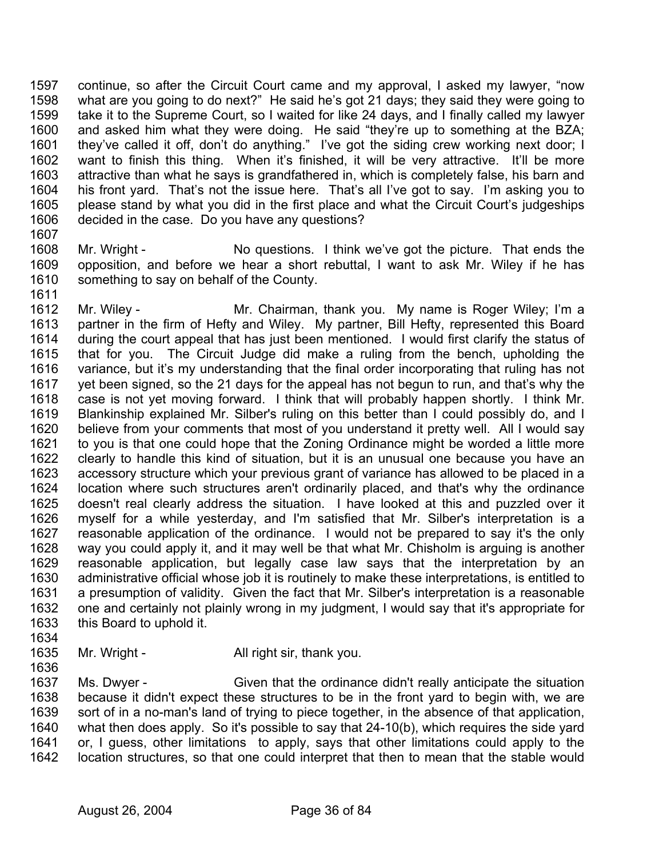1597 1598 1599 1600 1601 1602 1603 1604 1605 1606 1607 continue, so after the Circuit Court came and my approval, I asked my lawyer, "now what are you going to do next?" He said he's got 21 days; they said they were going to take it to the Supreme Court, so I waited for like 24 days, and I finally called my lawyer and asked him what they were doing. He said "they're up to something at the BZA; they've called it off, don't do anything." I've got the siding crew working next door; I want to finish this thing. When it's finished, it will be very attractive. It'll be more attractive than what he says is grandfathered in, which is completely false, his barn and his front yard. That's not the issue here. That's all I've got to say. I'm asking you to please stand by what you did in the first place and what the Circuit Court's judgeships decided in the case. Do you have any questions?

- 1608 1609 1610 1611 Mr. Wright - No questions. I think we've got the picture. That ends the opposition, and before we hear a short rebuttal, I want to ask Mr. Wiley if he has something to say on behalf of the County.
- 1612 1613 1614 1615 1616 1617 1618 1619 1620 1621 1622 1623 1624 1625 1626 1627 1628 1629 1630 1631 1632 1633 Mr. Wiley - **Mr.** Chairman, thank you. My name is Roger Wiley; I'm a partner in the firm of Hefty and Wiley. My partner, Bill Hefty, represented this Board during the court appeal that has just been mentioned. I would first clarify the status of that for you. The Circuit Judge did make a ruling from the bench, upholding the variance, but it's my understanding that the final order incorporating that ruling has not yet been signed, so the 21 days for the appeal has not begun to run, and that's why the case is not yet moving forward. I think that will probably happen shortly. I think Mr. Blankinship explained Mr. Silber's ruling on this better than I could possibly do, and I believe from your comments that most of you understand it pretty well. All I would say to you is that one could hope that the Zoning Ordinance might be worded a little more clearly to handle this kind of situation, but it is an unusual one because you have an accessory structure which your previous grant of variance has allowed to be placed in a location where such structures aren't ordinarily placed, and that's why the ordinance doesn't real clearly address the situation. I have looked at this and puzzled over it myself for a while yesterday, and I'm satisfied that Mr. Silber's interpretation is a reasonable application of the ordinance. I would not be prepared to say it's the only way you could apply it, and it may well be that what Mr. Chisholm is arguing is another reasonable application, but legally case law says that the interpretation by an administrative official whose job it is routinely to make these interpretations, is entitled to a presumption of validity. Given the fact that Mr. Silber's interpretation is a reasonable one and certainly not plainly wrong in my judgment, I would say that it's appropriate for this Board to uphold it.
- 1634
- 1635 1636 Mr. Wright - All right sir, thank you.

1637 1638 1639 1640 1641 1642 Ms. Dwyer - Given that the ordinance didn't really anticipate the situation because it didn't expect these structures to be in the front yard to begin with, we are sort of in a no-man's land of trying to piece together, in the absence of that application, what then does apply. So it's possible to say that 24-10(b), which requires the side yard or, I guess, other limitations to apply, says that other limitations could apply to the location structures, so that one could interpret that then to mean that the stable would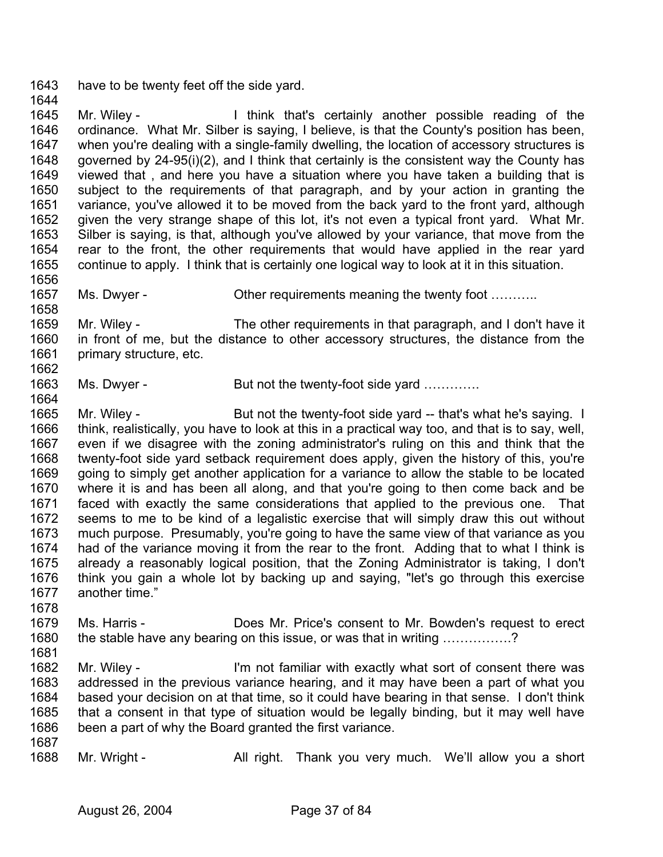1643 1644 have to be twenty feet off the side yard.

1645 1646 1647 1648 1649 1650 1651 1652 1653 1654 1655 1656 Mr. Wiley - Think that's certainly another possible reading of the ordinance. What Mr. Silber is saying, I believe, is that the County's position has been, when you're dealing with a single-family dwelling, the location of accessory structures is governed by 24-95(i)(2), and I think that certainly is the consistent way the County has viewed that , and here you have a situation where you have taken a building that is subject to the requirements of that paragraph, and by your action in granting the variance, you've allowed it to be moved from the back yard to the front yard, although given the very strange shape of this lot, it's not even a typical front yard. What Mr. Silber is saying, is that, although you've allowed by your variance, that move from the rear to the front, the other requirements that would have applied in the rear yard continue to apply. I think that is certainly one logical way to look at it in this situation.

1657 Ms. Dwyer - Cher requirements meaning the twenty foot ………..

1659 1660 1661 1662 Mr. Wiley - The other requirements in that paragraph, and I don't have it in front of me, but the distance to other accessory structures, the distance from the primary structure, etc.

1663 Ms. Dwyer - But not the twenty-foot side yard .............

1665 1666 1667 1668 1669 1670 1671 1672 1673 1674 1675 1676 1677 Mr. Wiley - But not the twenty-foot side yard -- that's what he's saying. I think, realistically, you have to look at this in a practical way too, and that is to say, well, even if we disagree with the zoning administrator's ruling on this and think that the twenty-foot side yard setback requirement does apply, given the history of this, you're going to simply get another application for a variance to allow the stable to be located where it is and has been all along, and that you're going to then come back and be faced with exactly the same considerations that applied to the previous one. That seems to me to be kind of a legalistic exercise that will simply draw this out without much purpose. Presumably, you're going to have the same view of that variance as you had of the variance moving it from the rear to the front. Adding that to what I think is already a reasonably logical position, that the Zoning Administrator is taking, I don't think you gain a whole lot by backing up and saying, "let's go through this exercise another time."

- 1678 1679 1680 Ms. Harris - Does Mr. Price's consent to Mr. Bowden's request to erect the stable have any bearing on this issue, or was that in writing …………….?
- 1681

1658

1664

1682 1683 1684 1685 1686 Mr. Wiley - I'm not familiar with exactly what sort of consent there was addressed in the previous variance hearing, and it may have been a part of what you based your decision on at that time, so it could have bearing in that sense. I don't think that a consent in that type of situation would be legally binding, but it may well have been a part of why the Board granted the first variance.

1687

1688 Mr. Wright - All right. Thank you very much. We'll allow you a short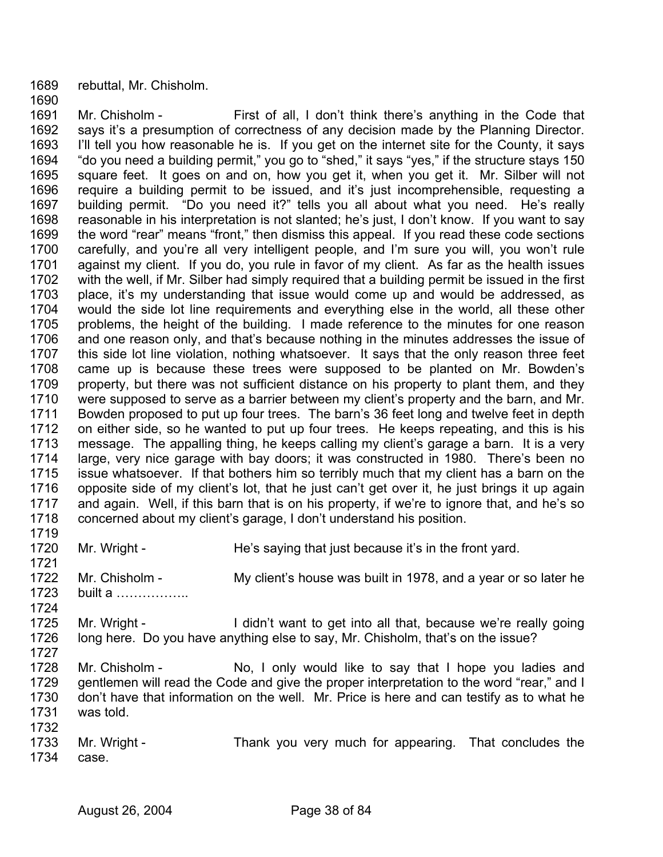1689 rebuttal, Mr. Chisholm.

1690

1691 1692 1693 1694 1695 1696 1697 1698 1699 1700 1701 1702 1703 1704 1705 1706 1707 1708 1709 1710 1711 1712 1713 1714 1715 1716 1717 1718 1719 Mr. Chisholm - First of all, I don't think there's anything in the Code that says it's a presumption of correctness of any decision made by the Planning Director. I'll tell you how reasonable he is. If you get on the internet site for the County, it says "do you need a building permit," you go to "shed," it says "yes," if the structure stays 150 square feet. It goes on and on, how you get it, when you get it. Mr. Silber will not require a building permit to be issued, and it's just incomprehensible, requesting a building permit. "Do you need it?" tells you all about what you need. He's really reasonable in his interpretation is not slanted; he's just, I don't know. If you want to say the word "rear" means "front," then dismiss this appeal. If you read these code sections carefully, and you're all very intelligent people, and I'm sure you will, you won't rule against my client. If you do, you rule in favor of my client. As far as the health issues with the well, if Mr. Silber had simply required that a building permit be issued in the first place, it's my understanding that issue would come up and would be addressed, as would the side lot line requirements and everything else in the world, all these other problems, the height of the building. I made reference to the minutes for one reason and one reason only, and that's because nothing in the minutes addresses the issue of this side lot line violation, nothing whatsoever. It says that the only reason three feet came up is because these trees were supposed to be planted on Mr. Bowden's property, but there was not sufficient distance on his property to plant them, and they were supposed to serve as a barrier between my client's property and the barn, and Mr. Bowden proposed to put up four trees. The barn's 36 feet long and twelve feet in depth on either side, so he wanted to put up four trees. He keeps repeating, and this is his message. The appalling thing, he keeps calling my client's garage a barn. It is a very large, very nice garage with bay doors; it was constructed in 1980. There's been no issue whatsoever. If that bothers him so terribly much that my client has a barn on the opposite side of my client's lot, that he just can't get over it, he just brings it up again and again. Well, if this barn that is on his property, if we're to ignore that, and he's so concerned about my client's garage, I don't understand his position.

1720 1721 1722 1723 1724 1725 1726 1727 1728 1729 1730 1731 1732 1733 1734 Mr. Wright - **He's saying that just because it's in the front yard.** Mr. Chisholm - My client's house was built in 1978, and a year or so later he built a …………….. Mr. Wright - I didn't want to get into all that, because we're really going long here. Do you have anything else to say, Mr. Chisholm, that's on the issue? Mr. Chisholm - No, I only would like to say that I hope you ladies and gentlemen will read the Code and give the proper interpretation to the word "rear," and I don't have that information on the well. Mr. Price is here and can testify as to what he was told. Mr. Wright - Thank you very much for appearing. That concludes the case.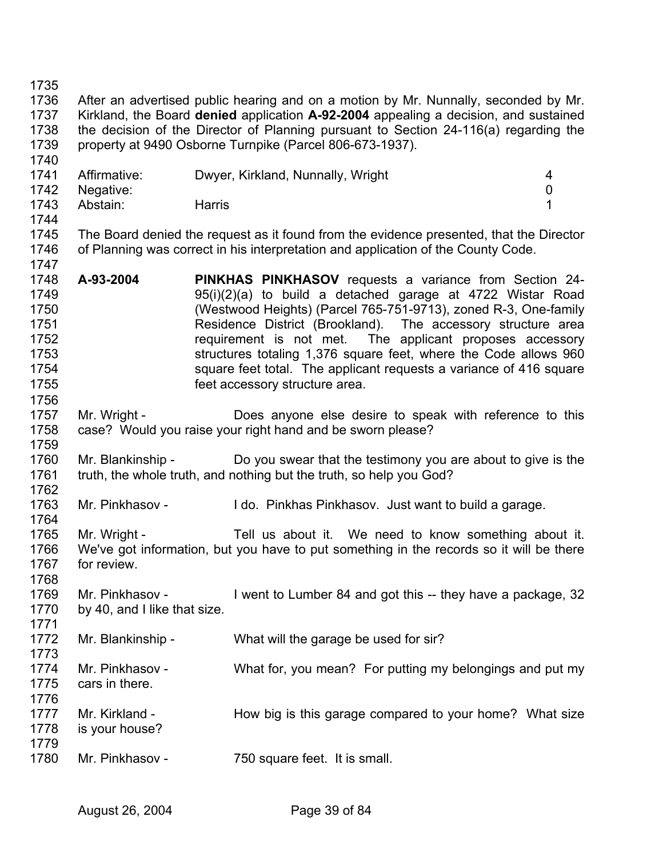1747

1756

1771

1773

1736 1737 1738 1739 1740 After an advertised public hearing and on a motion by Mr. Nunnally, seconded by Mr. Kirkland, the Board **denied** application **A-92-2004** appealing a decision, and sustained the decision of the Director of Planning pursuant to Section 24-116(a) regarding the property at 9490 Osborne Turnpike (Parcel 806-673-1937).

| 1741 | Affirmative: | Dwyer, Kirkland, Nunnally, Wright | 4 |
|------|--------------|-----------------------------------|---|
| 1742 | Negative:    |                                   |   |
| 1743 | Abstain:     | Harris                            |   |
| 1744 |              |                                   |   |

1745 1746 The Board denied the request as it found from the evidence presented, that the Director of Planning was correct in his interpretation and application of the County Code.

1748 1749 1750 1751 1752 1753 1754 1755 **A-93-2004 PINKHAS PINKHASOV** requests a variance from Section 24- 95(i)(2)(a) to build a detached garage at 4722 Wistar Road (Westwood Heights) (Parcel 765-751-9713), zoned R-3, One-family Residence District (Brookland). The accessory structure area requirement is not met. The applicant proposes accessory structures totaling 1,376 square feet, where the Code allows 960 square feet total. The applicant requests a variance of 416 square feet accessory structure area.

1757 1758 1759 Mr. Wright - **Does anyone else desire to speak with reference to this** case? Would you raise your right hand and be sworn please?

1760 1761 1762 Mr. Blankinship - Do you swear that the testimony you are about to give is the truth, the whole truth, and nothing but the truth, so help you God?

1763 1764 Mr. Pinkhasov - I do. Pinkhas Pinkhasov. Just want to build a garage.

1765 1766 1767 1768 Mr. Wright - Tell us about it. We need to know something about it. We've got information, but you have to put something in the records so it will be there for review.

1769 1770 Mr. Pinkhasov - I went to Lumber 84 and got this -- they have a package, 32 by 40, and I like that size.

1772 Mr. Blankinship - What will the garage be used for sir?

- 1774 1775 Mr. Pinkhasov - What for, you mean? For putting my belongings and put my cars in there.
- 1776 1777 1778 Mr. Kirkland - How big is this garage compared to your home? What size is your house?
- 1779 1780 Mr. Pinkhasov - 750 square feet. It is small.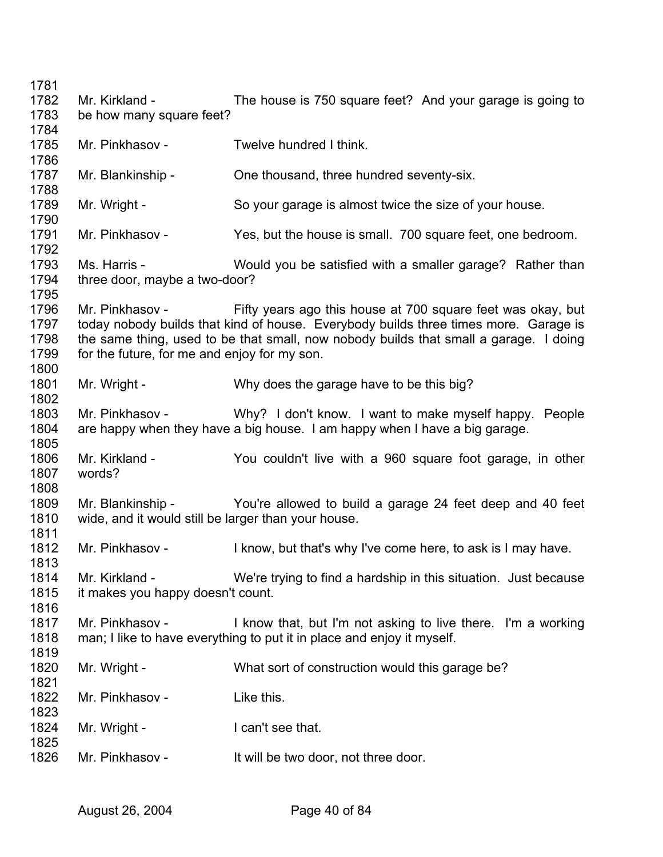Mr. Kirkland - The house is 750 square feet? And your garage is going to be how many square feet? Mr. Pinkhasov - Twelve hundred I think Mr. Blankinship - Che thousand, three hundred seventy-six. Mr. Wright - So your garage is almost twice the size of your house. Mr. Pinkhasov - Yes, but the house is small. 700 square feet, one bedroom. Ms. Harris - **Would you be satisfied with a smaller garage?** Rather than three door, maybe a two-door? Mr. Pinkhasov - Fifty years ago this house at 700 square feet was okay, but today nobody builds that kind of house. Everybody builds three times more. Garage is the same thing, used to be that small, now nobody builds that small a garage. I doing for the future, for me and enjoy for my son. Mr. Wright - Why does the garage have to be this big? Mr. Pinkhasov - Why? I don't know. I want to make myself happy. People are happy when they have a big house. I am happy when I have a big garage. Mr. Kirkland - You couldn't live with a 960 square foot garage, in other words? Mr. Blankinship - You're allowed to build a garage 24 feet deep and 40 feet wide, and it would still be larger than your house. Mr. Pinkhasov - I know, but that's why I've come here, to ask is I may have. Mr. Kirkland - We're trying to find a hardship in this situation. Just because it makes you happy doesn't count. Mr. Pinkhasov - I know that, but I'm not asking to live there. I'm a working man; I like to have everything to put it in place and enjoy it myself. Mr. Wright - What sort of construction would this garage be? Mr. Pinkhasov - Like this. Mr. Wright - The Muslim Can't see that. Mr. Pinkhasov - It will be two door, not three door.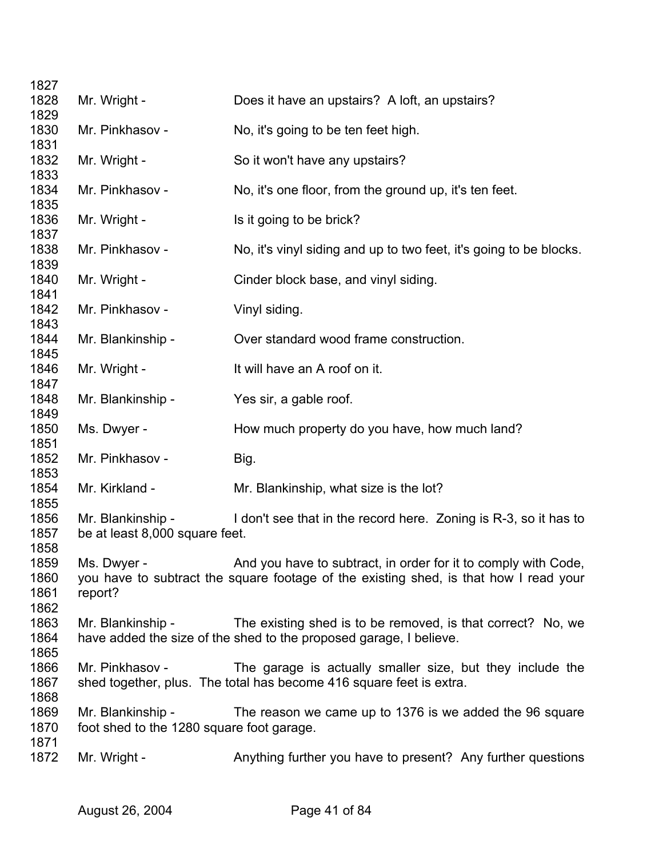| 1827         |                                                     |                                                                                       |
|--------------|-----------------------------------------------------|---------------------------------------------------------------------------------------|
| 1828         | Mr. Wright -                                        | Does it have an upstairs? A loft, an upstairs?                                        |
| 1829         |                                                     |                                                                                       |
| 1830         | Mr. Pinkhasov -                                     | No, it's going to be ten feet high.                                                   |
| 1831         |                                                     |                                                                                       |
| 1832<br>1833 | Mr. Wright -                                        | So it won't have any upstairs?                                                        |
| 1834         | Mr. Pinkhasov -                                     | No, it's one floor, from the ground up, it's ten feet.                                |
| 1835         |                                                     |                                                                                       |
| 1836         | Mr. Wright -                                        | Is it going to be brick?                                                              |
| 1837<br>1838 | Mr. Pinkhasov -                                     | No, it's vinyl siding and up to two feet, it's going to be blocks.                    |
| 1839         |                                                     |                                                                                       |
| 1840         | Mr. Wright -                                        | Cinder block base, and vinyl siding.                                                  |
| 1841         |                                                     |                                                                                       |
| 1842         | Mr. Pinkhasov -                                     | Vinyl siding.                                                                         |
| 1843         |                                                     |                                                                                       |
| 1844         | Mr. Blankinship -                                   | Over standard wood frame construction.                                                |
| 1845         |                                                     |                                                                                       |
| 1846         | Mr. Wright -                                        | It will have an A roof on it.                                                         |
| 1847<br>1848 | Mr. Blankinship -                                   | Yes sir, a gable roof.                                                                |
| 1849         |                                                     |                                                                                       |
| 1850         | Ms. Dwyer -                                         | How much property do you have, how much land?                                         |
| 1851         |                                                     |                                                                                       |
| 1852         | Mr. Pinkhasov -                                     | Big.                                                                                  |
| 1853         |                                                     |                                                                                       |
| 1854         | Mr. Kirkland -                                      | Mr. Blankinship, what size is the lot?                                                |
| 1855         |                                                     |                                                                                       |
| 1856<br>1857 | Mr. Blankinship -<br>be at least 8,000 square feet. | I don't see that in the record here. Zoning is R-3, so it has to                      |
| 1858         |                                                     |                                                                                       |
| 1859         | Ms. Dwver -                                         | And you have to subtract, in order for it to comply with Code,                        |
| 1860         |                                                     | you have to subtract the square footage of the existing shed, is that how I read your |
| 1861         | report?                                             |                                                                                       |
| 1862         |                                                     |                                                                                       |
| 1863         | Mr. Blankinship -                                   | The existing shed is to be removed, is that correct? No, we                           |
| 1864         |                                                     | have added the size of the shed to the proposed garage, I believe.                    |
| 1865         |                                                     |                                                                                       |
| 1866         | Mr. Pinkhasov -                                     | The garage is actually smaller size, but they include the                             |
| 1867<br>1868 |                                                     | shed together, plus. The total has become 416 square feet is extra.                   |
| 1869         | Mr. Blankinship -                                   | The reason we came up to 1376 is we added the 96 square                               |
| 1870         | foot shed to the 1280 square foot garage.           |                                                                                       |
| 1871         |                                                     |                                                                                       |
| 1872         | Mr. Wright -                                        | Anything further you have to present? Any further questions                           |
|              |                                                     |                                                                                       |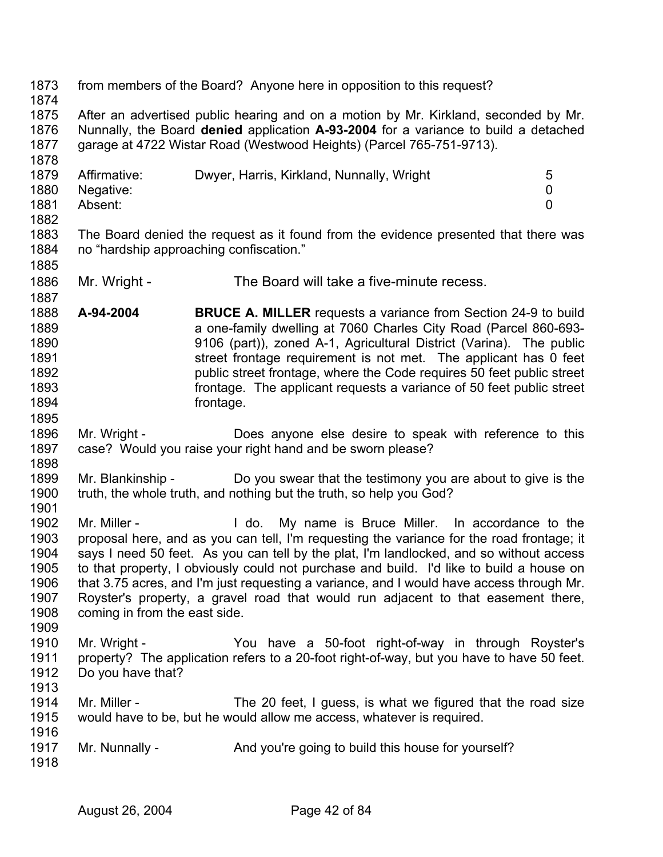1873 1874 1875 1876 1877 1878 1879 1880 1881 1882 1883 1884 1885 1886 1887 1888 1889 1890 1891 1892 1893 1894 1895 1896 1897 1898 1899 1900 1901 1902 1903 1904 1905 1906 1907 1908 1909 1910 1911 1912 1913 1914 1915 1916 1917 1918 from members of the Board? Anyone here in opposition to this request? After an advertised public hearing and on a motion by Mr. Kirkland, seconded by Mr. Nunnally, the Board **denied** application **A-93-2004** for a variance to build a detached garage at 4722 Wistar Road (Westwood Heights) (Parcel 765-751-9713). Affirmative: Dwyer, Harris, Kirkland, Nunnally, Wright 5 Negative: 0 Absent: 0 The Board denied the request as it found from the evidence presented that there was no "hardship approaching confiscation." Mr. Wright - The Board will take a five-minute recess. **A-94-2004 BRUCE A. MILLER** requests a variance from Section 24-9 to build a one-family dwelling at 7060 Charles City Road (Parcel 860-693- 9106 (part)), zoned A-1, Agricultural District (Varina). The public street frontage requirement is not met. The applicant has 0 feet public street frontage, where the Code requires 50 feet public street frontage. The applicant requests a variance of 50 feet public street frontage. Mr. Wright - **Does anyone else desire to speak with reference to this** case? Would you raise your right hand and be sworn please? Mr. Blankinship - Do you swear that the testimony you are about to give is the truth, the whole truth, and nothing but the truth, so help you God? Mr. Miller - The Music H do. My name is Bruce Miller. In accordance to the proposal here, and as you can tell, I'm requesting the variance for the road frontage; it says I need 50 feet. As you can tell by the plat, I'm landlocked, and so without access to that property, I obviously could not purchase and build. I'd like to build a house on that 3.75 acres, and I'm just requesting a variance, and I would have access through Mr. Royster's property, a gravel road that would run adjacent to that easement there, coming in from the east side. Mr. Wright - The You have a 50-foot right-of-way in through Royster's property? The application refers to a 20-foot right-of-way, but you have to have 50 feet. Do you have that? Mr. Miller - The 20 feet, I guess, is what we figured that the road size would have to be, but he would allow me access, whatever is required. Mr. Nunnally - And you're going to build this house for yourself?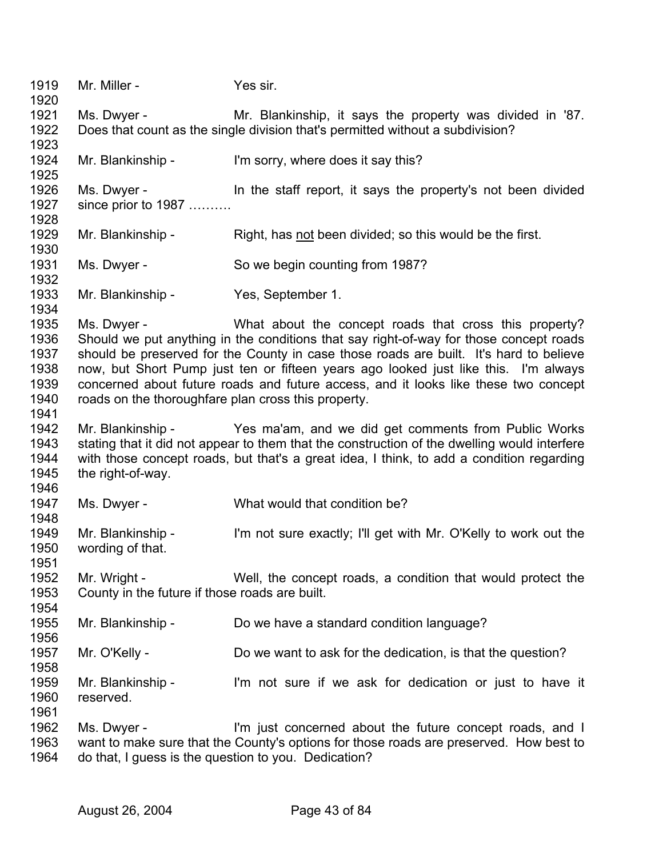1919 1920 1921 1922 1923 1924 1925 1926 1927 1928 Mr. Miller - Yes sir. Ms. Dwyer - Mr. Blankinship, it says the property was divided in '87. Does that count as the single division that's permitted without a subdivision? Mr. Blankinship - I'm sorry, where does it say this? Ms. Dwyer - In the staff report, it says the property's not been divided since prior to 1987 ………. 1929 Mr. Blankinship - Right, has not been divided; so this would be the first. 1930 1931 1932 1933 1934 1935 1936 1937 1938 1939 1940 1941 1942 1943 1944 1945 1946 1947 1948 1949 1950 1951 1952 1953 1954 1955 1956 1957 1958 1959 1960 1961 1962 1963 1964 Ms. Dwyer - So we begin counting from 1987? Mr. Blankinship - Yes, September 1. Ms. Dwyer - What about the concept roads that cross this property? Should we put anything in the conditions that say right-of-way for those concept roads should be preserved for the County in case those roads are built. It's hard to believe now, but Short Pump just ten or fifteen years ago looked just like this. I'm always concerned about future roads and future access, and it looks like these two concept roads on the thoroughfare plan cross this property. Mr. Blankinship - Yes ma'am, and we did get comments from Public Works stating that it did not appear to them that the construction of the dwelling would interfere with those concept roads, but that's a great idea, I think, to add a condition regarding the right-of-way. Ms. Dwyer - What would that condition be? Mr. Blankinship - I'm not sure exactly; I'll get with Mr. O'Kelly to work out the wording of that. Mr. Wright - Well, the concept roads, a condition that would protect the County in the future if those roads are built. Mr. Blankinship - Do we have a standard condition language? Mr. O'Kelly - Do we want to ask for the dedication, is that the question? Mr. Blankinship - I'm not sure if we ask for dedication or just to have it reserved. Ms. Dwyer - I'm just concerned about the future concept roads, and I want to make sure that the County's options for those roads are preserved. How best to do that, I guess is the question to you. Dedication?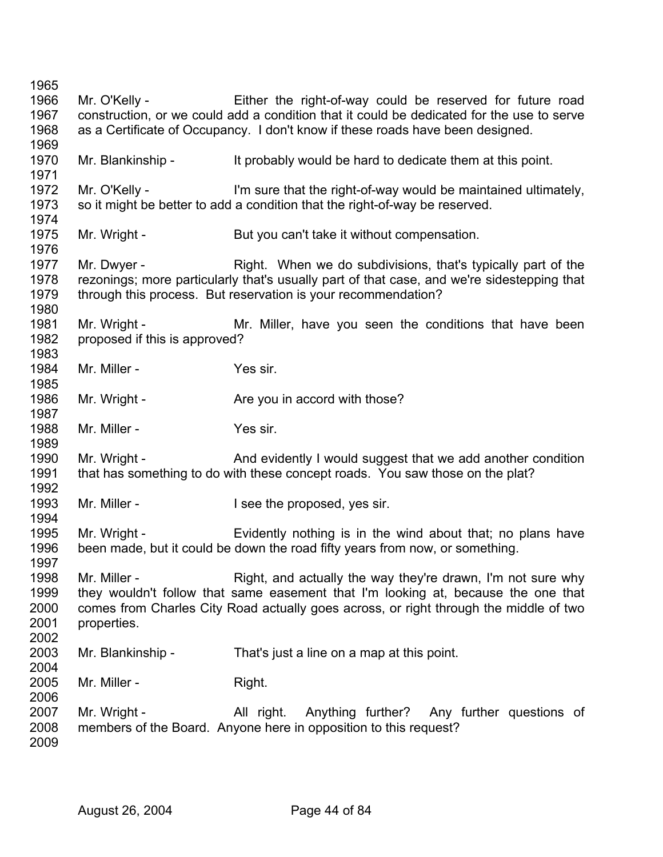Mr. O'Kelly - Either the right-of-way could be reserved for future road construction, or we could add a condition that it could be dedicated for the use to serve as a Certificate of Occupancy. I don't know if these roads have been designed. Mr. Blankinship - It probably would be hard to dedicate them at this point. Mr. O'Kelly - I'm sure that the right-of-way would be maintained ultimately, so it might be better to add a condition that the right-of-way be reserved. Mr. Wright - But you can't take it without compensation. Mr. Dwyer - Right. When we do subdivisions, that's typically part of the rezonings; more particularly that's usually part of that case, and we're sidestepping that through this process. But reservation is your recommendation? Mr. Wright - Mr. Miller, have you seen the conditions that have been proposed if this is approved? Mr. Miller - Yes sir. Mr. Wright - Are you in accord with those? Mr. Miller - Yes sir. Mr. Wright - And evidently I would suggest that we add another condition that has something to do with these concept roads. You saw those on the plat? Mr. Miller - **I** see the proposed, yes sir. Mr. Wright - Evidently nothing is in the wind about that; no plans have been made, but it could be down the road fifty years from now, or something. Mr. Miller - Right, and actually the way they're drawn, I'm not sure why they wouldn't follow that same easement that I'm looking at, because the one that comes from Charles City Road actually goes across, or right through the middle of two properties. Mr. Blankinship - That's just a line on a map at this point. Mr. Miller - Right. Mr. Wright - The All right. Anything further? Any further questions of members of the Board. Anyone here in opposition to this request?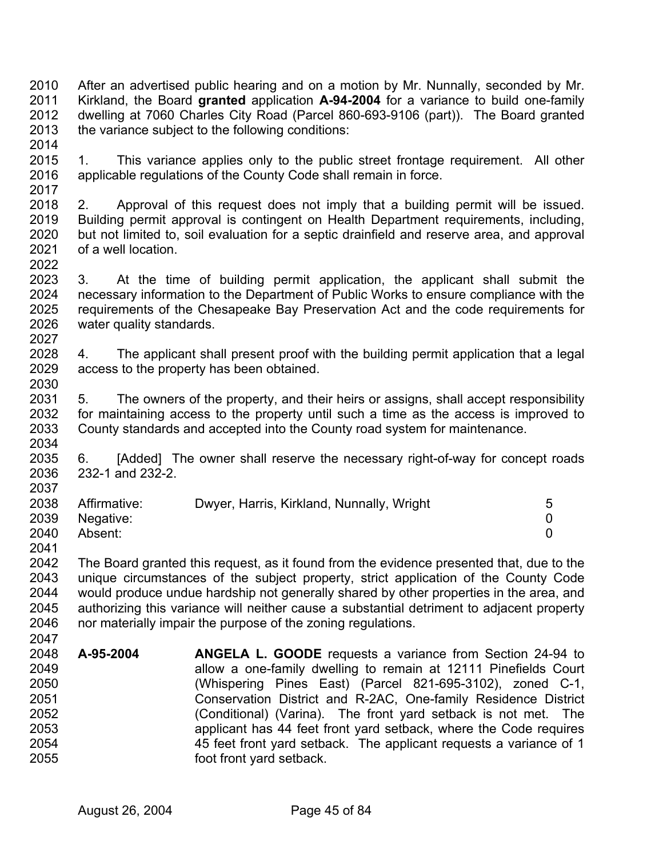2010 2011 2012 2013 2014 After an advertised public hearing and on a motion by Mr. Nunnally, seconded by Mr. Kirkland, the Board **granted** application **A-94-2004** for a variance to build one-family dwelling at 7060 Charles City Road (Parcel 860-693-9106 (part)). The Board granted the variance subject to the following conditions:

- 2015 2016 2017 1. This variance applies only to the public street frontage requirement. All other applicable regulations of the County Code shall remain in force.
- 2018 2019 2020 2021 2. Approval of this request does not imply that a building permit will be issued. Building permit approval is contingent on Health Department requirements, including, but not limited to, soil evaluation for a septic drainfield and reserve area, and approval of a well location.
- 2023 2024 2025 2026 2027 3. At the time of building permit application, the applicant shall submit the necessary information to the Department of Public Works to ensure compliance with the requirements of the Chesapeake Bay Preservation Act and the code requirements for water quality standards.
- 2028 2029 2030 4. The applicant shall present proof with the building permit application that a legal access to the property has been obtained.
- 2031 2032 2033 2034 5. The owners of the property, and their heirs or assigns, shall accept responsibility for maintaining access to the property until such a time as the access is improved to County standards and accepted into the County road system for maintenance.
- 2035 2036 2037 6. [Added] The owner shall reserve the necessary right-of-way for concept roads 232-1 and 232-2.

| 2038 | Affirmative: | Dwyer, Harris, Kirkland, Nunnally, Wright | 5 |
|------|--------------|-------------------------------------------|---|
| 2039 | Negative:    |                                           |   |
| 2040 | Absent:      |                                           |   |
| 2041 |              |                                           |   |

- 2042 2043 2044 2045 2046 The Board granted this request, as it found from the evidence presented that, due to the unique circumstances of the subject property, strict application of the County Code would produce undue hardship not generally shared by other properties in the area, and authorizing this variance will neither cause a substantial detriment to adjacent property nor materially impair the purpose of the zoning regulations.
- 2048 2049 2050 2051 2052 2053 2054 2055 **A-95-2004 ANGELA L. GOODE** requests a variance from Section 24-94 to allow a one-family dwelling to remain at 12111 Pinefields Court (Whispering Pines East) (Parcel 821-695-3102), zoned C-1, Conservation District and R-2AC, One-family Residence District (Conditional) (Varina). The front yard setback is not met. The applicant has 44 feet front yard setback, where the Code requires 45 feet front yard setback. The applicant requests a variance of 1 foot front yard setback.

2022

2047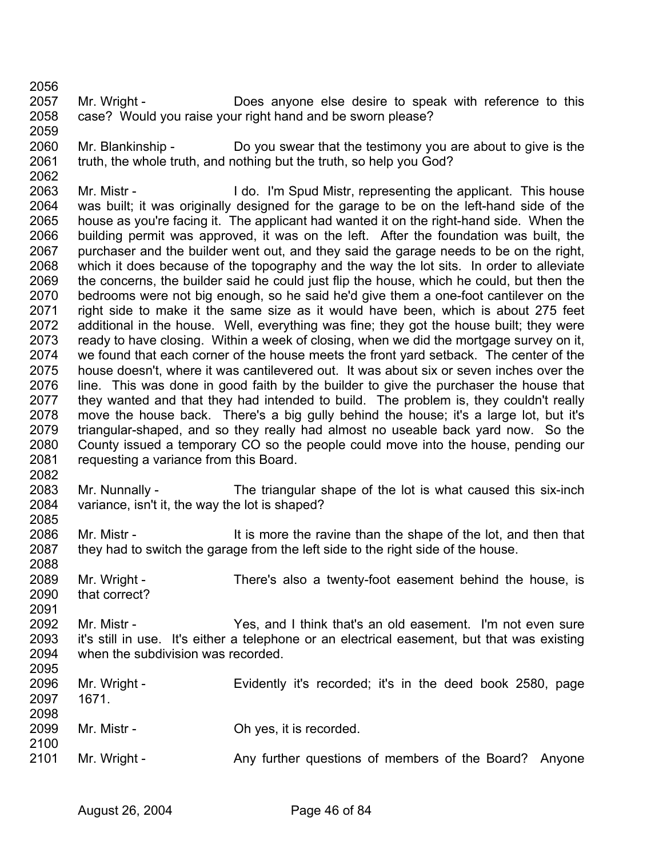2062

2088

2091

- 2057 2058 2059 Mr. Wright - **Does anyone else desire to speak with reference to this** case? Would you raise your right hand and be sworn please?
- 2060 2061 Mr. Blankinship - Do you swear that the testimony you are about to give is the truth, the whole truth, and nothing but the truth, so help you God?

2063 2064 2065 2066 2067 2068 2069 2070 2071 2072 2073 2074 2075 2076 2077 2078 2079 2080 2081 2082 Mr. Mistr - This house I do. I'm Spud Mistr, representing the applicant. This house was built; it was originally designed for the garage to be on the left-hand side of the house as you're facing it. The applicant had wanted it on the right-hand side. When the building permit was approved, it was on the left. After the foundation was built, the purchaser and the builder went out, and they said the garage needs to be on the right, which it does because of the topography and the way the lot sits. In order to alleviate the concerns, the builder said he could just flip the house, which he could, but then the bedrooms were not big enough, so he said he'd give them a one-foot cantilever on the right side to make it the same size as it would have been, which is about 275 feet additional in the house. Well, everything was fine; they got the house built; they were ready to have closing. Within a week of closing, when we did the mortgage survey on it, we found that each corner of the house meets the front yard setback. The center of the house doesn't, where it was cantilevered out. It was about six or seven inches over the line. This was done in good faith by the builder to give the purchaser the house that they wanted and that they had intended to build. The problem is, they couldn't really move the house back. There's a big gully behind the house; it's a large lot, but it's triangular-shaped, and so they really had almost no useable back yard now. So the County issued a temporary CO so the people could move into the house, pending our requesting a variance from this Board.

- 2083 2084 2085 Mr. Nunnally - The triangular shape of the lot is what caused this six-inch variance, isn't it, the way the lot is shaped?
- 2086 2087 Mr. Mistr - It is more the ravine than the shape of the lot, and then that they had to switch the garage from the left side to the right side of the house.
- 2089 2090 Mr. Wright - There's also a twenty-foot easement behind the house, is that correct?
- 2092 2093 2094 2005 Mr. Mistr - The Yes, and I think that's an old easement. I'm not even sure it's still in use. It's either a telephone or an electrical easement, but that was existing when the subdivision was recorded.

| ∠∪ວບ<br>2096 | Mr. Wright - | Evidently it's recorded; it's in the deed book 2580, page |
|--------------|--------------|-----------------------------------------------------------|
| 2097         | 1671.        |                                                           |
| 2098         |              |                                                           |
| 2099         | Mr. Mistr -  | Oh yes, it is recorded.                                   |
| 2100         |              |                                                           |
| 2101         | Mr. Wright - | Any further questions of members of the Board? Anyone     |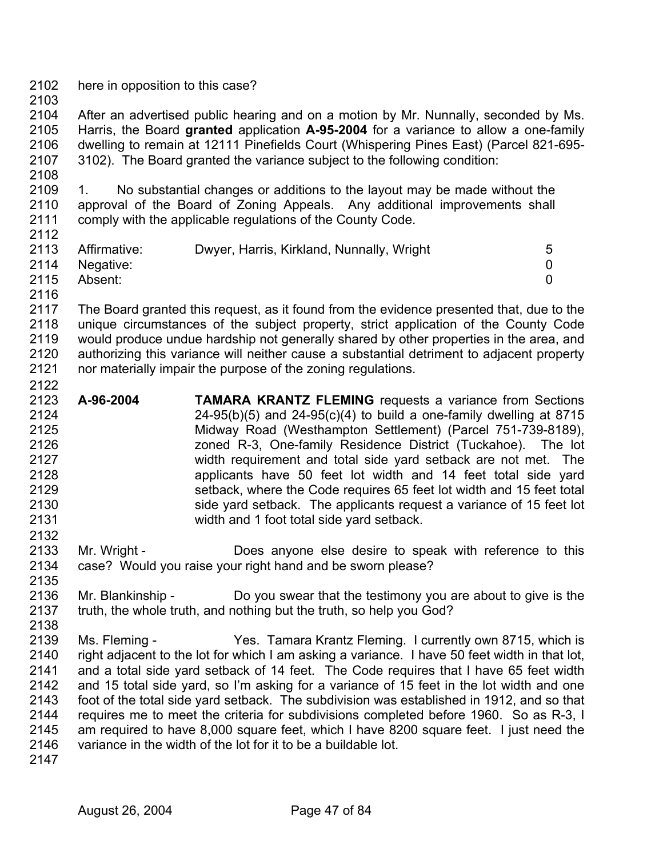- 2102 here in opposition to this case?
- 2103

2122

2132

2104 2105 2106 2107 After an advertised public hearing and on a motion by Mr. Nunnally, seconded by Ms. Harris, the Board **granted** application **A-95-2004** for a variance to allow a one-family dwelling to remain at 12111 Pinefields Court (Whispering Pines East) (Parcel 821-695- 3102). The Board granted the variance subject to the following condition:

2109 2110 2111 2112 1. No substantial changes or additions to the layout may be made without the approval of the Board of Zoning Appeals. Any additional improvements shall comply with the applicable regulations of the County Code.

| 2113 | Affirmative:   | Dwyer, Harris, Kirkland, Nunnally, Wright | 5. |
|------|----------------|-------------------------------------------|----|
|      | 2114 Negative: |                                           |    |
| 2115 | Absent:        |                                           |    |
| 2116 |                |                                           |    |

- 2117 2118 2119 2120 2121 The Board granted this request, as it found from the evidence presented that, due to the unique circumstances of the subject property, strict application of the County Code would produce undue hardship not generally shared by other properties in the area, and authorizing this variance will neither cause a substantial detriment to adjacent property nor materially impair the purpose of the zoning regulations.
- 2123 2124 2125 2126 2127 2128 2129 2130 2131 **A-96-2004 TAMARA KRANTZ FLEMING** requests a variance from Sections  $24-95(b)(5)$  and  $24-95(c)(4)$  to build a one-family dwelling at 8715 Midway Road (Westhampton Settlement) (Parcel 751-739-8189), zoned R-3, One-family Residence District (Tuckahoe). The lot width requirement and total side yard setback are not met. The applicants have 50 feet lot width and 14 feet total side yard setback, where the Code requires 65 feet lot width and 15 feet total side yard setback. The applicants request a variance of 15 feet lot width and 1 foot total side yard setback.
- 2133 2134 2135 Mr. Wright - **Does anyone else desire to speak with reference to this** case? Would you raise your right hand and be sworn please?
- 2136 2137 2138 Mr. Blankinship - Do you swear that the testimony you are about to give is the truth, the whole truth, and nothing but the truth, so help you God?
- 2139 2140 2141 2142 2143 2144 2145 2146 Ms. Fleming - Yes. Tamara Krantz Fleming. I currently own 8715, which is right adjacent to the lot for which I am asking a variance. I have 50 feet width in that lot, and a total side yard setback of 14 feet. The Code requires that I have 65 feet width and 15 total side yard, so I'm asking for a variance of 15 feet in the lot width and one foot of the total side yard setback. The subdivision was established in 1912, and so that requires me to meet the criteria for subdivisions completed before 1960. So as R-3, I am required to have 8,000 square feet, which I have 8200 square feet. I just need the variance in the width of the lot for it to be a buildable lot.
- 2147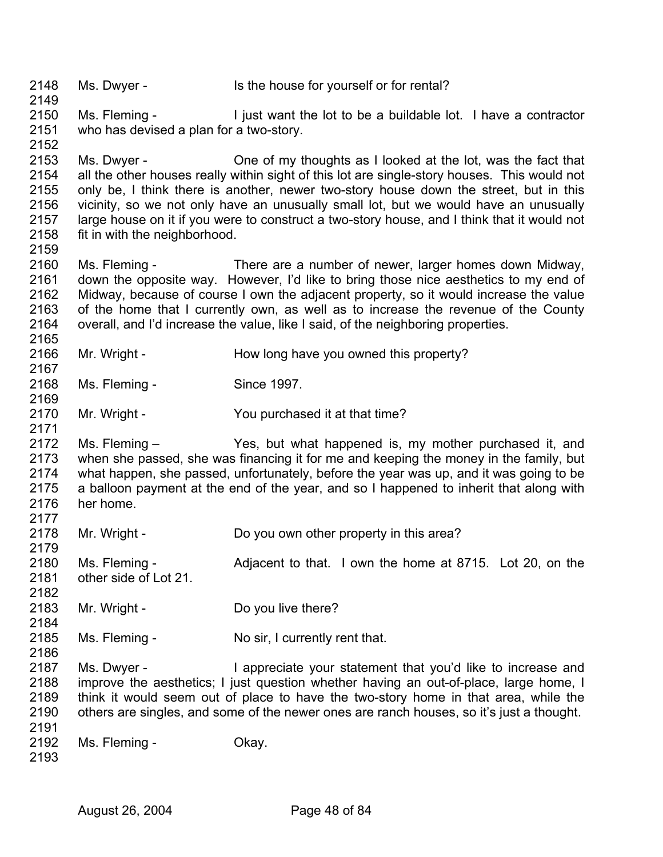2148 2149 2150 2151 2152 2153 2154 2155 2156 2157 2158 2159 2160 2161 2162 2163 2164 2165 2166 2167 2168 2169 2170 2171 2172 2173 2174 2175 2176 2177 2178 2179 2180 2181 2182 2183 2184 2185 2186 2187 2188 2189 2190 2191 2192 2193 Ms. Dwyer - Is the house for yourself or for rental? Ms. Fleming - The light want the lot to be a buildable lot. I have a contractor who has devised a plan for a two-story. Ms. Dwyer - Che of my thoughts as I looked at the lot, was the fact that all the other houses really within sight of this lot are single-story houses. This would not only be, I think there is another, newer two-story house down the street, but in this vicinity, so we not only have an unusually small lot, but we would have an unusually large house on it if you were to construct a two-story house, and I think that it would not fit in with the neighborhood. Ms. Fleming - There are a number of newer, larger homes down Midway, down the opposite way. However, I'd like to bring those nice aesthetics to my end of Midway, because of course I own the adjacent property, so it would increase the value of the home that I currently own, as well as to increase the revenue of the County overall, and I'd increase the value, like I said, of the neighboring properties. Mr. Wright - How long have you owned this property? Ms. Fleming - Since 1997. Mr. Wright - The You purchased it at that time? Ms. Fleming – Yes, but what happened is, my mother purchased it, and when she passed, she was financing it for me and keeping the money in the family, but what happen, she passed, unfortunately, before the year was up, and it was going to be a balloon payment at the end of the year, and so I happened to inherit that along with her home. Mr. Wright - Do you own other property in this area? Ms. Fleming - Adjacent to that. I own the home at 8715. Lot 20, on the other side of Lot 21. Mr. Wright - Do you live there? Ms. Fleming - No sir, I currently rent that. Ms. Dwyer - I appreciate your statement that you'd like to increase and improve the aesthetics; I just question whether having an out-of-place, large home, I think it would seem out of place to have the two-story home in that area, while the others are singles, and some of the newer ones are ranch houses, so it's just a thought. Ms. Fleming - Chav.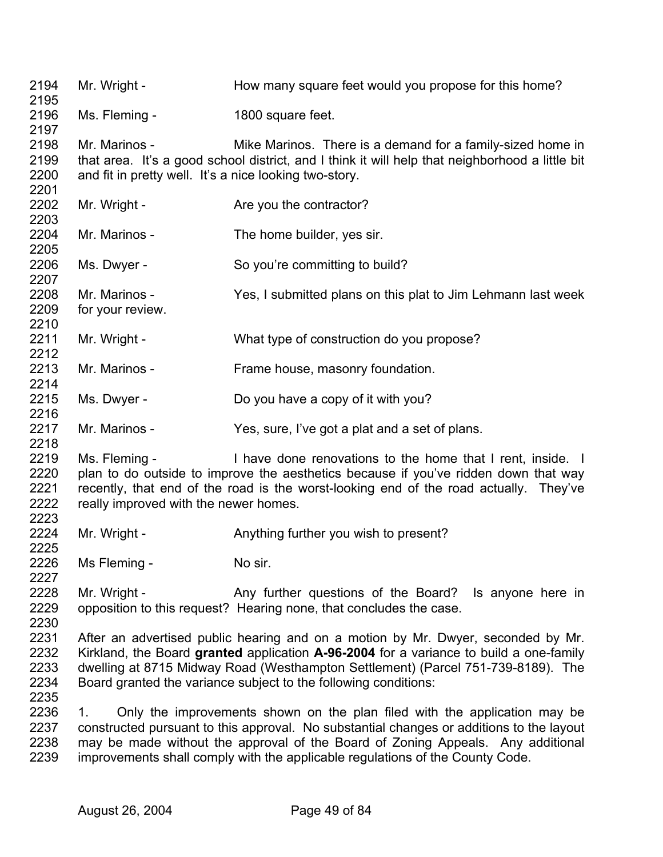2194 2195 2196 2197 2198 2199 2200 2201 2202 2203 2204 2205 2206 2207 2208 2209 2210 2211 2212 2213 2214 2215 2216 2217 2218 2219 2220 2221 2222 2223 2224 2225 2226 2227 2228 2229 2230 2231 2232 2233 2234 2235 2236 2237 2238 2239 Mr. Wright - How many square feet would you propose for this home? Ms. Fleming - 1800 square feet. Mr. Marinos - Mike Marinos. There is a demand for a family-sized home in that area. It's a good school district, and I think it will help that neighborhood a little bit and fit in pretty well. It's a nice looking two-story. Mr. Wright - Are you the contractor? Mr. Marinos - The home builder, yes sir. Ms. Dwyer - So you're committing to build? Mr. Marinos - Yes, I submitted plans on this plat to Jim Lehmann last week for your review. Mr. Wright - What type of construction do you propose? Mr. Marinos - Frame house, masonry foundation. Ms. Dwyer - Do you have a copy of it with you? Mr. Marinos - Yes, sure, I've got a plat and a set of plans. Ms. Fleming - I have done renovations to the home that I rent, inside. I plan to do outside to improve the aesthetics because if you've ridden down that way recently, that end of the road is the worst-looking end of the road actually. They've really improved with the newer homes. Mr. Wright - Anything further you wish to present? Ms Fleming - No sir. Mr. Wright - Any further questions of the Board? Is anyone here in opposition to this request? Hearing none, that concludes the case. After an advertised public hearing and on a motion by Mr. Dwyer, seconded by Mr. Kirkland, the Board **granted** application **A-96-2004** for a variance to build a one-family dwelling at 8715 Midway Road (Westhampton Settlement) (Parcel 751-739-8189). The Board granted the variance subject to the following conditions: 1. Only the improvements shown on the plan filed with the application may be constructed pursuant to this approval. No substantial changes or additions to the layout may be made without the approval of the Board of Zoning Appeals. Any additional improvements shall comply with the applicable regulations of the County Code.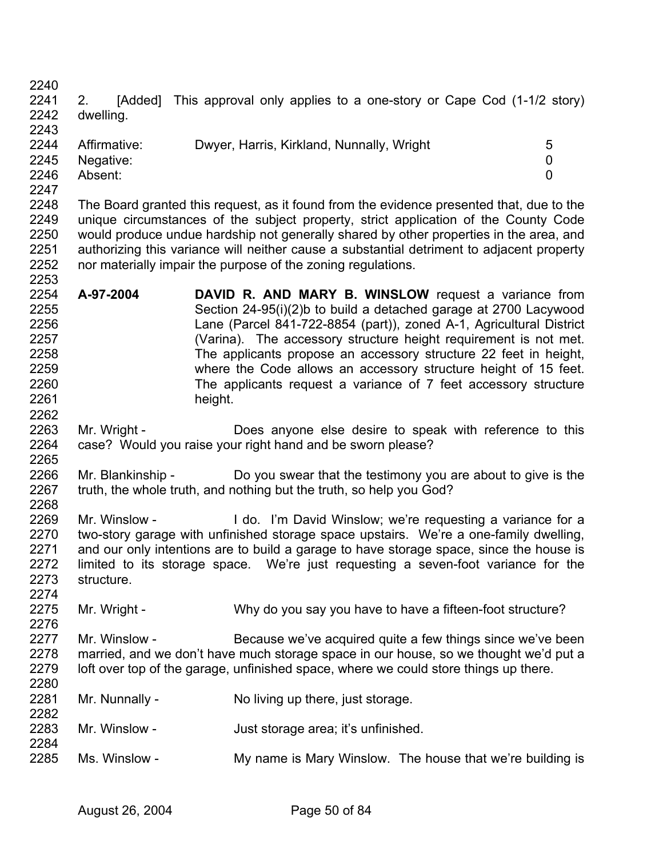2240 2241 2242 2243 2. [Added] This approval only applies to a one-story or Cape Cod (1-1/2 story) dwelling.

| 2244 | Affirmative:   | Dwyer, Harris, Kirkland, Nunnally, Wright |  |
|------|----------------|-------------------------------------------|--|
|      | 2245 Negative: |                                           |  |
| 2246 | Absent:        |                                           |  |
| 2247 |                |                                           |  |

- 2248 2249 2250 2251 2252 2253 The Board granted this request, as it found from the evidence presented that, due to the unique circumstances of the subject property, strict application of the County Code would produce undue hardship not generally shared by other properties in the area, and authorizing this variance will neither cause a substantial detriment to adjacent property nor materially impair the purpose of the zoning regulations.
- 2254 2255 2256 2257 2258 2259 2260 2261 **A-97-2004 DAVID R. AND MARY B. WINSLOW** request a variance from Section 24-95(i)(2)b to build a detached garage at 2700 Lacywood Lane (Parcel 841-722-8854 (part)), zoned A-1, Agricultural District (Varina). The accessory structure height requirement is not met. The applicants propose an accessory structure 22 feet in height, where the Code allows an accessory structure height of 15 feet. The applicants request a variance of 7 feet accessory structure height.
- 2263 2264 2265 Mr. Wright - Does anyone else desire to speak with reference to this case? Would you raise your right hand and be sworn please?
- 2266 2267 2268 Mr. Blankinship - Do you swear that the testimony you are about to give is the truth, the whole truth, and nothing but the truth, so help you God?
- 2269 2270 2271 2272 2273 2274 Mr. Winslow - I do. I'm David Winslow; we're requesting a variance for a two-story garage with unfinished storage space upstairs. We're a one-family dwelling, and our only intentions are to build a garage to have storage space, since the house is limited to its storage space. We're just requesting a seven-foot variance for the structure.
- 2275 2276 Mr. Wright - Why do you say you have to have a fifteen-foot structure?
- 2277 2278 2279 2280 Mr. Winslow - Because we've acquired quite a few things since we've been married, and we don't have much storage space in our house, so we thought we'd put a loft over top of the garage, unfinished space, where we could store things up there.
- 2281 2282 Mr. Nunnally - No living up there, just storage.
- 2283 2284 Mr. Winslow - **Just storage area; it's unfinished.**
- 2285 Ms. Winslow - My name is Mary Winslow. The house that we're building is

2262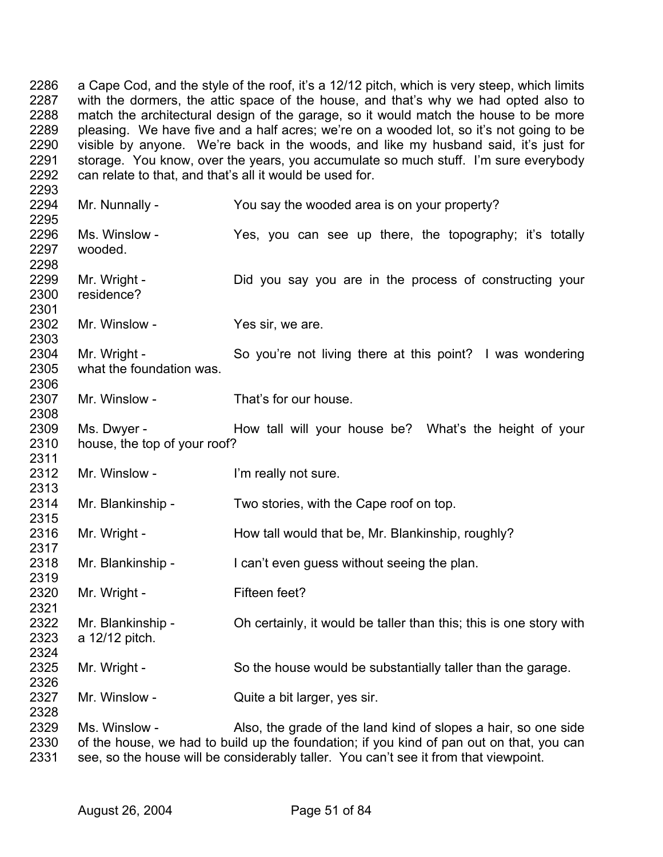2286 2287 2288 2289 2290 2291 2292 a Cape Cod, and the style of the roof, it's a 12/12 pitch, which is very steep, which limits with the dormers, the attic space of the house, and that's why we had opted also to match the architectural design of the garage, so it would match the house to be more pleasing. We have five and a half acres; we're on a wooded lot, so it's not going to be visible by anyone. We're back in the woods, and like my husband said, it's just for storage. You know, over the years, you accumulate so much stuff. I'm sure everybody can relate to that, and that's all it would be used for.

2293 2294 2295 2296 2297 2298 2299 2300 2301 2302 2303 2304 2305 2306 2307 2308 2309 2310 2311 2312 2313 2314 2315 2316 2317 2318 2319 2320 2321 2322 2323 2324 2325 2326 2327 2328 2329 2330 Mr. Nunnally - You say the wooded area is on your property? Ms. Winslow - The Yes, you can see up there, the topography; it's totally wooded. Mr. Wright - The Did you say you are in the process of constructing your residence? Mr. Winslow - Yes sir, we are. Mr. Wright - So you're not living there at this point? I was wondering what the foundation was. Mr. Winslow - That's for our house. Ms. Dwyer - The How tall will your house be? What's the height of your house, the top of your roof? Mr. Winslow - The l'm really not sure. Mr. Blankinship - Two stories, with the Cape roof on top. Mr. Wright - The How tall would that be, Mr. Blankinship, roughly? Mr. Blankinship - I can't even guess without seeing the plan. Mr. Wright - Fifteen feet? Mr. Blankinship - Oh certainly, it would be taller than this; this is one story with a 12/12 pitch. Mr. Wright - So the house would be substantially taller than the garage. Mr. Winslow - Quite a bit larger, yes sir. Ms. Winslow - Also, the grade of the land kind of slopes a hair, so one side of the house, we had to build up the foundation; if you kind of pan out on that, you can

2331 see, so the house will be considerably taller. You can't see it from that viewpoint.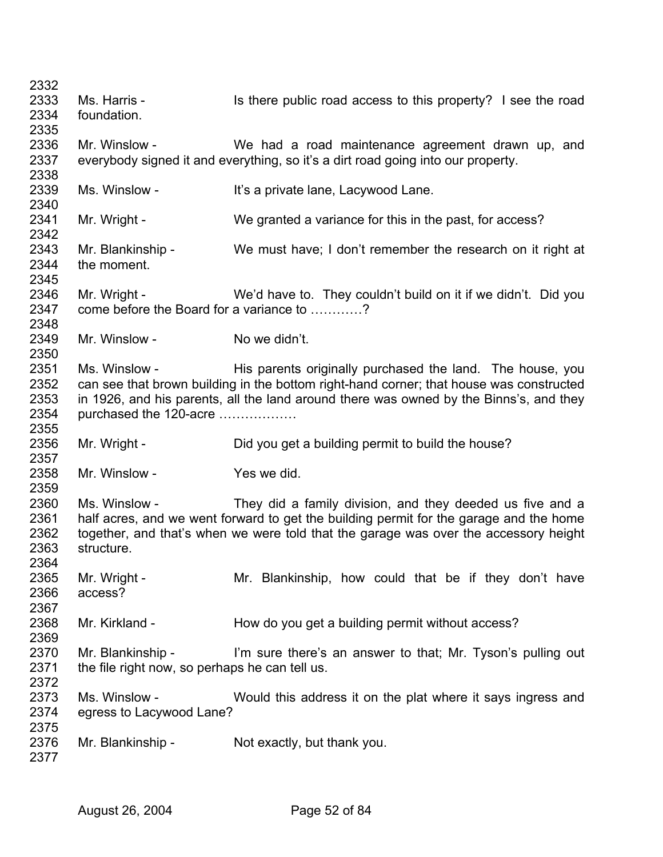| 2332 |                                                |                                                                                         |
|------|------------------------------------------------|-----------------------------------------------------------------------------------------|
| 2333 | Ms. Harris -                                   | Is there public road access to this property? I see the road                            |
| 2334 | foundation.                                    |                                                                                         |
| 2335 |                                                |                                                                                         |
| 2336 | Mr. Winslow -                                  | We had a road maintenance agreement drawn up, and                                       |
| 2337 |                                                | everybody signed it and everything, so it's a dirt road going into our property.        |
| 2338 |                                                |                                                                                         |
| 2339 | Ms. Winslow -                                  | It's a private lane, Lacywood Lane.                                                     |
| 2340 |                                                |                                                                                         |
| 2341 | Mr. Wright -                                   | We granted a variance for this in the past, for access?                                 |
| 2342 |                                                |                                                                                         |
| 2343 | Mr. Blankinship -                              | We must have; I don't remember the research on it right at                              |
| 2344 | the moment.                                    |                                                                                         |
| 2345 |                                                |                                                                                         |
| 2346 | Mr. Wright -                                   | We'd have to. They couldn't build on it if we didn't. Did you                           |
| 2347 | come before the Board for a variance to ?      |                                                                                         |
| 2348 |                                                |                                                                                         |
| 2349 | Mr. Winslow -                                  | No we didn't.                                                                           |
| 2350 |                                                |                                                                                         |
| 2351 | Ms. Winslow -                                  | His parents originally purchased the land. The house, you                               |
| 2352 |                                                | can see that brown building in the bottom right-hand corner; that house was constructed |
| 2353 |                                                | in 1926, and his parents, all the land around there was owned by the Binns's, and they  |
| 2354 | purchased the 120-acre                         |                                                                                         |
| 2355 |                                                |                                                                                         |
| 2356 | Mr. Wright -                                   | Did you get a building permit to build the house?                                       |
| 2357 |                                                |                                                                                         |
| 2358 | Mr. Winslow -                                  | Yes we did.                                                                             |
| 2359 |                                                |                                                                                         |
| 2360 | Ms. Winslow -                                  | They did a family division, and they deeded us five and a                               |
| 2361 |                                                | half acres, and we went forward to get the building permit for the garage and the home  |
| 2362 |                                                | together, and that's when we were told that the garage was over the accessory height    |
| 2363 | structure.                                     |                                                                                         |
| 2364 |                                                |                                                                                         |
| 2365 | Mr. Wright -                                   | Mr. Blankinship, how could that be if they don't have                                   |
| 2366 | access?                                        |                                                                                         |
| 2367 |                                                |                                                                                         |
| 2368 | Mr. Kirkland -                                 | How do you get a building permit without access?                                        |
| 2369 |                                                |                                                                                         |
| 2370 | Mr. Blankinship -                              | I'm sure there's an answer to that; Mr. Tyson's pulling out                             |
| 2371 | the file right now, so perhaps he can tell us. |                                                                                         |
| 2372 |                                                |                                                                                         |
| 2373 | Ms. Winslow -                                  | Would this address it on the plat where it says ingress and                             |
| 2374 | egress to Lacywood Lane?                       |                                                                                         |
| 2375 |                                                |                                                                                         |
| 2376 | Mr. Blankinship -                              | Not exactly, but thank you.                                                             |
| 2377 |                                                |                                                                                         |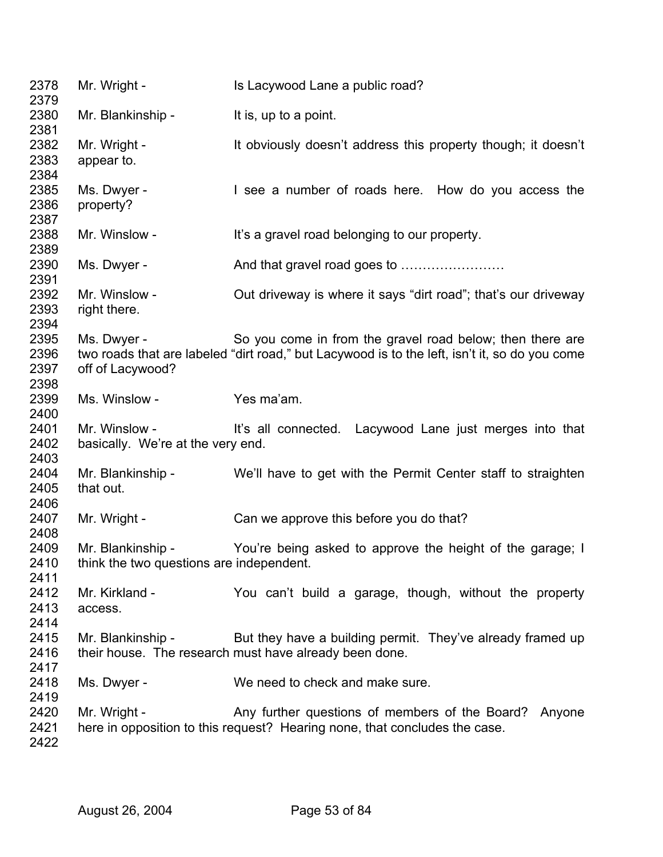| 2378<br>2379                 | Mr. Wright -                                                  | Is Lacywood Lane a public road?                                                                                                                            |
|------------------------------|---------------------------------------------------------------|------------------------------------------------------------------------------------------------------------------------------------------------------------|
| 2380<br>2381                 | Mr. Blankinship -                                             | It is, up to a point.                                                                                                                                      |
| 2382                         | Mr. Wright -                                                  | It obviously doesn't address this property though; it doesn't                                                                                              |
| 2383<br>2384                 | appear to.                                                    |                                                                                                                                                            |
| 2385                         | Ms. Dwyer -                                                   | I see a number of roads here. How do you access the                                                                                                        |
| 2386<br>2387                 | property?                                                     |                                                                                                                                                            |
| 2388<br>2389                 | Mr. Winslow -                                                 | It's a gravel road belonging to our property.                                                                                                              |
| 2390<br>2391                 | Ms. Dwyer -                                                   | And that gravel road goes to                                                                                                                               |
| 2392<br>2393<br>2394         | Mr. Winslow -<br>right there.                                 | Out driveway is where it says "dirt road"; that's our driveway                                                                                             |
| 2395<br>2396<br>2397<br>2398 | Ms. Dwyer -<br>off of Lacywood?                               | So you come in from the gravel road below; then there are<br>two roads that are labeled "dirt road," but Lacywood is to the left, isn't it, so do you come |
| 2399<br>2400                 | Ms. Winslow -                                                 | Yes ma'am.                                                                                                                                                 |
| 2401                         | Mr. Winslow -                                                 | It's all connected. Lacywood Lane just merges into that                                                                                                    |
| 2402<br>2403                 | basically. We're at the very end.                             |                                                                                                                                                            |
| 2404<br>2405<br>2406         | Mr. Blankinship -<br>that out.                                | We'll have to get with the Permit Center staff to straighten                                                                                               |
| 2407<br>2408                 | Mr. Wright -                                                  | Can we approve this before you do that?                                                                                                                    |
| 2409<br>2410<br>2411         | Mr. Blankinship -<br>think the two questions are independent. | You're being asked to approve the height of the garage; I                                                                                                  |
| 2412<br>2413<br>2414         | Mr. Kirkland -<br>access.                                     | You can't build a garage, though, without the property                                                                                                     |
| 2415<br>2416<br>2417         | Mr. Blankinship -                                             | But they have a building permit. They've already framed up<br>their house. The research must have already been done.                                       |
| 2418<br>2419                 | Ms. Dwyer -                                                   | We need to check and make sure.                                                                                                                            |
| 2420                         | Mr. Wright -                                                  | Any further questions of members of the Board? Anyone                                                                                                      |
| 2421<br>2422                 |                                                               | here in opposition to this request? Hearing none, that concludes the case.                                                                                 |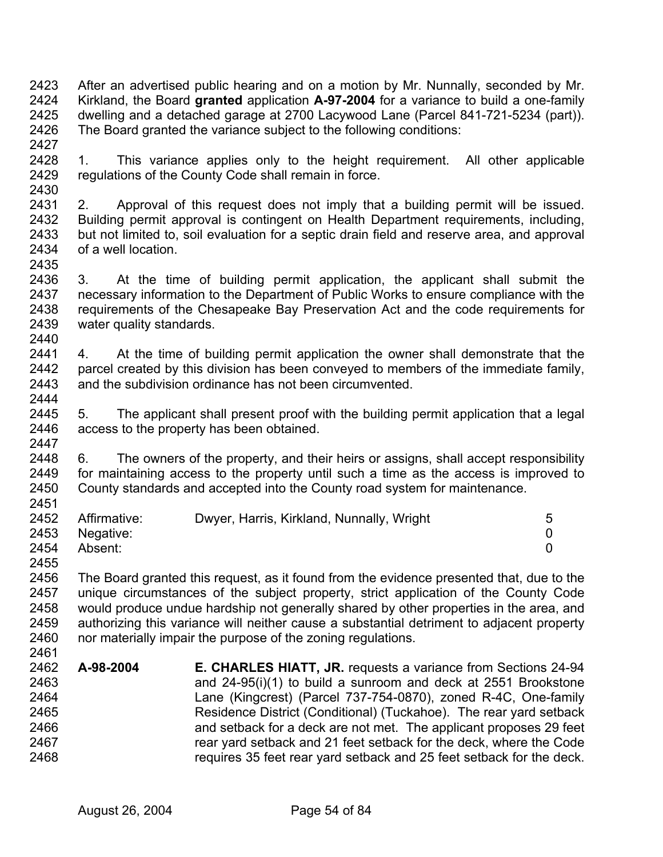2423 2424 2425 2426 2427 After an advertised public hearing and on a motion by Mr. Nunnally, seconded by Mr. Kirkland, the Board **granted** application **A-97-2004** for a variance to build a one-family dwelling and a detached garage at 2700 Lacywood Lane (Parcel 841-721-5234 (part)). The Board granted the variance subject to the following conditions:

- 2428 2429 2430 1. This variance applies only to the height requirement. All other applicable regulations of the County Code shall remain in force.
- 2431 2432 2433 2434 2435 2. Approval of this request does not imply that a building permit will be issued. Building permit approval is contingent on Health Department requirements, including, but not limited to, soil evaluation for a septic drain field and reserve area, and approval of a well location.
- 2436 2437 2438 2439 2440 3. At the time of building permit application, the applicant shall submit the necessary information to the Department of Public Works to ensure compliance with the requirements of the Chesapeake Bay Preservation Act and the code requirements for water quality standards.
- 2441 2442 2443 2444 4. At the time of building permit application the owner shall demonstrate that the parcel created by this division has been conveyed to members of the immediate family, and the subdivision ordinance has not been circumvented.
- 2445 2446 2447 5. The applicant shall present proof with the building permit application that a legal access to the property has been obtained.
- 2448 2449 2450 2451 6. The owners of the property, and their heirs or assigns, shall accept responsibility for maintaining access to the property until such a time as the access is improved to County standards and accepted into the County road system for maintenance.

2455

2456 2457 2458 2459 2460 2461 The Board granted this request, as it found from the evidence presented that, due to the unique circumstances of the subject property, strict application of the County Code would produce undue hardship not generally shared by other properties in the area, and authorizing this variance will neither cause a substantial detriment to adjacent property nor materially impair the purpose of the zoning regulations.

2462 2463 2464 2465 2466 2467 2468 **A-98-2004 E. CHARLES HIATT, JR.** requests a variance from Sections 24-94 and 24-95(i)(1) to build a sunroom and deck at 2551 Brookstone Lane (Kingcrest) (Parcel 737-754-0870), zoned R-4C, One-family Residence District (Conditional) (Tuckahoe). The rear yard setback and setback for a deck are not met. The applicant proposes 29 feet rear yard setback and 21 feet setback for the deck, where the Code requires 35 feet rear yard setback and 25 feet setback for the deck.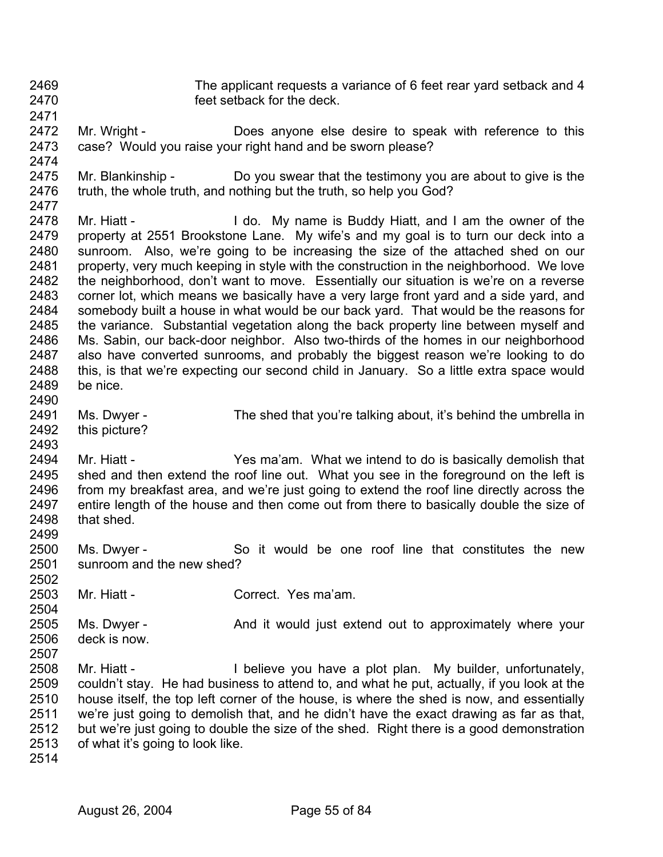The applicant requests a variance of 6 feet rear yard setback and 4 feet setback for the deck.

- 2471 2472 Mr. Wright - **Does anyone else desire to speak with reference to this** 
	- 2473

2474 case? Would you raise your right hand and be sworn please?

- 2475 2476 Mr. Blankinship - Do you swear that the testimony you are about to give is the truth, the whole truth, and nothing but the truth, so help you God?
- 2477 2478 2479 2480 2481 2482 2483 2484 2485 2486 2487 2488 2489 Mr. Hiatt - I do. My name is Buddy Hiatt, and I am the owner of the property at 2551 Brookstone Lane. My wife's and my goal is to turn our deck into a sunroom. Also, we're going to be increasing the size of the attached shed on our property, very much keeping in style with the construction in the neighborhood. We love the neighborhood, don't want to move. Essentially our situation is we're on a reverse corner lot, which means we basically have a very large front yard and a side yard, and somebody built a house in what would be our back yard. That would be the reasons for the variance. Substantial vegetation along the back property line between myself and Ms. Sabin, our back-door neighbor. Also two-thirds of the homes in our neighborhood also have converted sunrooms, and probably the biggest reason we're looking to do this, is that we're expecting our second child in January. So a little extra space would be nice.
- 2490 2491 2492 Ms. Dwyer - The shed that you're talking about, it's behind the umbrella in
- 2493 this picture?
- 2494 2495 2496 2497 2498 2499 Mr. Hiatt - Yes ma'am. What we intend to do is basically demolish that shed and then extend the roof line out. What you see in the foreground on the left is from my breakfast area, and we're just going to extend the roof line directly across the entire length of the house and then come out from there to basically double the size of that shed.
- 2500 2501 2502 Ms. Dwyer - So it would be one roof line that constitutes the new sunroom and the new shed?
- 2503 2504 Mr. Hiatt - Correct. Yes ma'am.
- 2505 2506 2507 Ms. Dwyer - **And it would just extend out to approximately where your** deck is now.
- 2508 2509 2510 2511 2512 2513 Mr. Hiatt - **I** believe you have a plot plan. My builder, unfortunately, couldn't stay. He had business to attend to, and what he put, actually, if you look at the house itself, the top left corner of the house, is where the shed is now, and essentially we're just going to demolish that, and he didn't have the exact drawing as far as that, but we're just going to double the size of the shed. Right there is a good demonstration of what it's going to look like.
- 2514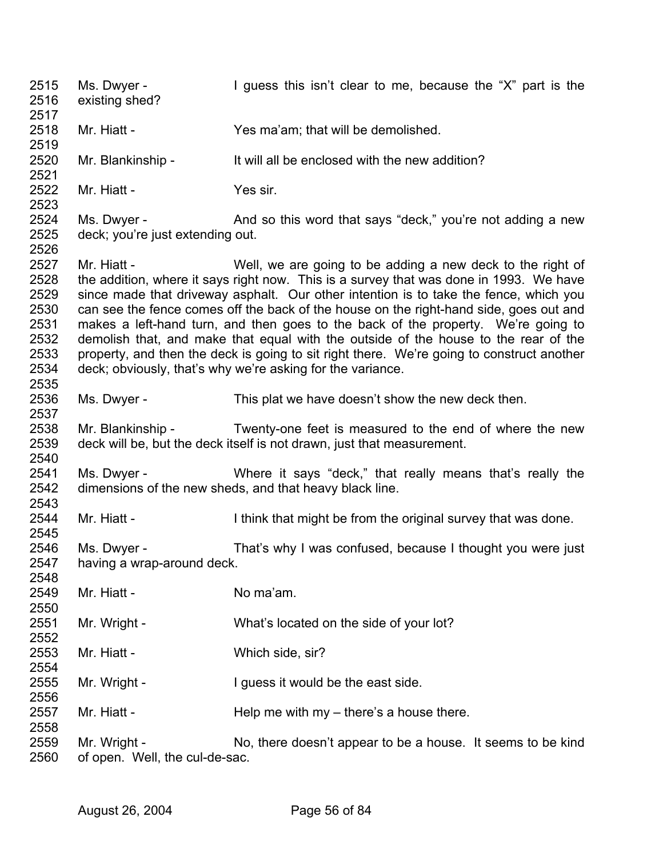2515 2516 2517 2518 2519 2520 2521 2522 2523 2524 2525 2526 2527 2528 2529 2530 2531 2532 2533 2534 2535 2536 2537 2538 2539 2540 2541 2542 2543 2544 2545 2546 2547 2548 2549 2550 2551 2552 2553 2554 2555 2556 2557 2558 2559 2560 Ms. Dwyer - I guess this isn't clear to me, because the "X" part is the existing shed? Mr. Hiatt - Yes ma'am; that will be demolished. Mr. Blankinship - It will all be enclosed with the new addition? Mr. Hiatt - Yes sir. Ms. Dwyer - And so this word that says "deck," you're not adding a new deck; you're just extending out. Mr. Hiatt - Well, we are going to be adding a new deck to the right of the addition, where it says right now. This is a survey that was done in 1993. We have since made that driveway asphalt. Our other intention is to take the fence, which you can see the fence comes off the back of the house on the right-hand side, goes out and makes a left-hand turn, and then goes to the back of the property. We're going to demolish that, and make that equal with the outside of the house to the rear of the property, and then the deck is going to sit right there. We're going to construct another deck; obviously, that's why we're asking for the variance. Ms. Dwyer - This plat we have doesn't show the new deck then. Mr. Blankinship - Twenty-one feet is measured to the end of where the new deck will be, but the deck itself is not drawn, just that measurement. Ms. Dwyer - Where it says "deck," that really means that's really the dimensions of the new sheds, and that heavy black line. Mr. Hiatt - Ithink that might be from the original survey that was done. Ms. Dwyer - That's why I was confused, because I thought you were just having a wrap-around deck. Mr. Hiatt - No ma'am. Mr. Wright - What's located on the side of your lot? Mr. Hiatt - Which side, sir? Mr. Wright - I guess it would be the east side. Mr. Hiatt -  $\qquad \qquad$  Help me with my – there's a house there. Mr. Wright - No, there doesn't appear to be a house. It seems to be kind of open. Well, the cul-de-sac.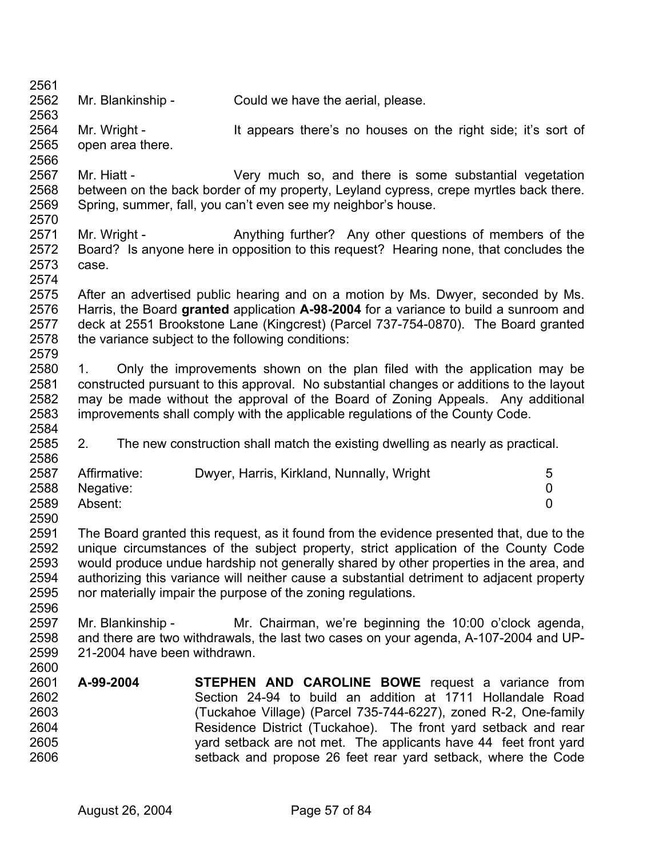2562 Mr. Blankinship - Could we have the aerial, please.

2561

2563

2566

2574

2586

2596

2564 2565 Mr. Wright - It appears there's no houses on the right side; it's sort of open area there.

2567 2568 2569 2570 Mr. Hiatt - The Very much so, and there is some substantial vegetation between on the back border of my property, Leyland cypress, crepe myrtles back there. Spring, summer, fall, you can't even see my neighbor's house.

2571 2572 2573 Mr. Wright - Anything further? Any other questions of members of the Board? Is anyone here in opposition to this request? Hearing none, that concludes the case.

2575 2576 2577 2578 2579 After an advertised public hearing and on a motion by Ms. Dwyer, seconded by Ms. Harris, the Board **granted** application **A-98-2004** for a variance to build a sunroom and deck at 2551 Brookstone Lane (Kingcrest) (Parcel 737-754-0870). The Board granted the variance subject to the following conditions:

2580 2581 2582 2583 2584 1. Only the improvements shown on the plan filed with the application may be constructed pursuant to this approval. No substantial changes or additions to the layout may be made without the approval of the Board of Zoning Appeals. Any additional improvements shall comply with the applicable regulations of the County Code.

2585 2. The new construction shall match the existing dwelling as nearly as practical.

| 2587 | Affirmative:   | Dwyer, Harris, Kirkland, Nunnally, Wright | 5 |
|------|----------------|-------------------------------------------|---|
|      | 2588 Negative: |                                           |   |
| 2589 | Absent:        |                                           |   |
| 2590 |                |                                           |   |

2591 2592 2593 2594 2595 The Board granted this request, as it found from the evidence presented that, due to the unique circumstances of the subject property, strict application of the County Code would produce undue hardship not generally shared by other properties in the area, and authorizing this variance will neither cause a substantial detriment to adjacent property nor materially impair the purpose of the zoning regulations.

2597 2598 2599 2600 Mr. Blankinship - Mr. Chairman, we're beginning the 10:00 o'clock agenda, and there are two withdrawals, the last two cases on your agenda, A-107-2004 and UP-21-2004 have been withdrawn.

2601 2602 2603 2604 2605 2606 **A-99-2004 STEPHEN AND CAROLINE BOWE** request a variance from Section 24-94 to build an addition at 1711 Hollandale Road (Tuckahoe Village) (Parcel 735-744-6227), zoned R-2, One-family Residence District (Tuckahoe). The front yard setback and rear yard setback are not met. The applicants have 44 feet front yard setback and propose 26 feet rear yard setback, where the Code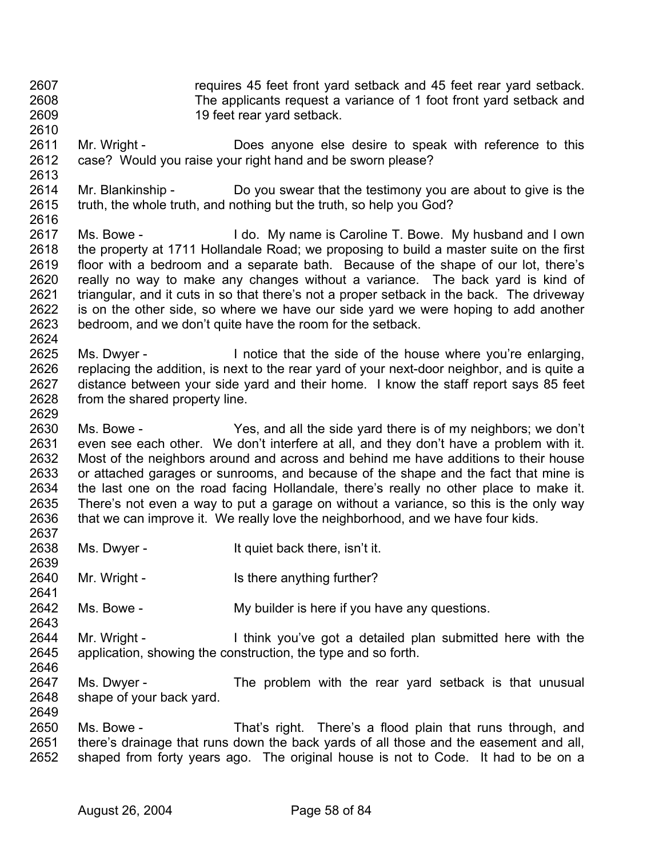- 2607 2608 2609 requires 45 feet front yard setback and 45 feet rear yard setback. The applicants request a variance of 1 foot front yard setback and 19 feet rear yard setback.
- 2610 2611 2612 Mr. Wright - **Does anyone else desire to speak with reference to this** case? Would you raise your right hand and be sworn please?
- 2614 2615 2616 Mr. Blankinship - Do you swear that the testimony you are about to give is the truth, the whole truth, and nothing but the truth, so help you God?
- 2617 2618 2619 2620 2621 2622 2623 2624 Ms. Bowe - I do. My name is Caroline T. Bowe. My husband and I own the property at 1711 Hollandale Road; we proposing to build a master suite on the first floor with a bedroom and a separate bath. Because of the shape of our lot, there's really no way to make any changes without a variance. The back yard is kind of triangular, and it cuts in so that there's not a proper setback in the back. The driveway is on the other side, so where we have our side yard we were hoping to add another bedroom, and we don't quite have the room for the setback.
- 2625 2626 2627 2628 Ms. Dwyer - I notice that the side of the house where you're enlarging, replacing the addition, is next to the rear yard of your next-door neighbor, and is quite a distance between your side yard and their home. I know the staff report says 85 feet from the shared property line.
- 2630 2631 2632 2633 2634 2635 2636 2637 Ms. Bowe - Yes, and all the side yard there is of my neighbors; we don't even see each other. We don't interfere at all, and they don't have a problem with it. Most of the neighbors around and across and behind me have additions to their house or attached garages or sunrooms, and because of the shape and the fact that mine is the last one on the road facing Hollandale, there's really no other place to make it. There's not even a way to put a garage on without a variance, so this is the only way that we can improve it. We really love the neighborhood, and we have four kids.
- 2638 Ms. Dwyer - The Music of the U.S. and Music Devices is Device to the U.S. and Music II.
- 2640 Mr. Wright - Is there anything further?
- 2642 Ms. Bowe - My builder is here if you have any questions.
- 2644 2645 2646 Mr. Wright - I think you've got a detailed plan submitted here with the application, showing the construction, the type and so forth.
- 2647 2648 Ms. Dwyer - The problem with the rear yard setback is that unusual shape of your back yard.
- 2650 2651 2652 Ms. Bowe - That's right. There's a flood plain that runs through, and there's drainage that runs down the back yards of all those and the easement and all, shaped from forty years ago. The original house is not to Code. It had to be on a

2629

2639

2641

2643

2649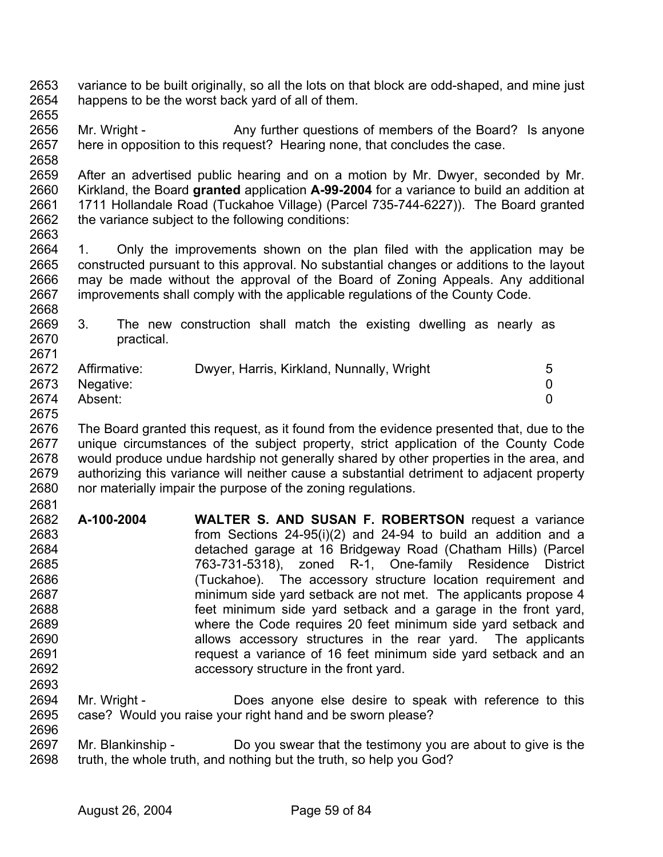- 2653 2654 variance to be built originally, so all the lots on that block are odd-shaped, and mine just happens to be the worst back yard of all of them.
- 2655

2668

2696

2656 2657 Mr. Wright - Any further questions of members of the Board? Is anyone here in opposition to this request? Hearing none, that concludes the case.

2659 2660 2661 2662 2663 After an advertised public hearing and on a motion by Mr. Dwyer, seconded by Mr. Kirkland, the Board **granted** application **A-99-2004** for a variance to build an addition at 1711 Hollandale Road (Tuckahoe Village) (Parcel 735-744-6227)). The Board granted the variance subject to the following conditions:

2664 2665 2666 2667 1. Only the improvements shown on the plan filed with the application may be constructed pursuant to this approval. No substantial changes or additions to the layout may be made without the approval of the Board of Zoning Appeals. Any additional improvements shall comply with the applicable regulations of the County Code.

2669 2670 2671 3. The new construction shall match the existing dwelling as nearly as practical.

|      | 2672 Affirmative: | Dwyer, Harris, Kirkland, Nunnally, Wright |  |
|------|-------------------|-------------------------------------------|--|
|      | 2673 Negative:    |                                           |  |
| 2674 | Absent:           |                                           |  |

2675

2676 2677 2678 2679 2680 2681 The Board granted this request, as it found from the evidence presented that, due to the unique circumstances of the subject property, strict application of the County Code would produce undue hardship not generally shared by other properties in the area, and authorizing this variance will neither cause a substantial detriment to adjacent property nor materially impair the purpose of the zoning regulations.

2682 2683 2684 2685 2686 2687 2688 2689 2690 2691 2692 2693 **A-100-2004 WALTER S. AND SUSAN F. ROBERTSON** request a variance from Sections 24-95(i)(2) and 24-94 to build an addition and a detached garage at 16 Bridgeway Road (Chatham Hills) (Parcel 763-731-5318), zoned R-1, One-family Residence District (Tuckahoe). The accessory structure location requirement and minimum side yard setback are not met. The applicants propose 4 feet minimum side yard setback and a garage in the front yard, where the Code requires 20 feet minimum side yard setback and allows accessory structures in the rear yard. The applicants request a variance of 16 feet minimum side yard setback and an accessory structure in the front yard.

2694 2695 Mr. Wright - **Does anyone else desire to speak with reference to this** case? Would you raise your right hand and be sworn please?

2697 2698 Mr. Blankinship - Do you swear that the testimony you are about to give is the truth, the whole truth, and nothing but the truth, so help you God?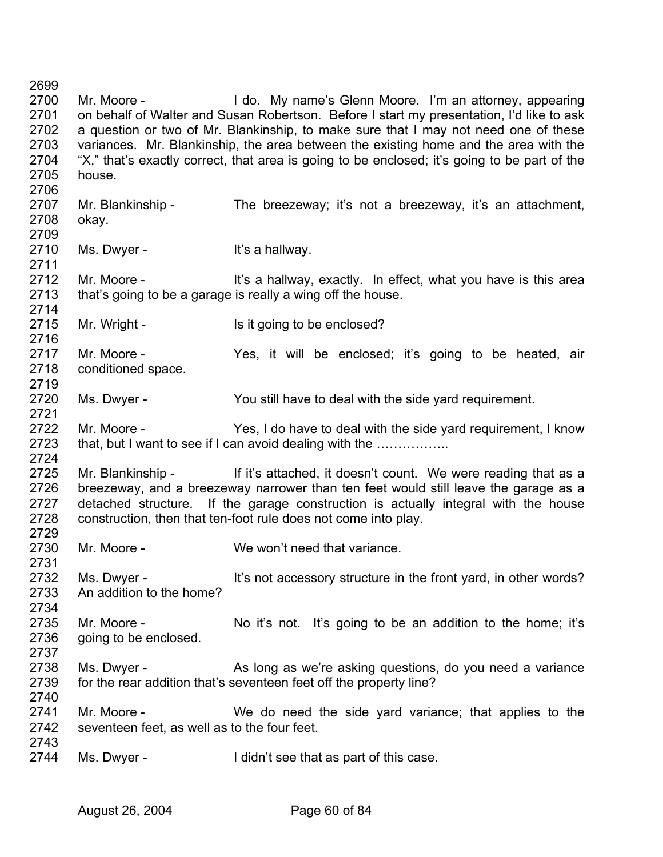2699 2700 2701 2702 2703 2704 2705 2706 2707 2708 2709 2710 2711 2712 2713 2714 2715 2716 2717 2718 2719 2720 2721 2722 2723 2724 2725 2726 2727 2728 2729 2730 2731 2732 2733 2734 2735 2736 2737 2738 2739 2740 2741 2742 2743 2744 Mr. Moore - I do. My name's Glenn Moore. I'm an attorney, appearing on behalf of Walter and Susan Robertson. Before I start my presentation, I'd like to ask a question or two of Mr. Blankinship, to make sure that I may not need one of these variances. Mr. Blankinship, the area between the existing home and the area with the "X," that's exactly correct, that area is going to be enclosed; it's going to be part of the house. Mr. Blankinship - The breezeway; it's not a breezeway, it's an attachment, okay. Ms. Dwyer - The Music Hit's a hallway. Mr. Moore - It's a hallway, exactly. In effect, what you have is this area that's going to be a garage is really a wing off the house. Mr. Wright - Is it going to be enclosed? Mr. Moore - Yes, it will be enclosed; it's going to be heated, air conditioned space. Ms. Dwyer - You still have to deal with the side yard requirement. Mr. Moore - Yes, I do have to deal with the side yard requirement, I know that, but I want to see if I can avoid dealing with the …………….. Mr. Blankinship - If it's attached, it doesn't count. We were reading that as a breezeway, and a breezeway narrower than ten feet would still leave the garage as a detached structure. If the garage construction is actually integral with the house construction, then that ten-foot rule does not come into play. Mr. Moore - We won't need that variance. Ms. Dwyer - It's not accessory structure in the front yard, in other words? An addition to the home? Mr. Moore - No it's not. It's going to be an addition to the home; it's going to be enclosed. Ms. Dwyer - As long as we're asking questions, do you need a variance for the rear addition that's seventeen feet off the property line? Mr. Moore - We do need the side yard variance; that applies to the seventeen feet, as well as to the four feet. Ms. Dwyer - The I didn't see that as part of this case.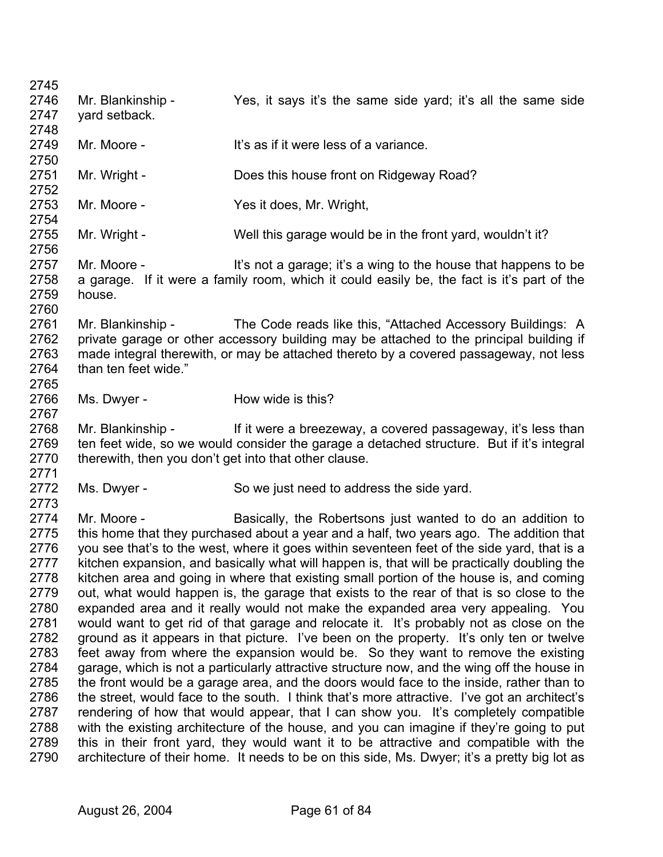2745 2746 2747 2748 2749 2750 2751 2752 2753 2754 2755 2756 2757 2758 2759 2760 2761 2762 2763 2764 2765 2766 2767 2768 2769 2770 2771 2772 2773 2774 2775 2776 2777 2778 2779 2780 2781 2782 2783 2784 2785 2786 2787 2788 2789 2790 Mr. Blankinship - Yes, it says it's the same side yard; it's all the same side yard setback. Mr. Moore - It's as if it were less of a variance Mr. Wright - **Does this house front on Ridgeway Road?** Mr. Moore - Yes it does, Mr. Wright, Mr. Wright - Well this garage would be in the front yard, wouldn't it? Mr. Moore - **It's not a garage; it's a wing to the house that happens to be** a garage. If it were a family room, which it could easily be, the fact is it's part of the house. Mr. Blankinship - The Code reads like this, "Attached Accessory Buildings: A private garage or other accessory building may be attached to the principal building if made integral therewith, or may be attached thereto by a covered passageway, not less than ten feet wide." Ms. Dwyer - How wide is this? Mr. Blankinship - If it were a breezeway, a covered passageway, it's less than ten feet wide, so we would consider the garage a detached structure. But if it's integral therewith, then you don't get into that other clause. Ms. Dwyer - So we just need to address the side yard. Mr. Moore - Basically, the Robertsons just wanted to do an addition to this home that they purchased about a year and a half, two years ago. The addition that you see that's to the west, where it goes within seventeen feet of the side yard, that is a kitchen expansion, and basically what will happen is, that will be practically doubling the kitchen area and going in where that existing small portion of the house is, and coming out, what would happen is, the garage that exists to the rear of that is so close to the expanded area and it really would not make the expanded area very appealing. You would want to get rid of that garage and relocate it. It's probably not as close on the ground as it appears in that picture. I've been on the property. It's only ten or twelve feet away from where the expansion would be. So they want to remove the existing garage, which is not a particularly attractive structure now, and the wing off the house in the front would be a garage area, and the doors would face to the inside, rather than to the street, would face to the south. I think that's more attractive. I've got an architect's rendering of how that would appear, that I can show you. It's completely compatible with the existing architecture of the house, and you can imagine if they're going to put this in their front yard, they would want it to be attractive and compatible with the architecture of their home. It needs to be on this side, Ms. Dwyer; it's a pretty big lot as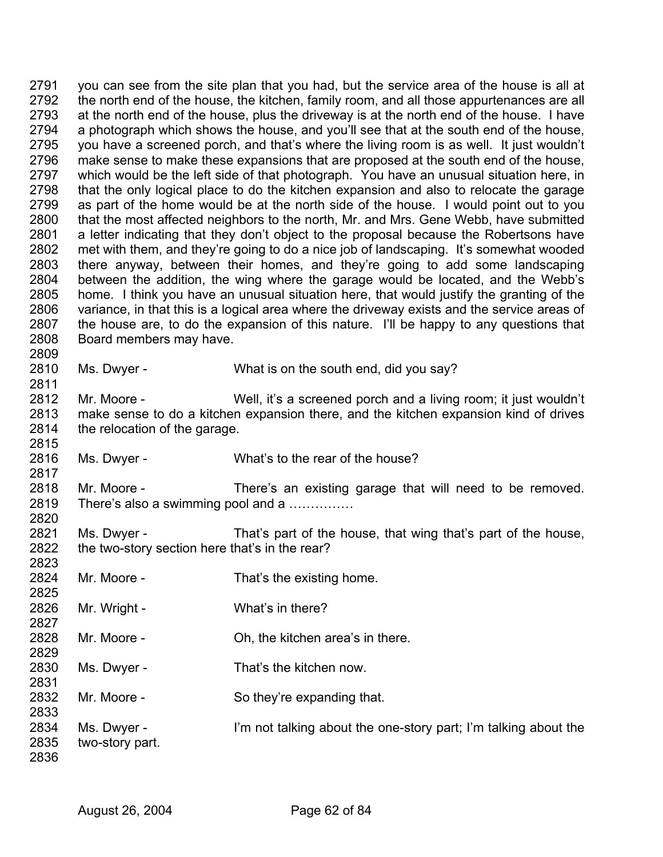2791 2792 2793 2794 2795 2796 2797 2798 2799 2800 2801 2802 2803 2804 2805 2806 2807 2808 2809 2810 you can see from the site plan that you had, but the service area of the house is all at the north end of the house, the kitchen, family room, and all those appurtenances are all at the north end of the house, plus the driveway is at the north end of the house. I have a photograph which shows the house, and you'll see that at the south end of the house, you have a screened porch, and that's where the living room is as well. It just wouldn't make sense to make these expansions that are proposed at the south end of the house, which would be the left side of that photograph. You have an unusual situation here, in that the only logical place to do the kitchen expansion and also to relocate the garage as part of the home would be at the north side of the house. I would point out to you that the most affected neighbors to the north, Mr. and Mrs. Gene Webb, have submitted a letter indicating that they don't object to the proposal because the Robertsons have met with them, and they're going to do a nice job of landscaping. It's somewhat wooded there anyway, between their homes, and they're going to add some landscaping between the addition, the wing where the garage would be located, and the Webb's home. I think you have an unusual situation here, that would justify the granting of the variance, in that this is a logical area where the driveway exists and the service areas of the house are, to do the expansion of this nature. I'll be happy to any questions that Board members may have. Ms. Dwyer - What is on the south end, did you say?

2812 2813 2814 2815 Mr. Moore - Well, it's a screened porch and a living room; it just wouldn't make sense to do a kitchen expansion there, and the kitchen expansion kind of drives the relocation of the garage.

2816 Ms. Dwyer - What's to the rear of the house?

2818 2819 2820 Mr. Moore - There's an existing garage that will need to be removed. There's also a swimming pool and a ..............

2821 2822 2823 Ms. Dwyer - That's part of the house, that wing that's part of the house, the two-story section here that's in the rear?

- 2824 2825 2826 2827 Mr. Moore - That's the existing home. Mr. Wright - What's in there?
- 2828 2829 Mr. Moore - Ch, the kitchen area's in there.
- 2830 2831 Ms. Dwyer - That's the kitchen now.
- 2832 Mr. Moore - So they're expanding that.
- 2834 2835 Ms. Dwyer - I'm not talking about the one-story part; I'm talking about the two-story part.
- 2836

2833

2811

2817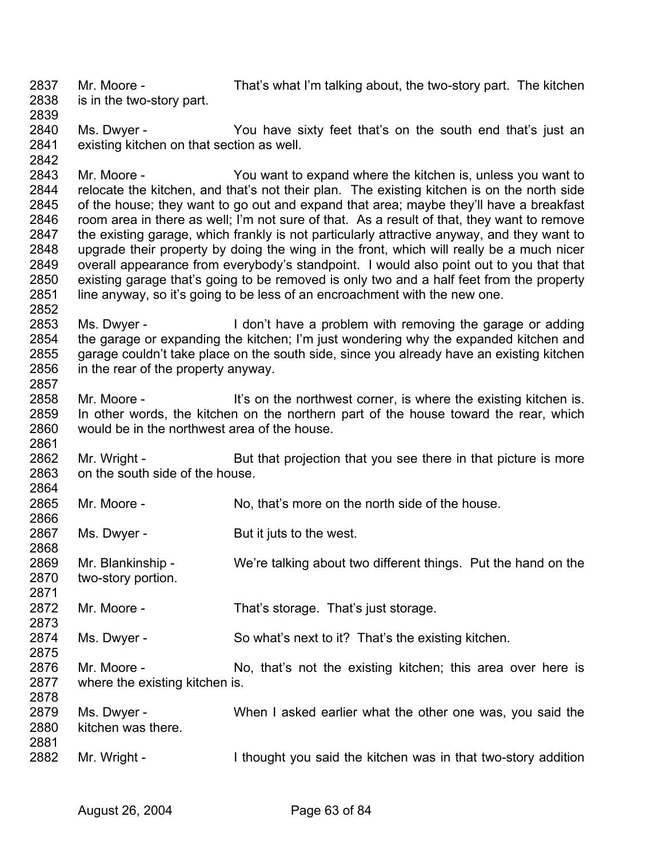2837 2838 2839 2840 2841 2842 2843 2844 2845 2846 2847 2848 2849 2850 2851 2852 2853 2854 2855 2856 2857 2858 2859 2860 2861 2862 2863 2864 2865 2866 2867 2868 2869 2870 2871 2872 2873 2874 2875 2876 2877 2878 2879 2880 2881 2882 Mr. Moore - That's what I'm talking about, the two-story part. The kitchen is in the two-story part. Ms. Dwyer - The You have sixty feet that's on the south end that's just an existing kitchen on that section as well. Mr. Moore - You want to expand where the kitchen is, unless you want to relocate the kitchen, and that's not their plan. The existing kitchen is on the north side of the house; they want to go out and expand that area; maybe they'll have a breakfast room area in there as well; I'm not sure of that. As a result of that, they want to remove the existing garage, which frankly is not particularly attractive anyway, and they want to upgrade their property by doing the wing in the front, which will really be a much nicer overall appearance from everybody's standpoint. I would also point out to you that that existing garage that's going to be removed is only two and a half feet from the property line anyway, so it's going to be less of an encroachment with the new one. Ms. Dwyer - The I don't have a problem with removing the garage or adding the garage or expanding the kitchen; I'm just wondering why the expanded kitchen and garage couldn't take place on the south side, since you already have an existing kitchen in the rear of the property anyway. Mr. Moore - It's on the northwest corner, is where the existing kitchen is. In other words, the kitchen on the northern part of the house toward the rear, which would be in the northwest area of the house. Mr. Wright - But that projection that you see there in that picture is more on the south side of the house. Mr. Moore - No, that's more on the north side of the house. Ms. Dwyer - But it juts to the west. Mr. Blankinship - We're talking about two different things. Put the hand on the two-story portion. Mr. Moore - That's storage. That's just storage. Ms. Dwyer - So what's next to it? That's the existing kitchen. Mr. Moore - No, that's not the existing kitchen; this area over here is where the existing kitchen is. Ms. Dwyer - When I asked earlier what the other one was, you said the kitchen was there. Mr. Wright - I thought you said the kitchen was in that two-story addition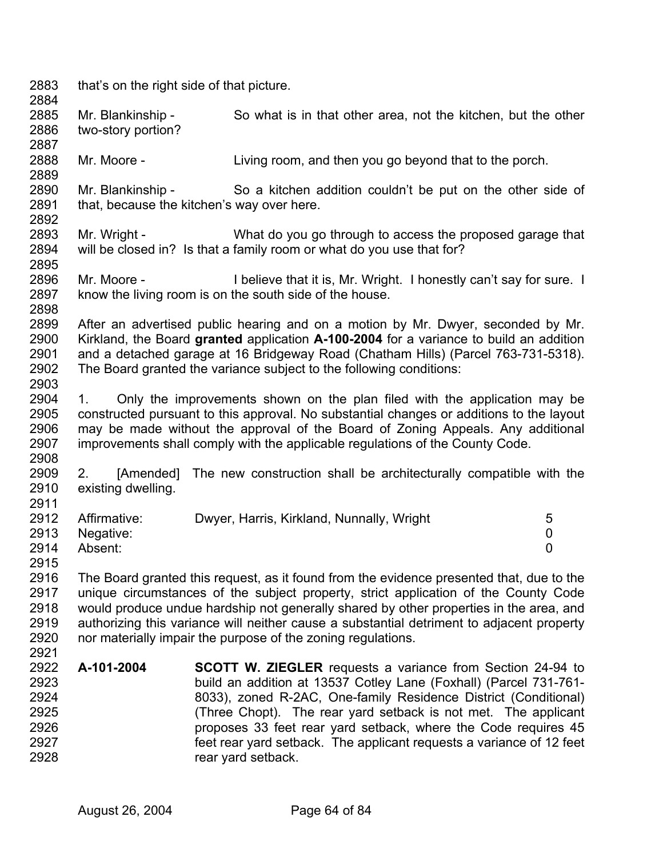2883 2884 2885 2886 2887 2888 2889 2890 2891 2892 2893 2894 2895 2896 2897 2898 2899 2900 2901 2902 2903 2904 2905 2906 2907 2908 2909 2910 2911 2912 2913 2914 2915 2916 2917 2918 2919 2920 2921 2922 2923 2924 2925 2926 2927 2928 that's on the right side of that picture. Mr. Blankinship - So what is in that other area, not the kitchen, but the other two-story portion? Mr. Moore - Living room, and then you go beyond that to the porch. Mr. Blankinship - So a kitchen addition couldn't be put on the other side of that, because the kitchen's way over here. Mr. Wright - What do you go through to access the proposed garage that will be closed in? Is that a family room or what do you use that for? Mr. Moore - **I** believe that it is, Mr. Wright. I honestly can't say for sure. I know the living room is on the south side of the house. After an advertised public hearing and on a motion by Mr. Dwyer, seconded by Mr. Kirkland, the Board **granted** application **A-100-2004** for a variance to build an addition and a detached garage at 16 Bridgeway Road (Chatham Hills) (Parcel 763-731-5318). The Board granted the variance subject to the following conditions: 1. Only the improvements shown on the plan filed with the application may be constructed pursuant to this approval. No substantial changes or additions to the layout may be made without the approval of the Board of Zoning Appeals. Any additional improvements shall comply with the applicable regulations of the County Code. 2. [Amended] The new construction shall be architecturally compatible with the existing dwelling. Affirmative: Dwyer, Harris, Kirkland, Nunnally, Wright 5 Negative: 0 Absent: 0 The Board granted this request, as it found from the evidence presented that, due to the unique circumstances of the subject property, strict application of the County Code would produce undue hardship not generally shared by other properties in the area, and authorizing this variance will neither cause a substantial detriment to adjacent property nor materially impair the purpose of the zoning regulations. **A-101-2004 SCOTT W. ZIEGLER** requests a variance from Section 24-94 to build an addition at 13537 Cotley Lane (Foxhall) (Parcel 731-761- 8033), zoned R-2AC, One-family Residence District (Conditional) (Three Chopt). The rear yard setback is not met. The applicant proposes 33 feet rear yard setback, where the Code requires 45 feet rear yard setback. The applicant requests a variance of 12 feet rear yard setback.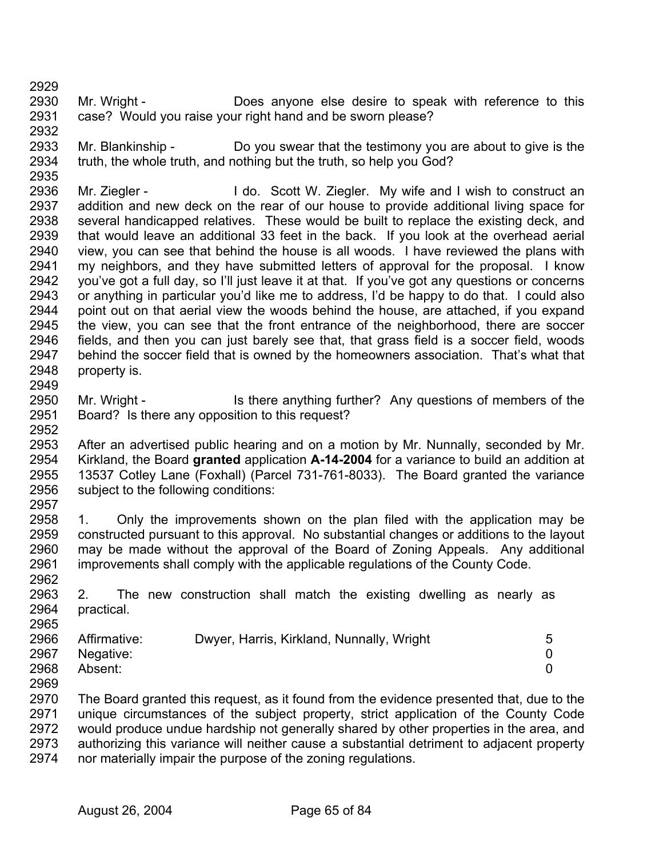2935

2952

- 2930 2931 2932 Mr. Wright - **Does anyone else desire to speak with reference to this** case? Would you raise your right hand and be sworn please?
- 2933 2934 Mr. Blankinship - Do you swear that the testimony you are about to give is the truth, the whole truth, and nothing but the truth, so help you God?
- 2936 2937 2938 2939 2940 2941 2942 2943 2944 2945 2946 2947 2948 2949 Mr. Ziegler - The Music Construct and I wish to construct an addition and new deck on the rear of our house to provide additional living space for several handicapped relatives. These would be built to replace the existing deck, and that would leave an additional 33 feet in the back. If you look at the overhead aerial view, you can see that behind the house is all woods. I have reviewed the plans with my neighbors, and they have submitted letters of approval for the proposal. I know you've got a full day, so I'll just leave it at that. If you've got any questions or concerns or anything in particular you'd like me to address, I'd be happy to do that. I could also point out on that aerial view the woods behind the house, are attached, if you expand the view, you can see that the front entrance of the neighborhood, there are soccer fields, and then you can just barely see that, that grass field is a soccer field, woods behind the soccer field that is owned by the homeowners association. That's what that property is.
- 2950 2951 Mr. Wright - Is there anything further? Any questions of members of the Board? Is there any opposition to this request?
- 2953 2954 2955 2956 2957 After an advertised public hearing and on a motion by Mr. Nunnally, seconded by Mr. Kirkland, the Board **granted** application **A-14-2004** for a variance to build an addition at 13537 Cotley Lane (Foxhall) (Parcel 731-761-8033). The Board granted the variance subject to the following conditions:
- 2958 2959 2960 2961 2962 1. Only the improvements shown on the plan filed with the application may be constructed pursuant to this approval. No substantial changes or additions to the layout may be made without the approval of the Board of Zoning Appeals. Any additional improvements shall comply with the applicable regulations of the County Code.
- 2963 2964 2965 2. The new construction shall match the existing dwelling as nearly as practical.

| 2966 | Affirmative: | Dwyer, Harris, Kirkland, Nunnally, Wright | 5 |
|------|--------------|-------------------------------------------|---|
| 2967 | Negative:    |                                           |   |
| 2968 | Absent:      |                                           |   |
| 2969 |              |                                           |   |

2970 2971 2972 2973 2974 The Board granted this request, as it found from the evidence presented that, due to the unique circumstances of the subject property, strict application of the County Code would produce undue hardship not generally shared by other properties in the area, and authorizing this variance will neither cause a substantial detriment to adjacent property nor materially impair the purpose of the zoning regulations.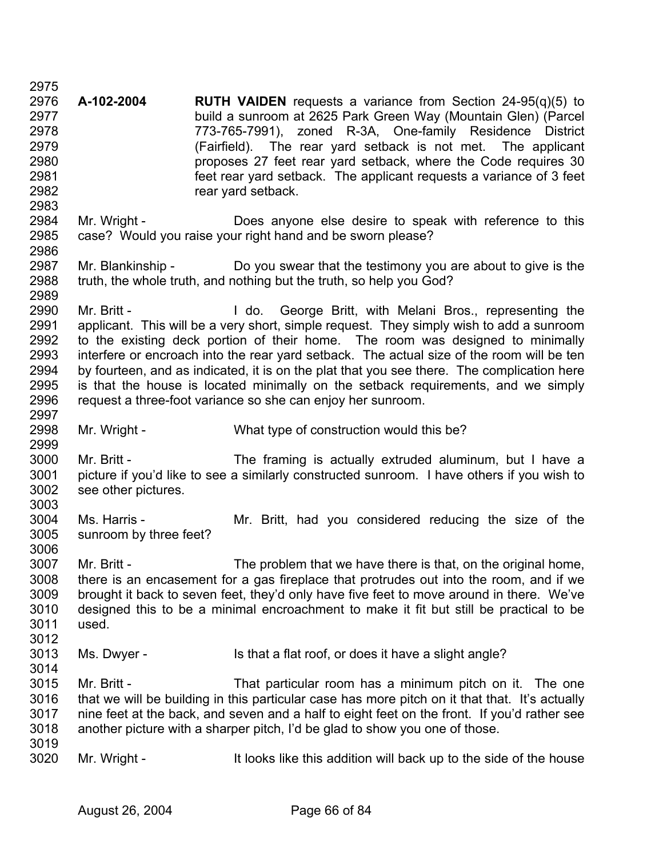2975 2976 2977 2978 2979 2980 2981 2982 2983 2984 2985 2986 2987 2988 2989 2990 2991 2992 2993 2994 2995 2996 2997 2998 2999 3000 3001 3002 3003 3004 3005 3006 3007 3008 3009 3010 3011 3012 3013 3014 3015 3016 3017 3018 3019 3020 **A-102-2004 RUTH VAIDEN** requests a variance from Section 24-95(q)(5) to build a sunroom at 2625 Park Green Way (Mountain Glen) (Parcel 773-765-7991), zoned R-3A, One-family Residence District (Fairfield). The rear yard setback is not met. The applicant proposes 27 feet rear yard setback, where the Code requires 30 feet rear yard setback. The applicant requests a variance of 3 feet rear yard setback. Mr. Wright - **Does anyone else desire to speak with reference to this** case? Would you raise your right hand and be sworn please? Mr. Blankinship - Do you swear that the testimony you are about to give is the truth, the whole truth, and nothing but the truth, so help you God? Mr. Britt - The Muslim Huldo. George Britt, with Melani Bros., representing the applicant. This will be a very short, simple request. They simply wish to add a sunroom to the existing deck portion of their home. The room was designed to minimally interfere or encroach into the rear yard setback. The actual size of the room will be ten by fourteen, and as indicated, it is on the plat that you see there. The complication here is that the house is located minimally on the setback requirements, and we simply request a three-foot variance so she can enjoy her sunroom. Mr. Wright - What type of construction would this be? Mr. Britt - The framing is actually extruded aluminum, but I have a picture if you'd like to see a similarly constructed sunroom. I have others if you wish to see other pictures. Ms. Harris - The Mr. Britt, had you considered reducing the size of the sunroom by three feet? Mr. Britt - The problem that we have there is that, on the original home, there is an encasement for a gas fireplace that protrudes out into the room, and if we brought it back to seven feet, they'd only have five feet to move around in there. We've designed this to be a minimal encroachment to make it fit but still be practical to be used. Ms. Dwyer - Is that a flat roof, or does it have a slight angle? Mr. Britt - That particular room has a minimum pitch on it. The one that we will be building in this particular case has more pitch on it that that. It's actually nine feet at the back, and seven and a half to eight feet on the front. If you'd rather see another picture with a sharper pitch, I'd be glad to show you one of those. Mr. Wright - It looks like this addition will back up to the side of the house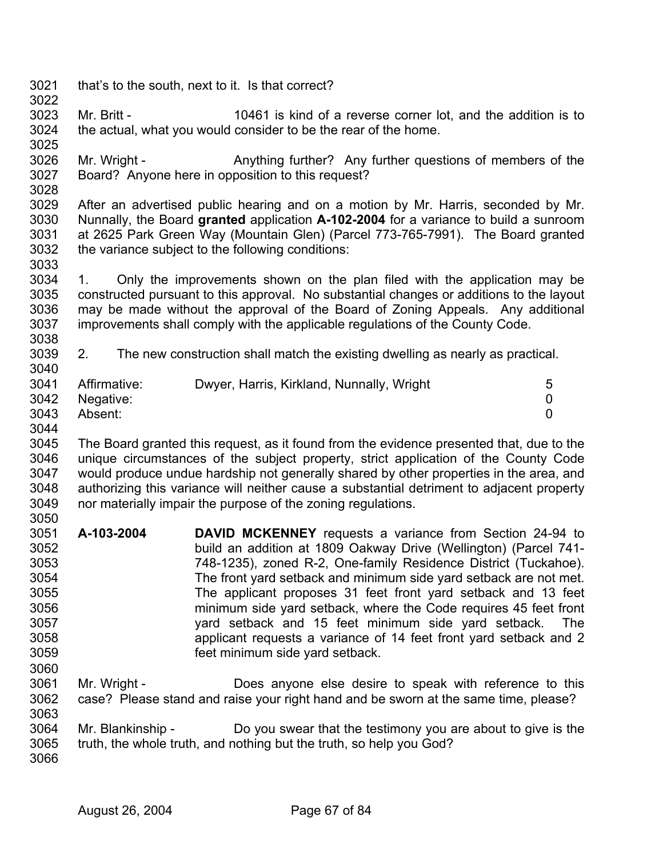- 3021 3022 that's to the south, next to it. Is that correct?
- 3023 3024 3025 Mr. Britt - 10461 is kind of a reverse corner lot, and the addition is to the actual, what you would consider to be the rear of the home.
- 3026 3027 Mr. Wright - Anything further? Any further questions of members of the Board? Anyone here in opposition to this request?
- 3029 3030 3031 3032 After an advertised public hearing and on a motion by Mr. Harris, seconded by Mr. Nunnally, the Board **granted** application **A-102-2004** for a variance to build a sunroom at 2625 Park Green Way (Mountain Glen) (Parcel 773-765-7991). The Board granted the variance subject to the following conditions:
- 3034 3035 3036 3037 3038 1. Only the improvements shown on the plan filed with the application may be constructed pursuant to this approval. No substantial changes or additions to the layout may be made without the approval of the Board of Zoning Appeals. Any additional improvements shall comply with the applicable regulations of the County Code.
- 3039 2. The new construction shall match the existing dwelling as nearly as practical.

|      | 3041 Affirmative: | Dwyer, Harris, Kirkland, Nunnally, Wright |  |
|------|-------------------|-------------------------------------------|--|
|      | 3042 Negative:    |                                           |  |
| 3043 | Absent:           |                                           |  |

3063

3040

3028

3033

3045 3046 3047 3048 3049 3050 The Board granted this request, as it found from the evidence presented that, due to the unique circumstances of the subject property, strict application of the County Code would produce undue hardship not generally shared by other properties in the area, and authorizing this variance will neither cause a substantial detriment to adjacent property nor materially impair the purpose of the zoning regulations.

- 3051 3052 3053 3054 3055 3056 3057 3058 3059 3060 **A-103-2004 DAVID MCKENNEY** requests a variance from Section 24-94 to build an addition at 1809 Oakway Drive (Wellington) (Parcel 741- 748-1235), zoned R-2, One-family Residence District (Tuckahoe). The front yard setback and minimum side yard setback are not met. The applicant proposes 31 feet front yard setback and 13 feet minimum side yard setback, where the Code requires 45 feet front yard setback and 15 feet minimum side yard setback. The applicant requests a variance of 14 feet front yard setback and 2 feet minimum side yard setback.
- 3061 3062 Mr. Wright - **Does anyone else desire to speak with reference to this** case? Please stand and raise your right hand and be sworn at the same time, please?
- 3064 Mr. Blankinship - Do you swear that the testimony you are about to give is the
- 3065 3066 truth, the whole truth, and nothing but the truth, so help you God?
	- August 26, 2004 Page 67 of 84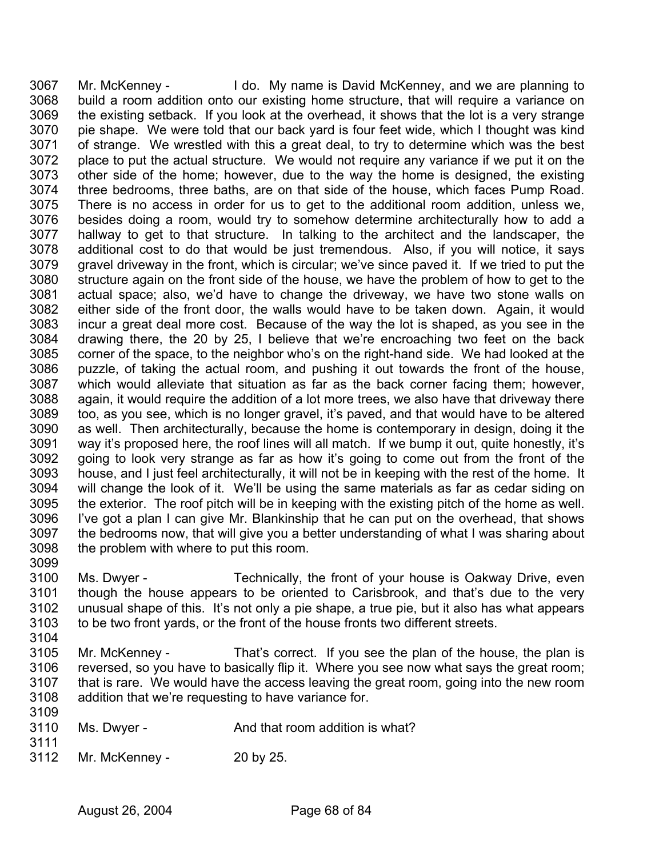3067 3068 3069 3070 3071 3072 3073 3074 3075 3076 3077 3078 3079 3080 3081 3082 3083 3084 3085 3086 3087 3088 3089 3090 3091 3092 3093 3094 3095 3096 3097 3098 Mr. McKenney - I do. My name is David McKenney, and we are planning to build a room addition onto our existing home structure, that will require a variance on the existing setback. If you look at the overhead, it shows that the lot is a very strange pie shape. We were told that our back yard is four feet wide, which I thought was kind of strange. We wrestled with this a great deal, to try to determine which was the best place to put the actual structure. We would not require any variance if we put it on the other side of the home; however, due to the way the home is designed, the existing three bedrooms, three baths, are on that side of the house, which faces Pump Road. There is no access in order for us to get to the additional room addition, unless we, besides doing a room, would try to somehow determine architecturally how to add a hallway to get to that structure. In talking to the architect and the landscaper, the additional cost to do that would be just tremendous. Also, if you will notice, it says gravel driveway in the front, which is circular; we've since paved it. If we tried to put the structure again on the front side of the house, we have the problem of how to get to the actual space; also, we'd have to change the driveway, we have two stone walls on either side of the front door, the walls would have to be taken down. Again, it would incur a great deal more cost. Because of the way the lot is shaped, as you see in the drawing there, the 20 by 25, I believe that we're encroaching two feet on the back corner of the space, to the neighbor who's on the right-hand side. We had looked at the puzzle, of taking the actual room, and pushing it out towards the front of the house, which would alleviate that situation as far as the back corner facing them; however, again, it would require the addition of a lot more trees, we also have that driveway there too, as you see, which is no longer gravel, it's paved, and that would have to be altered as well. Then architecturally, because the home is contemporary in design, doing it the way it's proposed here, the roof lines will all match. If we bump it out, quite honestly, it's going to look very strange as far as how it's going to come out from the front of the house, and I just feel architecturally, it will not be in keeping with the rest of the home. It will change the look of it. We'll be using the same materials as far as cedar siding on the exterior. The roof pitch will be in keeping with the existing pitch of the home as well. I've got a plan I can give Mr. Blankinship that he can put on the overhead, that shows the bedrooms now, that will give you a better understanding of what I was sharing about the problem with where to put this room.

3099

3100 3101 3102 3103 3104 Ms. Dwyer - Technically, the front of your house is Oakway Drive, even though the house appears to be oriented to Carisbrook, and that's due to the very unusual shape of this. It's not only a pie shape, a true pie, but it also has what appears to be two front yards, or the front of the house fronts two different streets.

3105 3106 3107 3108 Mr. McKenney - That's correct. If you see the plan of the house, the plan is reversed, so you have to basically flip it. Where you see now what says the great room; that is rare. We would have the access leaving the great room, going into the new room addition that we're requesting to have variance for.

| 3110 | Ms. Dwyer - | And that room addition is what? |
|------|-------------|---------------------------------|
|      |             |                                 |

3111

3109

3112 Mr. McKenney - 20 by 25.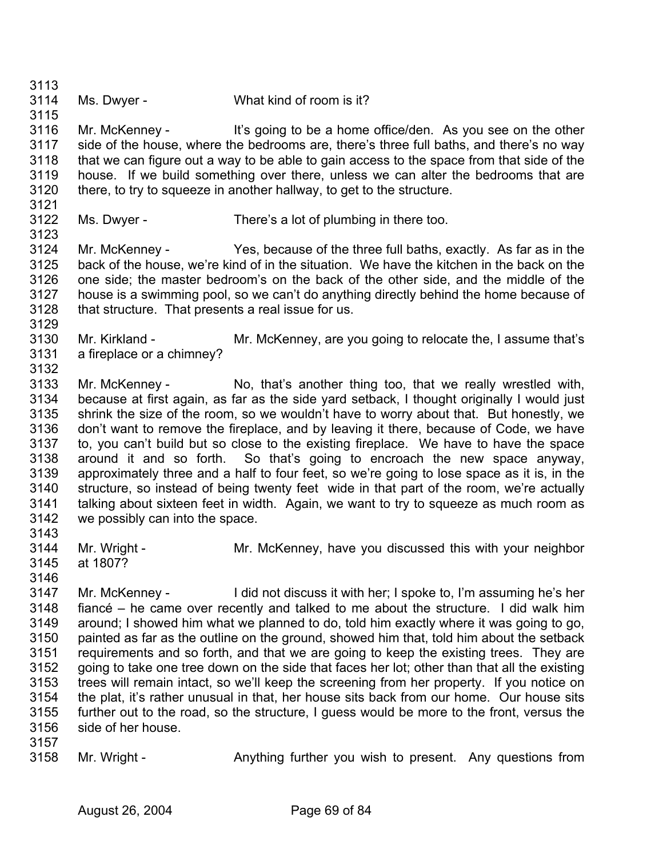3114 Ms. Dwyer - What kind of room is it?

3116 3117 3118 3119 3120 Mr. McKenney - It's going to be a home office/den. As you see on the other side of the house, where the bedrooms are, there's three full baths, and there's no way that we can figure out a way to be able to gain access to the space from that side of the house. If we build something over there, unless we can alter the bedrooms that are there, to try to squeeze in another hallway, to get to the structure.

3121 3122

3129

3113

3115

Ms. Dwyer - There's a lot of plumbing in there too.

3123 3124 3125 3126 3127 3128 Mr. McKenney - Yes, because of the three full baths, exactly. As far as in the back of the house, we're kind of in the situation. We have the kitchen in the back on the one side; the master bedroom's on the back of the other side, and the middle of the house is a swimming pool, so we can't do anything directly behind the home because of that structure. That presents a real issue for us.

- 3130 3131 3132 Mr. Kirkland - Mr. McKenney, are you going to relocate the, I assume that's a fireplace or a chimney?
- 3133 3134 3135 3136 3137 3138 3139 3140 3141 3142 3143 Mr. McKenney - No, that's another thing too, that we really wrestled with, because at first again, as far as the side yard setback, I thought originally I would just shrink the size of the room, so we wouldn't have to worry about that. But honestly, we don't want to remove the fireplace, and by leaving it there, because of Code, we have to, you can't build but so close to the existing fireplace. We have to have the space around it and so forth. So that's going to encroach the new space anyway, approximately three and a half to four feet, so we're going to lose space as it is, in the structure, so instead of being twenty feet wide in that part of the room, we're actually talking about sixteen feet in width. Again, we want to try to squeeze as much room as we possibly can into the space.
- 3144 3145 Mr. Wright - Mr. McKenney, have you discussed this with your neighbor at 1807?
- 3146

3147 3148 3149 3150 3151 3152 3153 3154 3155 3156 Mr. McKenney - I did not discuss it with her; I spoke to, I'm assuming he's her fiancé – he came over recently and talked to me about the structure. I did walk him around; I showed him what we planned to do, told him exactly where it was going to go, painted as far as the outline on the ground, showed him that, told him about the setback requirements and so forth, and that we are going to keep the existing trees. They are going to take one tree down on the side that faces her lot; other than that all the existing trees will remain intact, so we'll keep the screening from her property. If you notice on the plat, it's rather unusual in that, her house sits back from our home. Our house sits further out to the road, so the structure, I guess would be more to the front, versus the side of her house.

3157

3158 Mr. Wright - Anything further you wish to present. Any questions from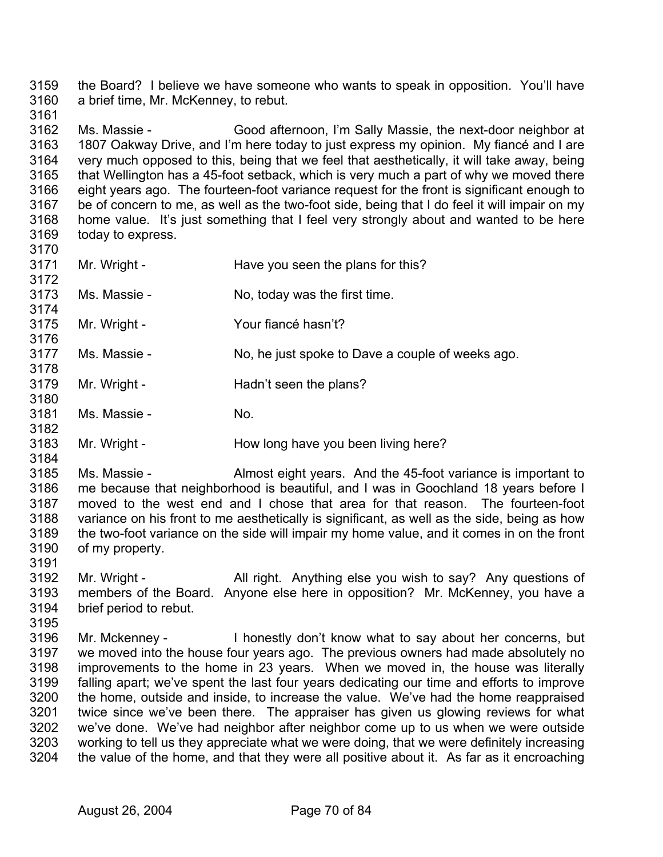3159 3160 the Board? I believe we have someone who wants to speak in opposition. You'll have a brief time, Mr. McKenney, to rebut.

3162 3163 3164 3165 3166 3167 3168 3169 Ms. Massie - Good afternoon, I'm Sally Massie, the next-door neighbor at 1807 Oakway Drive, and I'm here today to just express my opinion. My fiancé and I are very much opposed to this, being that we feel that aesthetically, it will take away, being that Wellington has a 45-foot setback, which is very much a part of why we moved there eight years ago. The fourteen-foot variance request for the front is significant enough to be of concern to me, as well as the two-foot side, being that I do feel it will impair on my home value. It's just something that I feel very strongly about and wanted to be here today to express.

- 3170 3171 3172 3173 3174 3175 3176 3177 3178 3179 3180 Mr. Wright - Have you seen the plans for this? Ms. Massie - No, today was the first time. Mr. Wright - Your fiance hasn't? Ms. Massie - No, he just spoke to Dave a couple of weeks ago. Mr. Wright - **Hadn't seen the plans?**
- 3181 3182 Ms. Massie - No.

3161

3184

3195

3183 Mr. Wright - How long have you been living here?

3185 3186 3187 3188 3189 3190 Ms. Massie - Almost eight years. And the 45-foot variance is important to me because that neighborhood is beautiful, and I was in Goochland 18 years before I moved to the west end and I chose that area for that reason. The fourteen-foot variance on his front to me aesthetically is significant, as well as the side, being as how the two-foot variance on the side will impair my home value, and it comes in on the front of my property.

- 3191 3192 3193 3194 Mr. Wright - All right. Anything else you wish to say? Any questions of members of the Board. Anyone else here in opposition? Mr. McKenney, you have a brief period to rebut.
- 3196 3197 3198 3199 3200 3201 3202 3203 3204 Mr. Mckenney - I honestly don't know what to say about her concerns, but we moved into the house four years ago. The previous owners had made absolutely no improvements to the home in 23 years. When we moved in, the house was literally falling apart; we've spent the last four years dedicating our time and efforts to improve the home, outside and inside, to increase the value. We've had the home reappraised twice since we've been there. The appraiser has given us glowing reviews for what we've done. We've had neighbor after neighbor come up to us when we were outside working to tell us they appreciate what we were doing, that we were definitely increasing the value of the home, and that they were all positive about it. As far as it encroaching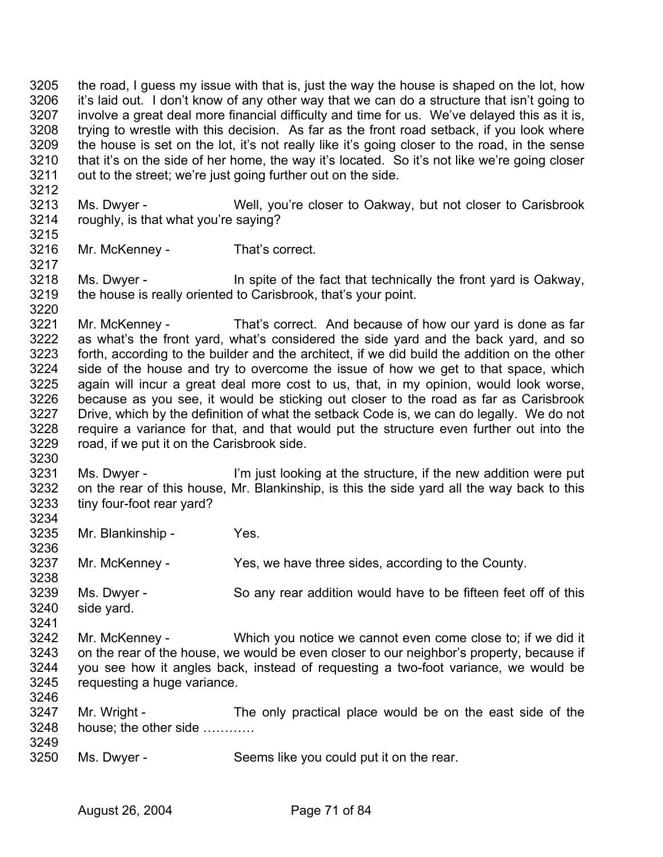3205 3206 3207 3208 3209 3210 3211 the road, I guess my issue with that is, just the way the house is shaped on the lot, how it's laid out. I don't know of any other way that we can do a structure that isn't going to involve a great deal more financial difficulty and time for us. We've delayed this as it is, trying to wrestle with this decision. As far as the front road setback, if you look where the house is set on the lot, it's not really like it's going closer to the road, in the sense that it's on the side of her home, the way it's located. So it's not like we're going closer out to the street; we're just going further out on the side.

3213 3214 Ms. Dwyer - Well, you're closer to Oakway, but not closer to Carisbrook roughly, is that what you're saying?

3216 Mr. McKenney - That's correct.

3218 3219 Ms. Dwyer - In spite of the fact that technically the front yard is Oakway, the house is really oriented to Carisbrook, that's your point.

3221 3222 3223 3224 3225 3226 3227 3228 3229 Mr. McKenney - That's correct. And because of how our yard is done as far as what's the front yard, what's considered the side yard and the back yard, and so forth, according to the builder and the architect, if we did build the addition on the other side of the house and try to overcome the issue of how we get to that space, which again will incur a great deal more cost to us, that, in my opinion, would look worse, because as you see, it would be sticking out closer to the road as far as Carisbrook Drive, which by the definition of what the setback Code is, we can do legally. We do not require a variance for that, and that would put the structure even further out into the road, if we put it on the Carisbrook side.

3231 3232 3233 3234 Ms. Dwyer - I'm just looking at the structure, if the new addition were put on the rear of this house, Mr. Blankinship, is this the side yard all the way back to this tiny four-foot rear yard?

3235 Mr. Blankinship - Yes.

3237 Mr. McKenney - Yes, we have three sides, according to the County.

3238 3239 3240 Ms. Dwyer - So any rear addition would have to be fifteen feet off of this side yard.

3241

3212

3215

3217

3220

3230

3236

3242 3243 3244 3245 3246 Mr. McKenney - Which you notice we cannot even come close to; if we did it on the rear of the house, we would be even closer to our neighbor's property, because if you see how it angles back, instead of requesting a two-foot variance, we would be requesting a huge variance.

3247 3248 3249 Mr. Wright - The only practical place would be on the east side of the house; the other side …………

3250 Ms. Dwyer - Seems like you could put it on the rear.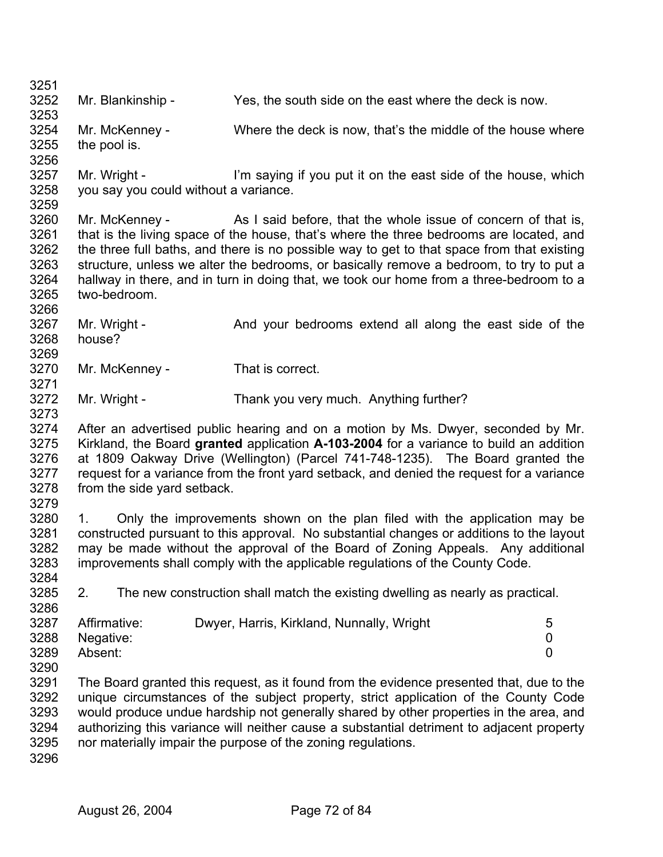3251 3252 3253 3254 3255 3256 3257 3258 3259 3260 3261 3262 3263 3264 3265 3266 3267 3268 3269 3270 3271 3272 3273 3274 3275 3276 3277 3278 3279 3280 3281 3282 3283 3284 3285 3286 3287 3288 3289 3290 3291 3292 3293 3294 3295 3296 Mr. Blankinship - Yes, the south side on the east where the deck is now. Mr. McKenney - Where the deck is now, that's the middle of the house where the pool is. Mr. Wright - I'm saying if you put it on the east side of the house, which you say you could without a variance. Mr. McKenney - As I said before, that the whole issue of concern of that is, that is the living space of the house, that's where the three bedrooms are located, and the three full baths, and there is no possible way to get to that space from that existing structure, unless we alter the bedrooms, or basically remove a bedroom, to try to put a hallway in there, and in turn in doing that, we took our home from a three-bedroom to a two-bedroom. Mr. Wright - And your bedrooms extend all along the east side of the house? Mr. McKenney - That is correct. Mr. Wright - Thank you very much. Anything further? After an advertised public hearing and on a motion by Ms. Dwyer, seconded by Mr. Kirkland, the Board **granted** application **A-103-2004** for a variance to build an addition at 1809 Oakway Drive (Wellington) (Parcel 741-748-1235). The Board granted the request for a variance from the front yard setback, and denied the request for a variance from the side yard setback. 1. Only the improvements shown on the plan filed with the application may be constructed pursuant to this approval. No substantial changes or additions to the layout may be made without the approval of the Board of Zoning Appeals. Any additional improvements shall comply with the applicable regulations of the County Code. 2. The new construction shall match the existing dwelling as nearly as practical. Affirmative: Dwyer, Harris, Kirkland, Nunnally, Wright 5 Negative: 0 Absent: 0 The Board granted this request, as it found from the evidence presented that, due to the unique circumstances of the subject property, strict application of the County Code would produce undue hardship not generally shared by other properties in the area, and authorizing this variance will neither cause a substantial detriment to adjacent property nor materially impair the purpose of the zoning regulations.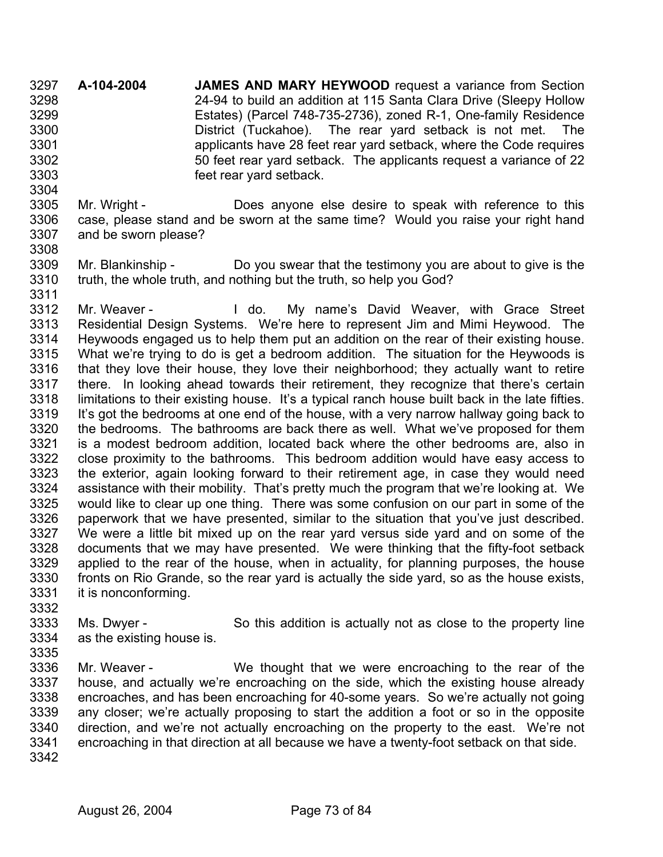**A-104-2004 JAMES AND MARY HEYWOOD** request a variance from Section 24-94 to build an addition at 115 Santa Clara Drive (Sleepy Hollow Estates) (Parcel 748-735-2736), zoned R-1, One-family Residence District (Tuckahoe). The rear yard setback is not met. The applicants have 28 feet rear yard setback, where the Code requires 50 feet rear yard setback. The applicants request a variance of 22 feet rear yard setback. 3297 3298 3299 3300 3301 3302 3303

- 3305 3306 3307 Mr. Wright - Does anyone else desire to speak with reference to this case, please stand and be sworn at the same time? Would you raise your right hand and be sworn please?
- 3309 3310 3311 Mr. Blankinship - Do you swear that the testimony you are about to give is the truth, the whole truth, and nothing but the truth, so help you God?

3312 3313 3314 3315 3316 3317 3318 3319 3320 3321 3322 3323 3324 3325 3326 3327 3328 3329 3330 3331 Mr. Weaver - The My name's David Weaver, with Grace Street Residential Design Systems. We're here to represent Jim and Mimi Heywood. The Heywoods engaged us to help them put an addition on the rear of their existing house. What we're trying to do is get a bedroom addition. The situation for the Heywoods is that they love their house, they love their neighborhood; they actually want to retire there. In looking ahead towards their retirement, they recognize that there's certain limitations to their existing house. It's a typical ranch house built back in the late fifties. It's got the bedrooms at one end of the house, with a very narrow hallway going back to the bedrooms. The bathrooms are back there as well. What we've proposed for them is a modest bedroom addition, located back where the other bedrooms are, also in close proximity to the bathrooms. This bedroom addition would have easy access to the exterior, again looking forward to their retirement age, in case they would need assistance with their mobility. That's pretty much the program that we're looking at. We would like to clear up one thing. There was some confusion on our part in some of the paperwork that we have presented, similar to the situation that you've just described. We were a little bit mixed up on the rear yard versus side yard and on some of the documents that we may have presented. We were thinking that the fifty-foot setback applied to the rear of the house, when in actuality, for planning purposes, the house fronts on Rio Grande, so the rear yard is actually the side yard, so as the house exists, it is nonconforming.

- 3333 3334 Ms. Dwyer - So this addition is actually not as close to the property line as the existing house is.
- 3335

3332

3304

- 3336 3337 3338 3339 3340 3341 Mr. Weaver - We thought that we were encroaching to the rear of the house, and actually we're encroaching on the side, which the existing house already encroaches, and has been encroaching for 40-some years. So we're actually not going any closer; we're actually proposing to start the addition a foot or so in the opposite direction, and we're not actually encroaching on the property to the east. We're not encroaching in that direction at all because we have a twenty-foot setback on that side.
- 3342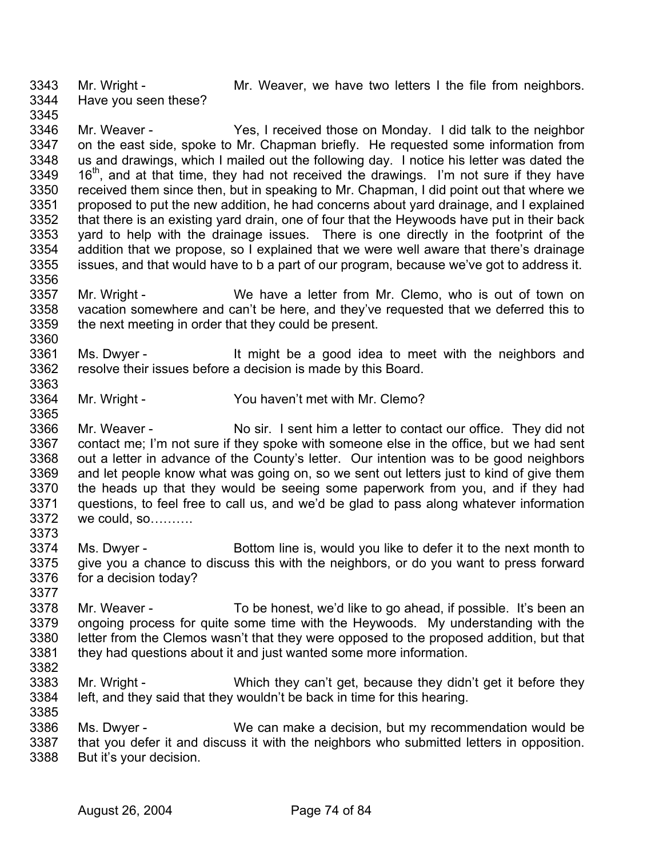3343 3344 3345 Mr. Wright - Mr. Weaver, we have two letters I the file from neighbors. Have you seen these?

3346 3347 3348 3349 3350 3351 3352 3353 3354 3355 3356 Mr. Weaver - Yes, I received those on Monday. I did talk to the neighbor on the east side, spoke to Mr. Chapman briefly. He requested some information from us and drawings, which I mailed out the following day. I notice his letter was dated the 16<sup>th</sup>, and at that time, they had not received the drawings. I'm not sure if they have received them since then, but in speaking to Mr. Chapman, I did point out that where we proposed to put the new addition, he had concerns about yard drainage, and I explained that there is an existing yard drain, one of four that the Heywoods have put in their back yard to help with the drainage issues. There is one directly in the footprint of the addition that we propose, so I explained that we were well aware that there's drainage issues, and that would have to b a part of our program, because we've got to address it.

- 3357 3358 3359 Mr. Wright - We have a letter from Mr. Clemo, who is out of town on vacation somewhere and can't be here, and they've requested that we deferred this to the next meeting in order that they could be present.
- 3361 3362 3363 Ms. Dwyer - It might be a good idea to meet with the neighbors and resolve their issues before a decision is made by this Board.
- 3364 Mr. Wright - You haven't met with Mr. Clemo?
- 3366 3367 3368 3369 3370 3371 3372 Mr. Weaver - No sir. I sent him a letter to contact our office. They did not contact me; I'm not sure if they spoke with someone else in the office, but we had sent out a letter in advance of the County's letter. Our intention was to be good neighbors and let people know what was going on, so we sent out letters just to kind of give them the heads up that they would be seeing some paperwork from you, and if they had questions, to feel free to call us, and we'd be glad to pass along whatever information we could, so……….
- 3374 3375 3376 Ms. Dwyer - Bottom line is, would you like to defer it to the next month to give you a chance to discuss this with the neighbors, or do you want to press forward for a decision today?
- 3378 3379 3380 3381 3382 Mr. Weaver - To be honest, we'd like to go ahead, if possible. It's been an ongoing process for quite some time with the Heywoods. My understanding with the letter from the Clemos wasn't that they were opposed to the proposed addition, but that they had questions about it and just wanted some more information.
- 3383 3384 Mr. Wright - Which they can't get, because they didn't get it before they left, and they said that they wouldn't be back in time for this hearing.
- 3386 3387 3388 Ms. Dwyer - We can make a decision, but my recommendation would be that you defer it and discuss it with the neighbors who submitted letters in opposition. But it's your decision.

3360

3365

3373

3377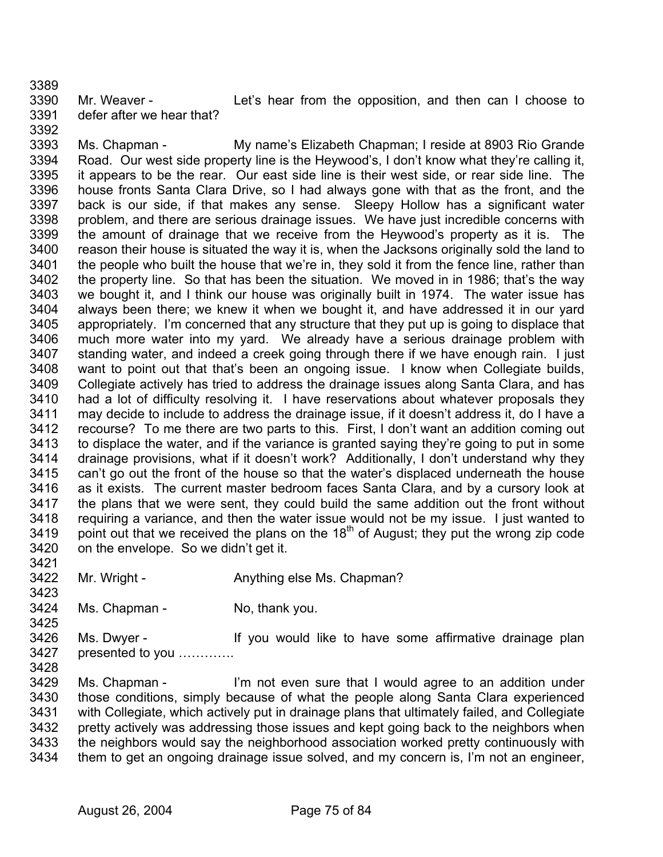3390 3391 Mr. Weaver - The Let's hear from the opposition, and then can I choose to defer after we hear that?

3393 3394 3395 3396 3397 3398 3399 3400 3401 3402 3403 3404 3405 3406 3407 3408 3409 3410 3411 3412 3413 3414 3415 3416 3417 3418 3419 3420 Ms. Chapman - My name's Elizabeth Chapman; I reside at 8903 Rio Grande Road. Our west side property line is the Heywood's, I don't know what they're calling it, it appears to be the rear. Our east side line is their west side, or rear side line. The house fronts Santa Clara Drive, so I had always gone with that as the front, and the back is our side, if that makes any sense. Sleepy Hollow has a significant water problem, and there are serious drainage issues. We have just incredible concerns with the amount of drainage that we receive from the Heywood's property as it is. The reason their house is situated the way it is, when the Jacksons originally sold the land to the people who built the house that we're in, they sold it from the fence line, rather than the property line. So that has been the situation. We moved in in 1986; that's the way we bought it, and I think our house was originally built in 1974. The water issue has always been there; we knew it when we bought it, and have addressed it in our yard appropriately. I'm concerned that any structure that they put up is going to displace that much more water into my yard. We already have a serious drainage problem with standing water, and indeed a creek going through there if we have enough rain. I just want to point out that that's been an ongoing issue. I know when Collegiate builds, Collegiate actively has tried to address the drainage issues along Santa Clara, and has had a lot of difficulty resolving it. I have reservations about whatever proposals they may decide to include to address the drainage issue, if it doesn't address it, do I have a recourse? To me there are two parts to this. First, I don't want an addition coming out to displace the water, and if the variance is granted saying they're going to put in some drainage provisions, what if it doesn't work? Additionally, I don't understand why they can't go out the front of the house so that the water's displaced underneath the house as it exists. The current master bedroom faces Santa Clara, and by a cursory look at the plans that we were sent, they could build the same addition out the front without requiring a variance, and then the water issue would not be my issue. I just wanted to point out that we received the plans on the 18<sup>th</sup> of August; they put the wrong zip code on the envelope. So we didn't get it.

- 3422 Mr. Wright - **Anything else Ms. Chapman?**
- 3424 Ms. Chapman - No, thank you.
- 3426 3427 Ms. Dwyer - If you would like to have some affirmative drainage plan presented to you ………….
- 3428

3421

3423

3425

3389

3392

3429 3430 3431 3432 3433 3434 Ms. Chapman - I'm not even sure that I would agree to an addition under those conditions, simply because of what the people along Santa Clara experienced with Collegiate, which actively put in drainage plans that ultimately failed, and Collegiate pretty actively was addressing those issues and kept going back to the neighbors when the neighbors would say the neighborhood association worked pretty continuously with them to get an ongoing drainage issue solved, and my concern is, I'm not an engineer,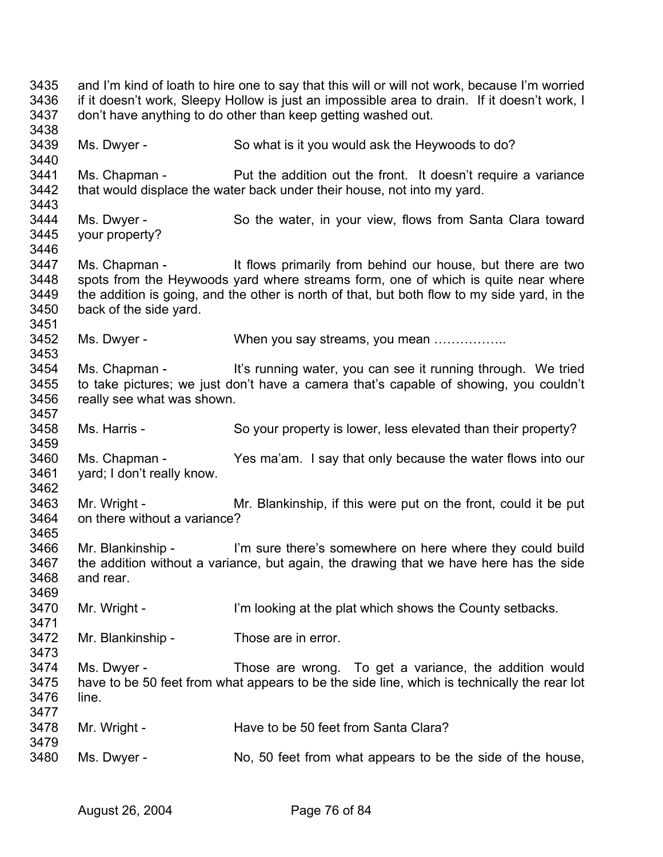3435 3436 3437 3438 3439 3440 3441 3442 3443 3444 3445 3446 3447 3448 3449 3450 3451 3452 3453 3454 3455 3456 3457 3458 3459 3460 3461 3462 3463 3464 3465 3466 3467 3468 3469 3470 3471 3472 3473 3474 3475 3476 3477 3478 3479 3480 and I'm kind of loath to hire one to say that this will or will not work, because I'm worried if it doesn't work, Sleepy Hollow is just an impossible area to drain. If it doesn't work, I don't have anything to do other than keep getting washed out. Ms. Dwyer - So what is it you would ask the Heywoods to do? Ms. Chapman - Put the addition out the front. It doesn't require a variance that would displace the water back under their house, not into my yard. Ms. Dwyer - So the water, in your view, flows from Santa Clara toward your property? Ms. Chapman - It flows primarily from behind our house, but there are two spots from the Heywoods yard where streams form, one of which is quite near where the addition is going, and the other is north of that, but both flow to my side yard, in the back of the side yard. Ms. Dwyer - When you say streams, you mean ................. Ms. Chapman - It's running water, you can see it running through. We tried to take pictures; we just don't have a camera that's capable of showing, you couldn't really see what was shown. Ms. Harris - So your property is lower, less elevated than their property? Ms. Chapman - Yes ma'am. I say that only because the water flows into our yard; I don't really know. Mr. Wright - Mr. Blankinship, if this were put on the front, could it be put on there without a variance? Mr. Blankinship - I'm sure there's somewhere on here where they could build the addition without a variance, but again, the drawing that we have here has the side and rear. Mr. Wright - I'm looking at the plat which shows the County setbacks. Mr. Blankinship - Those are in error. Ms. Dwyer - Those are wrong. To get a variance, the addition would have to be 50 feet from what appears to be the side line, which is technically the rear lot line. Mr. Wright - Have to be 50 feet from Santa Clara? Ms. Dwyer - No, 50 feet from what appears to be the side of the house,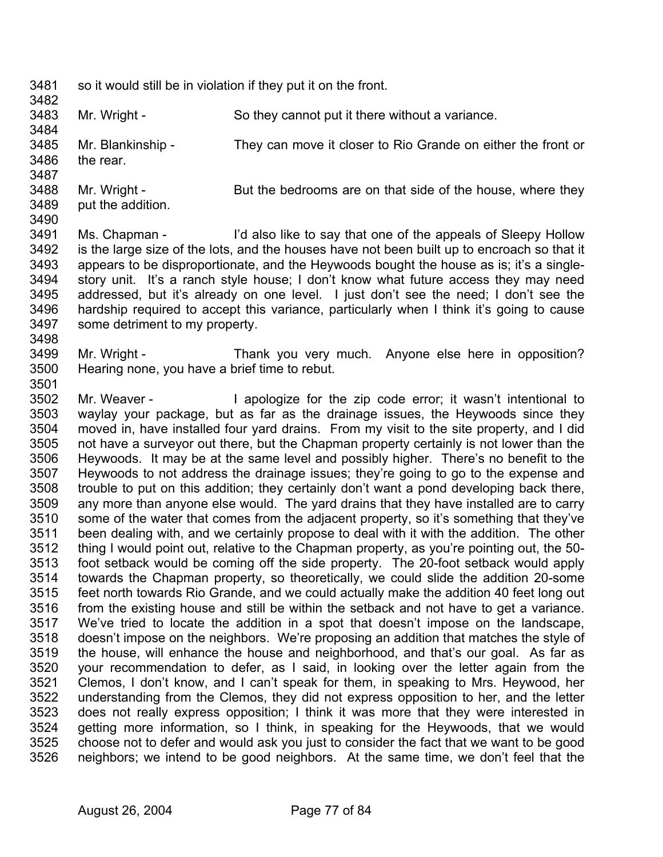3481 3482 so it would still be in violation if they put it on the front.

3483 3484 Mr. Wright - So they cannot put it there without a variance.

3485 3486 3487 Mr. Blankinship - They can move it closer to Rio Grande on either the front or the rear.

- 3488 3489 Mr. Wright - But the bedrooms are on that side of the house, where they put the addition.
- 3490

3498

- 3491 3492 3493 3494 3495 3496 3497 Ms. Chapman - I'd also like to say that one of the appeals of Sleepy Hollow is the large size of the lots, and the houses have not been built up to encroach so that it appears to be disproportionate, and the Heywoods bought the house as is; it's a singlestory unit. It's a ranch style house; I don't know what future access they may need addressed, but it's already on one level. I just don't see the need; I don't see the hardship required to accept this variance, particularly when I think it's going to cause some detriment to my property.
- 3499 3500 Mr. Wright - Thank you very much. Anyone else here in opposition? Hearing none, you have a brief time to rebut.
- 3502 3503 3504 3505 3506 3507 3508 3509 3510 3511 3512 3513 3514 3515 3516 3517 3518 3519 3520 3521 3522 3523 3524 3525 3526 Mr. Weaver - The apologize for the zip code error; it wasn't intentional to waylay your package, but as far as the drainage issues, the Heywoods since they moved in, have installed four yard drains. From my visit to the site property, and I did not have a surveyor out there, but the Chapman property certainly is not lower than the Heywoods. It may be at the same level and possibly higher. There's no benefit to the Heywoods to not address the drainage issues; they're going to go to the expense and trouble to put on this addition; they certainly don't want a pond developing back there, any more than anyone else would. The yard drains that they have installed are to carry some of the water that comes from the adjacent property, so it's something that they've been dealing with, and we certainly propose to deal with it with the addition. The other thing I would point out, relative to the Chapman property, as you're pointing out, the 50 foot setback would be coming off the side property. The 20-foot setback would apply towards the Chapman property, so theoretically, we could slide the addition 20-some feet north towards Rio Grande, and we could actually make the addition 40 feet long out from the existing house and still be within the setback and not have to get a variance. We've tried to locate the addition in a spot that doesn't impose on the landscape, doesn't impose on the neighbors. We're proposing an addition that matches the style of the house, will enhance the house and neighborhood, and that's our goal. As far as your recommendation to defer, as I said, in looking over the letter again from the Clemos, I don't know, and I can't speak for them, in speaking to Mrs. Heywood, her understanding from the Clemos, they did not express opposition to her, and the letter does not really express opposition; I think it was more that they were interested in getting more information, so I think, in speaking for the Heywoods, that we would choose not to defer and would ask you just to consider the fact that we want to be good neighbors; we intend to be good neighbors. At the same time, we don't feel that the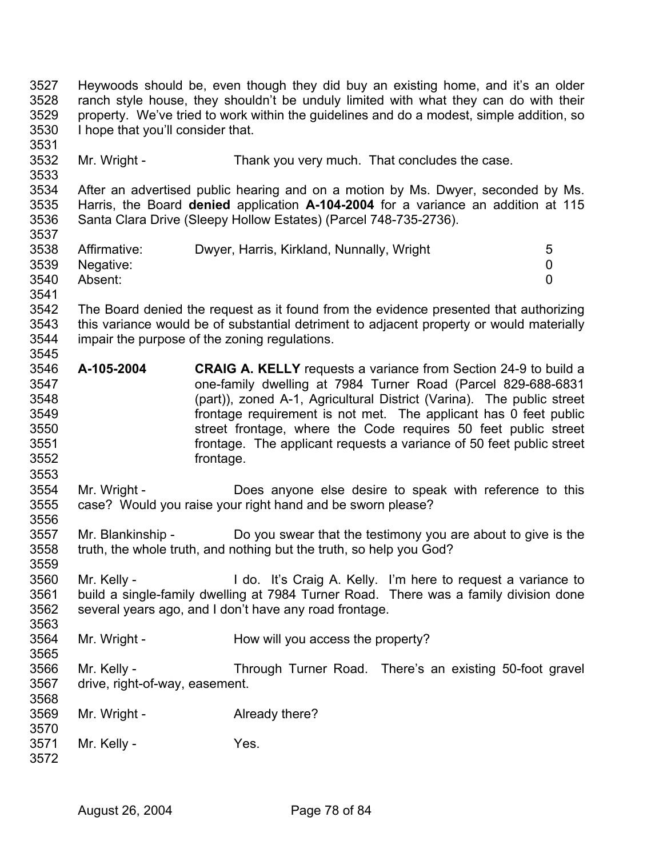3527 3528 3529 3530 3531 3532 3533 3534 3535 3536 3537 3538 3539 3540 3541 3542 3543 3544 3545 3546 3547 3548 3549 3550 3551 3552 3553 3554 3555 3556 3557 3558 3559 3560 3561 3562 3563 3564 3565 3566 3567 3568 3569 3570 3571 3572 Heywoods should be, even though they did buy an existing home, and it's an older ranch style house, they shouldn't be unduly limited with what they can do with their property. We've tried to work within the guidelines and do a modest, simple addition, so I hope that you'll consider that. Mr. Wright - Thank you very much. That concludes the case. After an advertised public hearing and on a motion by Ms. Dwyer, seconded by Ms. Harris, the Board **denied** application **A-104-2004** for a variance an addition at 115 Santa Clara Drive (Sleepy Hollow Estates) (Parcel 748-735-2736). Affirmative: Dwyer, Harris, Kirkland, Nunnally, Wright 5 Negative: 0 Absent: 0 The Board denied the request as it found from the evidence presented that authorizing this variance would be of substantial detriment to adjacent property or would materially impair the purpose of the zoning regulations. **A-105-2004 CRAIG A. KELLY** requests a variance from Section 24-9 to build a one-family dwelling at 7984 Turner Road (Parcel 829-688-6831 (part)), zoned A-1, Agricultural District (Varina). The public street frontage requirement is not met. The applicant has 0 feet public street frontage, where the Code requires 50 feet public street frontage. The applicant requests a variance of 50 feet public street frontage. Mr. Wright - **Does anyone else desire to speak with reference to this** case? Would you raise your right hand and be sworn please? Mr. Blankinship - Do you swear that the testimony you are about to give is the truth, the whole truth, and nothing but the truth, so help you God? Mr. Kelly - I do. It's Craig A. Kelly. I'm here to request a variance to build a single-family dwelling at 7984 Turner Road. There was a family division done several years ago, and I don't have any road frontage. Mr. Wright - How will you access the property? Mr. Kelly - Through Turner Road. There's an existing 50-foot gravel drive, right-of-way, easement. Mr. Wright - **Already there?** Mr. Kelly - Yes.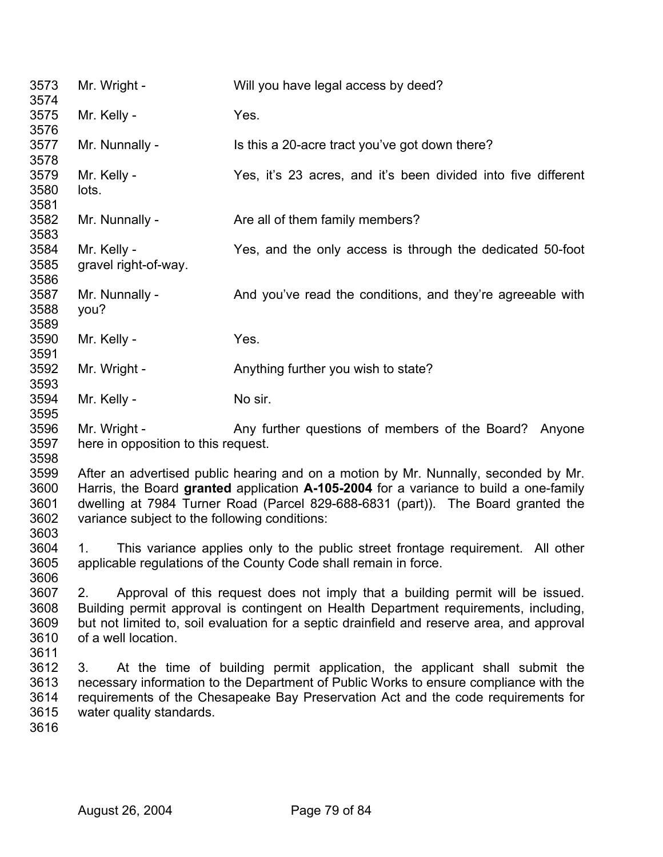| 3573<br>3574 | Mr. Wright -                                                                                                                                                              | Will you have legal access by deed?                                                 |  |
|--------------|---------------------------------------------------------------------------------------------------------------------------------------------------------------------------|-------------------------------------------------------------------------------------|--|
| 3575         | Mr. Kelly -                                                                                                                                                               | Yes.                                                                                |  |
| 3576         |                                                                                                                                                                           |                                                                                     |  |
| 3577         | Mr. Nunnally -                                                                                                                                                            | Is this a 20-acre tract you've got down there?                                      |  |
| 3578         |                                                                                                                                                                           |                                                                                     |  |
| 3579         | Mr. Kelly -                                                                                                                                                               | Yes, it's 23 acres, and it's been divided into five different                       |  |
| 3580         | lots.                                                                                                                                                                     |                                                                                     |  |
| 3581<br>3582 |                                                                                                                                                                           |                                                                                     |  |
| 3583         | Mr. Nunnally -                                                                                                                                                            | Are all of them family members?                                                     |  |
| 3584         | Mr. Kelly -                                                                                                                                                               | Yes, and the only access is through the dedicated 50-foot                           |  |
| 3585         | gravel right-of-way.                                                                                                                                                      |                                                                                     |  |
| 3586         |                                                                                                                                                                           |                                                                                     |  |
| 3587         | Mr. Nunnally -                                                                                                                                                            | And you've read the conditions, and they're agreeable with                          |  |
| 3588         | you?                                                                                                                                                                      |                                                                                     |  |
| 3589         |                                                                                                                                                                           |                                                                                     |  |
| 3590         | Mr. Kelly -                                                                                                                                                               | Yes.                                                                                |  |
| 3591         |                                                                                                                                                                           |                                                                                     |  |
| 3592<br>3593 | Mr. Wright -                                                                                                                                                              | Anything further you wish to state?                                                 |  |
| 3594         | Mr. Kelly -                                                                                                                                                               | No sir.                                                                             |  |
| 3595         |                                                                                                                                                                           |                                                                                     |  |
| 3596         | Mr. Wright -                                                                                                                                                              | Any further questions of members of the Board? Anyone                               |  |
| 3597         | here in opposition to this request.                                                                                                                                       |                                                                                     |  |
| 3598         |                                                                                                                                                                           |                                                                                     |  |
| 3599         |                                                                                                                                                                           | After an advertised public hearing and on a motion by Mr. Nunnally, seconded by Mr. |  |
| 3600         | Harris, the Board granted application A-105-2004 for a variance to build a one-family                                                                                     |                                                                                     |  |
| 3601         | dwelling at 7984 Turner Road (Parcel 829-688-6831 (part)). The Board granted the                                                                                          |                                                                                     |  |
| 3602<br>3603 | variance subject to the following conditions:                                                                                                                             |                                                                                     |  |
| 3604         | 1.                                                                                                                                                                        | This variance applies only to the public street frontage requirement. All other     |  |
| 3605         | applicable regulations of the County Code shall remain in force.                                                                                                          |                                                                                     |  |
| 3606         |                                                                                                                                                                           |                                                                                     |  |
| 3607         | Approval of this request does not imply that a building permit will be issued.<br>2.                                                                                      |                                                                                     |  |
| 3608         | Building permit approval is contingent on Health Department requirements, including,                                                                                      |                                                                                     |  |
| 3609         | but not limited to, soil evaluation for a septic drainfield and reserve area, and approval                                                                                |                                                                                     |  |
| 3610         | of a well location.                                                                                                                                                       |                                                                                     |  |
| 3611         |                                                                                                                                                                           |                                                                                     |  |
| 3612<br>3613 | At the time of building permit application, the applicant shall submit the<br>3.<br>necessary information to the Department of Public Works to ensure compliance with the |                                                                                     |  |
| 3614         | requirements of the Chesapeake Bay Preservation Act and the code requirements for                                                                                         |                                                                                     |  |
| 3615         | water quality standards.                                                                                                                                                  |                                                                                     |  |
| 3616         |                                                                                                                                                                           |                                                                                     |  |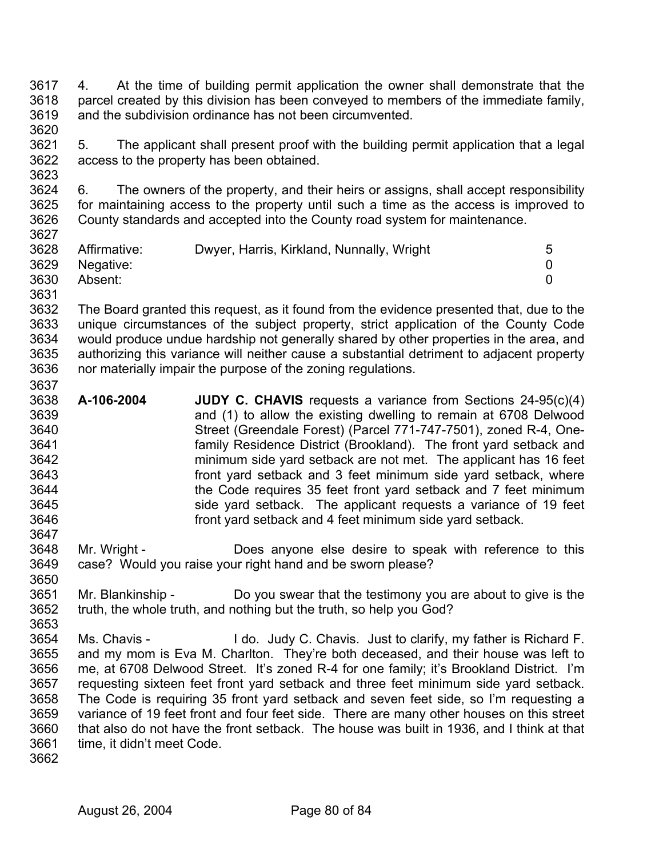- 3617 3618 3619 3620 4. At the time of building permit application the owner shall demonstrate that the parcel created by this division has been conveyed to members of the immediate family, and the subdivision ordinance has not been circumvented.
- 3621 3622 3623 5. The applicant shall present proof with the building permit application that a legal access to the property has been obtained.
- 3624 3625 3626 3627 6. The owners of the property, and their heirs or assigns, shall accept responsibility for maintaining access to the property until such a time as the access is improved to County standards and accepted into the County road system for maintenance.

| ---- |              |                                           |  |
|------|--------------|-------------------------------------------|--|
| 3628 | Affirmative: | Dwyer, Harris, Kirkland, Nunnally, Wright |  |
| 3629 | Negative:    |                                           |  |
| 3630 | Absent:      |                                           |  |
| 3631 |              |                                           |  |

- 3632 3633 3634 3635 3636 The Board granted this request, as it found from the evidence presented that, due to the unique circumstances of the subject property, strict application of the County Code would produce undue hardship not generally shared by other properties in the area, and authorizing this variance will neither cause a substantial detriment to adjacent property nor materially impair the purpose of the zoning regulations.
- 3638 3639 3640 3641 3642 3643 3644 3645 3646 **A-106-2004 JUDY C. CHAVIS** requests a variance from Sections 24-95(c)(4) and (1) to allow the existing dwelling to remain at 6708 Delwood Street (Greendale Forest) (Parcel 771-747-7501), zoned R-4, Onefamily Residence District (Brookland). The front yard setback and minimum side yard setback are not met. The applicant has 16 feet front yard setback and 3 feet minimum side yard setback, where the Code requires 35 feet front yard setback and 7 feet minimum side yard setback. The applicant requests a variance of 19 feet front yard setback and 4 feet minimum side yard setback.
- 3648 3649 Mr. Wright - **Does anyone else desire to speak with reference to this** case? Would you raise your right hand and be sworn please?
- 3651 3652 3653 Mr. Blankinship - Do you swear that the testimony you are about to give is the truth, the whole truth, and nothing but the truth, so help you God?
- 3654 3655 3656 3657 3658 3659 3660 3661 Ms. Chavis - I do. Judy C. Chavis. Just to clarify, my father is Richard F. and my mom is Eva M. Charlton. They're both deceased, and their house was left to me, at 6708 Delwood Street. It's zoned R-4 for one family; it's Brookland District. I'm requesting sixteen feet front yard setback and three feet minimum side yard setback. The Code is requiring 35 front yard setback and seven feet side, so I'm requesting a variance of 19 feet front and four feet side. There are many other houses on this street that also do not have the front setback. The house was built in 1936, and I think at that time, it didn't meet Code.
- 3662

3637

3647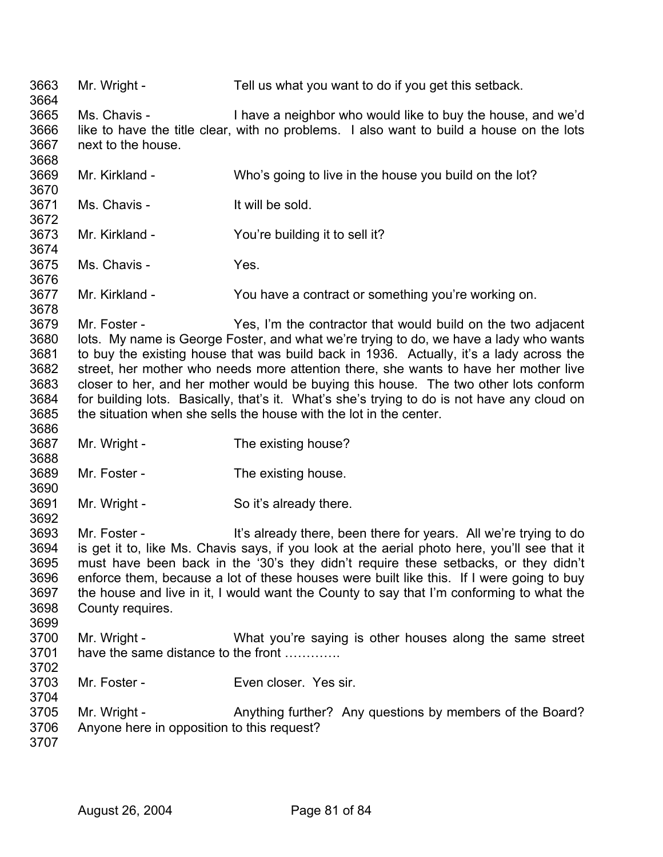3663 3664 3665 3666 3667 3668 3669 3670 3671 3672 3673 3674 3675 3676 3677 3678 3679 3680 3681 3682 3683 3684 3685 3686 3687 3688 3689 3690 3691 3692 3693 3694 3695 3696 3697 3698 3699 3700 3701 3702 3703 3704 3705 3706 3707 Mr. Wright - Tell us what you want to do if you get this setback. Ms. Chavis - I have a neighbor who would like to buy the house, and we'd like to have the title clear, with no problems. I also want to build a house on the lots next to the house. Mr. Kirkland - Who's going to live in the house you build on the lot? Ms. Chavis - It will be sold. Mr. Kirkland - You're building it to sell it? Ms. Chavis - Yes. Mr. Kirkland - You have a contract or something you're working on. Mr. Foster - Yes, I'm the contractor that would build on the two adjacent lots. My name is George Foster, and what we're trying to do, we have a lady who wants to buy the existing house that was build back in 1936. Actually, it's a lady across the street, her mother who needs more attention there, she wants to have her mother live closer to her, and her mother would be buying this house. The two other lots conform for building lots. Basically, that's it. What's she's trying to do is not have any cloud on the situation when she sells the house with the lot in the center. Mr. Wright - The existing house? Mr. Foster - The existing house. Mr. Wright - So it's already there. Mr. Foster - The It's already there, been there for years. All we're trying to do is get it to, like Ms. Chavis says, if you look at the aerial photo here, you'll see that it must have been back in the '30's they didn't require these setbacks, or they didn't enforce them, because a lot of these houses were built like this. If I were going to buy the house and live in it, I would want the County to say that I'm conforming to what the County requires. Mr. Wright - What you're saying is other houses along the same street have the same distance to the front ............ Mr. Foster - Even closer. Yes sir. Mr. Wright - Anything further? Any questions by members of the Board? Anyone here in opposition to this request?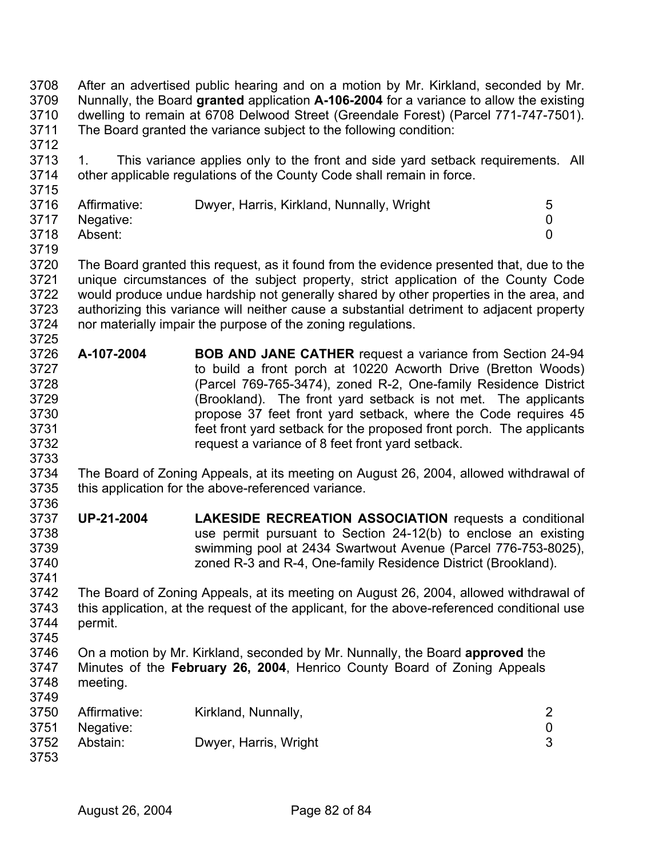3708 3709 3710 3711 After an advertised public hearing and on a motion by Mr. Kirkland, seconded by Mr. Nunnally, the Board **granted** application **A-106-2004** for a variance to allow the existing dwelling to remain at 6708 Delwood Street (Greendale Forest) (Parcel 771-747-7501). The Board granted the variance subject to the following condition:

3713 3714 1. This variance applies only to the front and side yard setback requirements. All other applicable regulations of the County Code shall remain in force.

| 3716 | Affirmative:   | Dwyer, Harris, Kirkland, Nunnally, Wright |  |
|------|----------------|-------------------------------------------|--|
|      | 3717 Negative: |                                           |  |
| 3718 | Absent:        |                                           |  |

3719

3725

3733

3712

3715

3720 3721 3722 3723 3724 The Board granted this request, as it found from the evidence presented that, due to the unique circumstances of the subject property, strict application of the County Code would produce undue hardship not generally shared by other properties in the area, and authorizing this variance will neither cause a substantial detriment to adjacent property nor materially impair the purpose of the zoning regulations.

- 3726 3727 3728 3729 3730 3731 3732 **A-107-2004 BOB AND JANE CATHER** request a variance from Section 24-94 to build a front porch at 10220 Acworth Drive (Bretton Woods) (Parcel 769-765-3474), zoned R-2, One-family Residence District (Brookland). The front yard setback is not met. The applicants propose 37 feet front yard setback, where the Code requires 45 feet front yard setback for the proposed front porch. The applicants request a variance of 8 feet front yard setback.
- 3734 3735 3736 The Board of Zoning Appeals, at its meeting on August 26, 2004, allowed withdrawal of this application for the above-referenced variance.
- 3737 3738 3739 3740 **UP-21-2004 LAKESIDE RECREATION ASSOCIATION** requests a conditional use permit pursuant to Section 24-12(b) to enclose an existing swimming pool at 2434 Swartwout Avenue (Parcel 776-753-8025), zoned R-3 and R-4, One-family Residence District (Brookland).

3742 3743 3744 The Board of Zoning Appeals, at its meeting on August 26, 2004, allowed withdrawal of this application, at the request of the applicant, for the above-referenced conditional use permit.

3745

3741

3746 3747 3748 3749 On a motion by Mr. Kirkland, seconded by Mr. Nunnally, the Board **approved** the Minutes of the **February 26, 2004**, Henrico County Board of Zoning Appeals meeting.

| 3750         | Affirmative: | Kirkland, Nunnally,   |  |
|--------------|--------------|-----------------------|--|
| 3751         | Negative:    |                       |  |
| 3752<br>3753 | Abstain:     | Dwyer, Harris, Wright |  |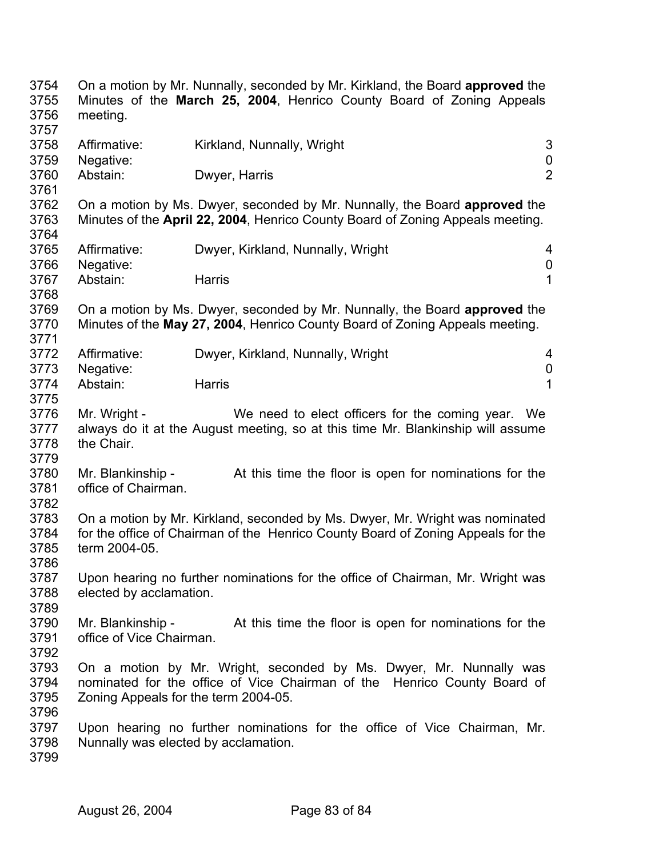| 3754<br>3755<br>3756<br>3757 | meeting.                                                                                                         | On a motion by Mr. Nunnally, seconded by Mr. Kirkland, the Board approved the<br>Minutes of the March 25, 2004, Henrico County Board of Zoning Appeals |                  |
|------------------------------|------------------------------------------------------------------------------------------------------------------|--------------------------------------------------------------------------------------------------------------------------------------------------------|------------------|
| 3758                         | Affirmative:                                                                                                     | Kirkland, Nunnally, Wright                                                                                                                             | 3                |
| 3759                         | Negative:                                                                                                        |                                                                                                                                                        | $\boldsymbol{0}$ |
| 3760<br>3761                 | Abstain:                                                                                                         | Dwyer, Harris                                                                                                                                          | $\overline{2}$   |
| 3762                         |                                                                                                                  | On a motion by Ms. Dwyer, seconded by Mr. Nunnally, the Board approved the                                                                             |                  |
| 3763<br>3764                 |                                                                                                                  | Minutes of the April 22, 2004, Henrico County Board of Zoning Appeals meeting.                                                                         |                  |
| 3765                         | Affirmative:                                                                                                     | Dwyer, Kirkland, Nunnally, Wright                                                                                                                      | 4                |
| 3766                         | Negative:                                                                                                        |                                                                                                                                                        | 0                |
| 3767<br>3768                 | Abstain:                                                                                                         | Harris                                                                                                                                                 | 1                |
| 3769                         |                                                                                                                  | On a motion by Ms. Dwyer, seconded by Mr. Nunnally, the Board approved the                                                                             |                  |
| 3770<br>3771                 |                                                                                                                  | Minutes of the May 27, 2004, Henrico County Board of Zoning Appeals meeting.                                                                           |                  |
| 3772                         | Affirmative:                                                                                                     | Dwyer, Kirkland, Nunnally, Wright                                                                                                                      | 4                |
| 3773                         | Negative:                                                                                                        |                                                                                                                                                        | $\boldsymbol{0}$ |
|                              |                                                                                                                  | <b>Harris</b>                                                                                                                                          | $\overline{1}$   |
| 3774                         | Abstain:                                                                                                         |                                                                                                                                                        |                  |
| 3775<br>3776                 | Mr. Wright -                                                                                                     | We need to elect officers for the coming year.                                                                                                         | We               |
| 3777                         |                                                                                                                  | always do it at the August meeting, so at this time Mr. Blankinship will assume                                                                        |                  |
| 3778                         | the Chair.                                                                                                       |                                                                                                                                                        |                  |
| 3779                         |                                                                                                                  |                                                                                                                                                        |                  |
| 3780                         | Mr. Blankinship -                                                                                                | At this time the floor is open for nominations for the                                                                                                 |                  |
| 3781                         | office of Chairman.                                                                                              |                                                                                                                                                        |                  |
| 3782                         |                                                                                                                  |                                                                                                                                                        |                  |
| 3783                         |                                                                                                                  | On a motion by Mr. Kirkland, seconded by Ms. Dwyer, Mr. Wright was nominated                                                                           |                  |
| 3784                         | for the office of Chairman of the Henrico County Board of Zoning Appeals for the                                 |                                                                                                                                                        |                  |
| 3785                         | term 2004-05.                                                                                                    |                                                                                                                                                        |                  |
| 3786                         |                                                                                                                  |                                                                                                                                                        |                  |
| 3787                         |                                                                                                                  | Upon hearing no further nominations for the office of Chairman, Mr. Wright was                                                                         |                  |
| 3788                         | elected by acclamation.                                                                                          |                                                                                                                                                        |                  |
| 3789                         |                                                                                                                  |                                                                                                                                                        |                  |
| 3790                         | Mr. Blankinship -                                                                                                | At this time the floor is open for nominations for the                                                                                                 |                  |
| 3791                         | office of Vice Chairman.                                                                                         |                                                                                                                                                        |                  |
|                              |                                                                                                                  |                                                                                                                                                        |                  |
| 3792                         |                                                                                                                  |                                                                                                                                                        |                  |
| 3793<br>3794                 | On a motion by Mr. Wright, seconded by Ms. Dwyer, Mr. Nunnally was                                               |                                                                                                                                                        |                  |
|                              | nominated for the office of Vice Chairman of the Henrico County Board of<br>Zoning Appeals for the term 2004-05. |                                                                                                                                                        |                  |
| 3795                         |                                                                                                                  |                                                                                                                                                        |                  |
| 3796                         |                                                                                                                  |                                                                                                                                                        |                  |
| 3797                         |                                                                                                                  | Upon hearing no further nominations for the office of Vice Chairman, Mr.                                                                               |                  |
| 3798                         | Nunnally was elected by acclamation.                                                                             |                                                                                                                                                        |                  |
| 3799                         |                                                                                                                  |                                                                                                                                                        |                  |